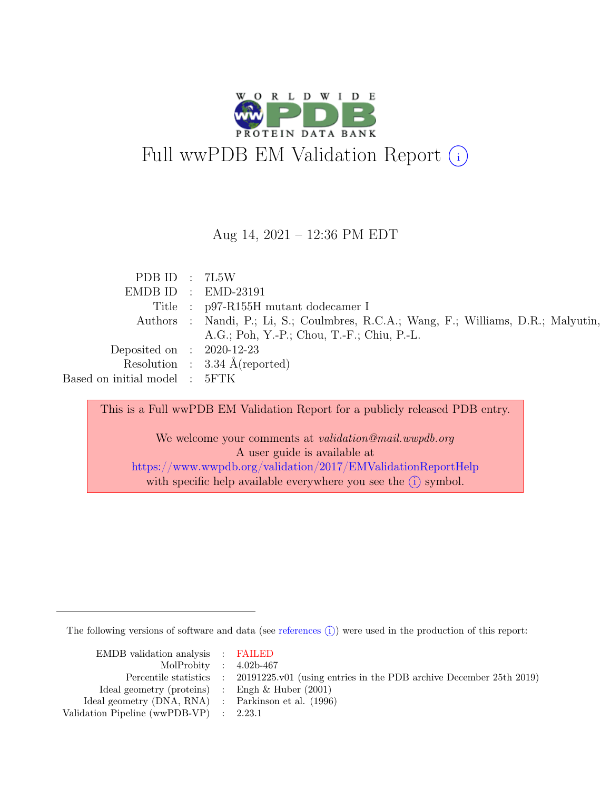

#### Aug 14, 2021 – 12:36 PM EDT

| PDB ID : $7L5W$               |                                                                                     |
|-------------------------------|-------------------------------------------------------------------------------------|
|                               | $EMDB ID$ : $EMD-23191$                                                             |
|                               | Title : p97-R155H mutant dodecamer I                                                |
|                               | Authors : Nandi, P.; Li, S.; Coulmbres, R.C.A.; Wang, F.; Williams, D.R.; Malyutin, |
|                               | A.G.; Poh, Y.-P.; Chou, T.-F.; Chiu, P.-L.                                          |
| Deposited on : $2020-12-23$   |                                                                                     |
|                               | Resolution : $3.34 \text{ Å}$ (reported)                                            |
| Based on initial model : 5FTK |                                                                                     |

This is a Full wwPDB EM Validation Report for a publicly released PDB entry.

We welcome your comments at validation@mail.wwpdb.org A user guide is available at <https://www.wwpdb.org/validation/2017/EMValidationReportHelp> with specific help available everywhere you see the  $(i)$  symbol.

The following versions of software and data (see [references](https://www.wwpdb.org/validation/2017/EMValidationReportHelp#references)  $(i)$ ) were used in the production of this report:

| EMDB validation analysis : FAILED                   |                                                                                            |
|-----------------------------------------------------|--------------------------------------------------------------------------------------------|
| MolProbity : $4.02b-467$                            |                                                                                            |
|                                                     | Percentile statistics : 20191225.v01 (using entries in the PDB archive December 25th 2019) |
| Ideal geometry (proteins) : Engh $\&$ Huber (2001)  |                                                                                            |
| Ideal geometry (DNA, RNA) : Parkinson et al. (1996) |                                                                                            |
| Validation Pipeline (wwPDB-VP) : 2.23.1             |                                                                                            |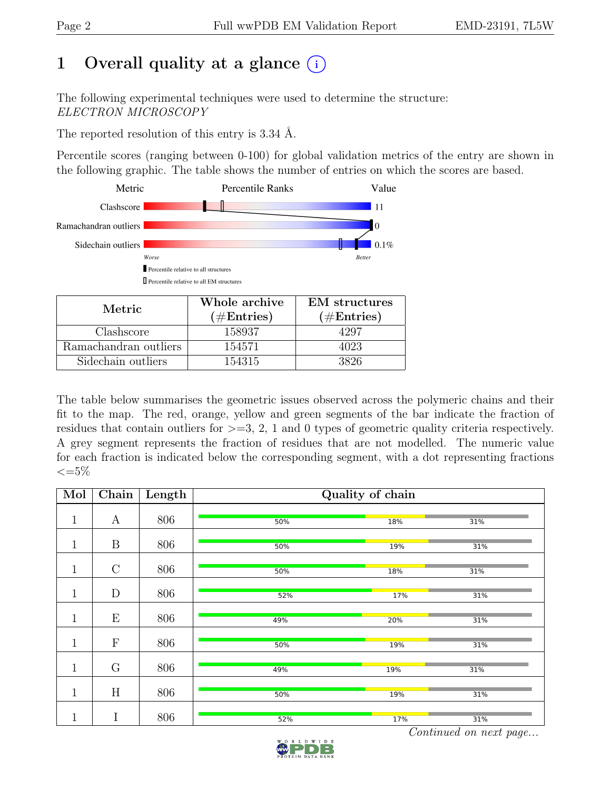## 1 Overall quality at a glance  $(i)$

The following experimental techniques were used to determine the structure: ELECTRON MICROSCOPY

The reported resolution of this entry is 3.34 Å.

Percentile scores (ranging between 0-100) for global validation metrics of the entry are shown in the following graphic. The table shows the number of entries on which the scores are based.



| Metric.               | Whole archive | <b>EM</b> structures |  |
|-----------------------|---------------|----------------------|--|
|                       | $(\#Entries)$ | $(\#Entries)$        |  |
| Clashscore            | 158937        | 4297                 |  |
| Ramachandran outliers | 154571        | 4023                 |  |
| Sidechain outliers    | 154315        | 3826                 |  |

The table below summarises the geometric issues observed across the polymeric chains and their fit to the map. The red, orange, yellow and green segments of the bar indicate the fraction of residues that contain outliers for  $>=$  3, 2, 1 and 0 types of geometric quality criteria respectively. A grey segment represents the fraction of residues that are not modelled. The numeric value for each fraction is indicated below the corresponding segment, with a dot representing fractions  $\leq=5\%$ 

| Mol          | Chain            | Length | Quality of chain |     |     |  |  |
|--------------|------------------|--------|------------------|-----|-----|--|--|
| $\mathbf{1}$ | A                | 806    | 50%              | 18% | 31% |  |  |
| $\mathbf{1}$ | $\boldsymbol{B}$ | 806    | 50%              | 19% | 31% |  |  |
| $\mathbf{1}$ | $\mathcal{C}$    | 806    | 50%              | 18% | 31% |  |  |
| $\mathbf 1$  | $\mathbf D$      | 806    | 52%              | 17% | 31% |  |  |
| $\mathbf{1}$ | E                | 806    | 49%              | 20% | 31% |  |  |
| $\mathbf{1}$ | ${\bf F}$        | 806    | 50%              | 19% | 31% |  |  |
| $\mathbf{1}$ | G                | 806    | 49%              | 19% | 31% |  |  |
| $\mathbf{1}$ | H                | 806    | 50%              | 19% | 31% |  |  |
| $\mathbf 1$  | I                | 806    | 52%              | 17% | 31% |  |  |

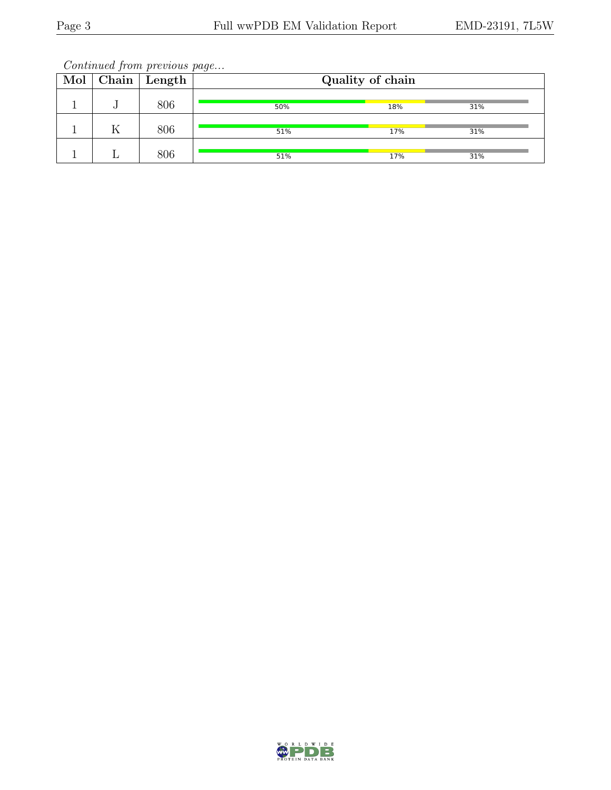|  | $Mol$   Chain   Length | . .<br>Quality of chain |     |     |  |
|--|------------------------|-------------------------|-----|-----|--|
|  | 806                    | 50%                     | 18% | 31% |  |
|  | 806                    | 51%                     | 17% | 31% |  |
|  | 806                    | 51%                     | 17% | 31% |  |

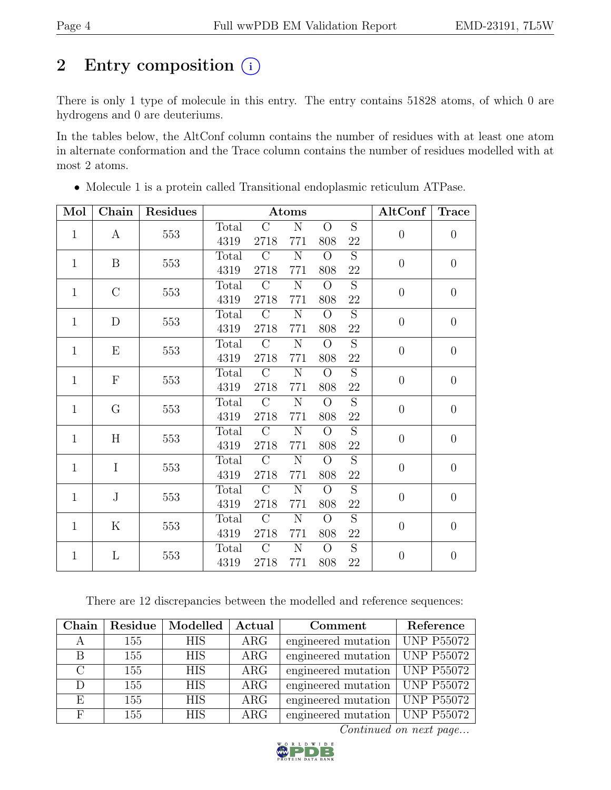## 2 Entry composition  $(i)$

There is only 1 type of molecule in this entry. The entry contains 51828 atoms, of which 0 are hydrogens and 0 are deuteriums.

In the tables below, the AltConf column contains the number of residues with at least one atom in alternate conformation and the Trace column contains the number of residues modelled with at most 2 atoms.

| Mol               | Chain        | <b>Residues</b> |         |                | Atoms          |                |                | AltConf          | <b>Trace</b>   |  |  |
|-------------------|--------------|-----------------|---------|----------------|----------------|----------------|----------------|------------------|----------------|--|--|
| $\mathbf{1}$      | $\mathbf{A}$ | 553             | Total   | $\mathcal{C}$  | $\mathbf N$    | $\Omega$       | $\overline{S}$ | $\theta$         | $\overline{0}$ |  |  |
|                   |              |                 | 4319    | 2718           | 771            | 808            | 22             |                  |                |  |  |
| B<br>$\mathbf{1}$ | 553          | Total           | $\rm C$ | $\mathbf N$    | $\overline{O}$ | S              | $\theta$       | $\theta$         |                |  |  |
|                   |              | 4319            | 2718    | 771            | 808            | 22             |                |                  |                |  |  |
| $\mathbf{1}$      | $\rm C$      | 553             | Total   | $\mathcal{C}$  | $\mathbf N$    | $\Omega$       | $\overline{S}$ | $\boldsymbol{0}$ | $\theta$       |  |  |
|                   |              |                 | 4319    | 2718           | 771            | 808            | 22             |                  |                |  |  |
| $\mathbf{1}$      | D            | 553             | Total   | $\mathcal{C}$  | N              | $\overline{O}$ | $\overline{S}$ | $\overline{0}$   | $\overline{0}$ |  |  |
|                   |              |                 | 4319    | 2718           | 771            | 808            | $22\,$         |                  |                |  |  |
| $\mathbf{1}$      | Ε            | 553             | Total   | $\mathcal{C}$  | $\mathbf N$    | $\Omega$       | $\overline{S}$ | $\overline{0}$   | $\overline{0}$ |  |  |
|                   |              |                 |         |                | 4319           | 2718           | 771            | 808              | 22             |  |  |
| $\mathbf{1}$      | $\mathbf F$  | 553             | Total   | $\mathcal{C}$  | N              | $\overline{O}$ | $\overline{S}$ | $\overline{0}$   | $\overline{0}$ |  |  |
|                   |              |                 | 4319    | 2718           | 771            | 808            | 22             |                  |                |  |  |
| $\mathbf{1}$      | G            | 553             | Total   | $\rm C$        | N              | $\Omega$       | S              | $\overline{0}$   | $\overline{0}$ |  |  |
|                   |              |                 | 4319    | 2718           | 771            | 808            | 22             |                  |                |  |  |
| $\mathbf{1}$      | H            | 553             | Total   | $\mathcal{C}$  | N              | $\overline{O}$ | S              | $\overline{0}$   | $\overline{0}$ |  |  |
|                   |              |                 | 4319    | 2718           | 771            | 808            | 22             |                  |                |  |  |
| $\mathbf{1}$      | $\mathbf I$  | 553             | Total   | $\mathcal{C}$  | N              | $\Omega$       | $\overline{S}$ | $\overline{0}$   | $\overline{0}$ |  |  |
|                   |              |                 | 4319    | 2718           | 771            | 808            | 22             |                  |                |  |  |
| $\mathbf{1}$      | J            | 553             | Total   | $\rm C$        | N              | $\Omega$       | S              | $\theta$         | $\overline{0}$ |  |  |
|                   |              | 4319            | 2718    | 771            | 808            | 22             |                |                  |                |  |  |
| $\mathbf{1}$      | K            | 553             | Total   | $\overline{C}$ | $\mathbf N$    | $\overline{O}$ | $\overline{S}$ | $\overline{0}$   | $\overline{0}$ |  |  |
|                   |              |                 | 4319    | 2718           | 771            | 808            | 22             |                  |                |  |  |
| $\mathbf{1}$      | L            | 553             | Total   | $\rm C$        | $\mathbf N$    | $\overline{O}$ | $\overline{S}$ | $\overline{0}$   | $\overline{0}$ |  |  |
|                   |              |                 | 4319    | 2718           | 771            | 808            | 22             |                  |                |  |  |

• Molecule 1 is a protein called Transitional endoplasmic reticulum ATPase.

There are 12 discrepancies between the modelled and reference sequences:

| Chain         | Residue | Modelled   | Actual           | Comment                                       | Reference |
|---------------|---------|------------|------------------|-----------------------------------------------|-----------|
| A             | 155     | <b>HIS</b> | $\rm{ARG}$       | engineered mutation   UNP P55072              |           |
| B             | 155     | <b>HIS</b> | $\rm{ARG}$       | engineered mutation   UNP $P\overline{55072}$ |           |
| $\mathcal{C}$ | 155     | <b>HIS</b> | $\rm{ARG}$       | engineered mutation   UNP P55072              |           |
| D             | 155     | <b>HIS</b> | $\rm{ARG}$       | engineered mutation $\vert$ UNP P55072        |           |
| E             | 155     | <b>HIS</b> | ARG              | engineered mutation   UNP P55072              |           |
| $_{\rm F}$    | 155     | <b>HIS</b> | ARG <sub>2</sub> | engineered mutation   UNP P55072              |           |

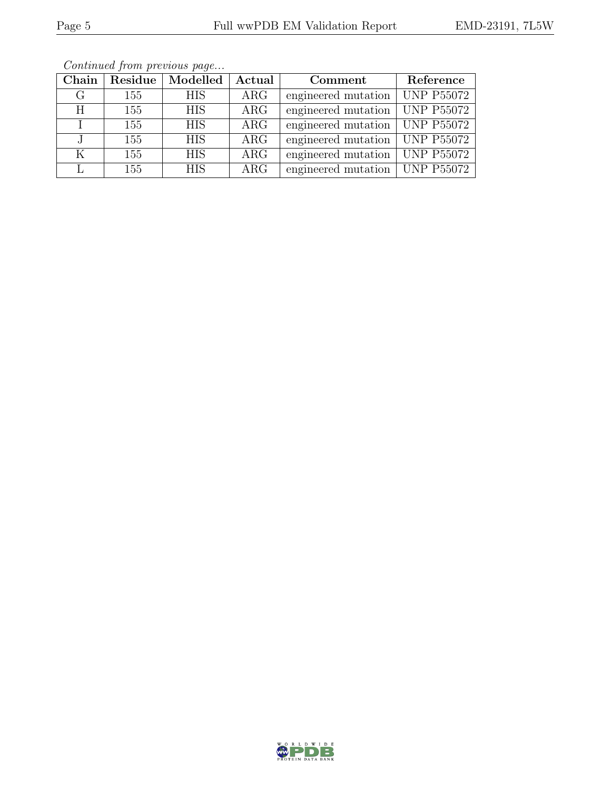| Chain | Residue | Modelled   | Actual     | Comment             | Reference         |
|-------|---------|------------|------------|---------------------|-------------------|
| G     | 155     | <b>HIS</b> | $\rm{ARG}$ | engineered mutation | <b>UNP P55072</b> |
| Η     | 155     | <b>HIS</b> | $\rm{ARG}$ | engineered mutation | <b>UNP P55072</b> |
|       | 155     | <b>HIS</b> | $\rm{ARG}$ | engineered mutation | <b>UNP P55072</b> |
|       | 155     | <b>HIS</b> | ARG        | engineered mutation | <b>UNP P55072</b> |
| K     | 155     | <b>HIS</b> | ARG        | engineered mutation | <b>UNP P55072</b> |
|       | 155     | <b>HIS</b> | $\rm{ARG}$ | engineered mutation | <b>UNP P55072</b> |

Continued from previous page...

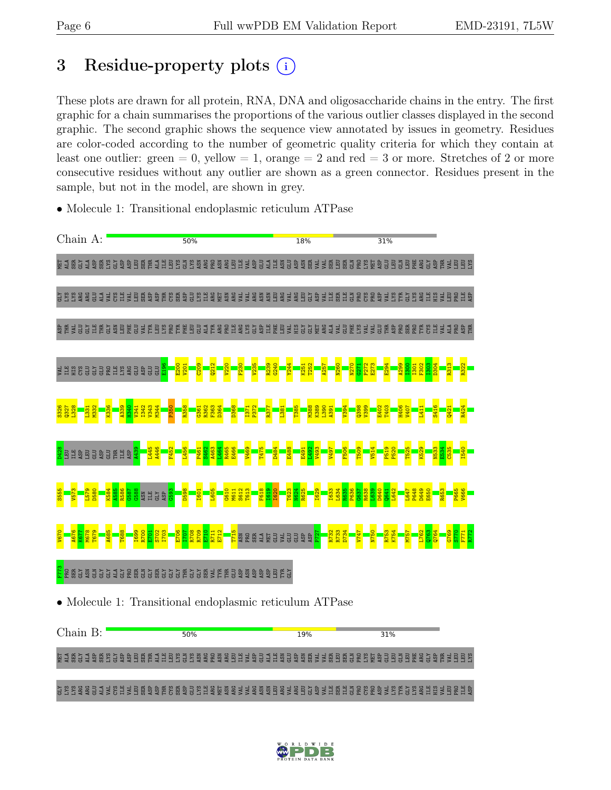## 3 Residue-property plots  $(i)$

These plots are drawn for all protein, RNA, DNA and oligosaccharide chains in the entry. The first graphic for a chain summarises the proportions of the various outlier classes displayed in the second graphic. The second graphic shows the sequence view annotated by issues in geometry. Residues are color-coded according to the number of geometric quality criteria for which they contain at least one outlier: green  $= 0$ , yellow  $= 1$ , orange  $= 2$  and red  $= 3$  or more. Stretches of 2 or more consecutive residues without any outlier are shown as a green connector. Residues present in the sample, but not in the model, are shown in grey.

• Molecule 1: Transitional endoplasmic reticulum ATPase



Chain B:  $50%$ 19% 31% LI ALA SER SER GLAN ALA SER GLAN ALA SER GLAN ALA SER GLAN ALA SER GLAN ALA SER SER LI ALA SER GLAN ALA SER GL<br>LI ALA SER SER GLAN ALA SER GLAN SER GLAN ALA SER GLAN ALA SER GLAN ALA SER GLAN ALA SER SER GLAN ALA SER GLAN THR VAL LEU LEU LYS GLY LYS LYS ARG ARG GLU ALA VAL CYS ILE VAL LEU SER ASP ASP THR CYS SER ASP GLU LYS ILE ARG MET ASN ARG VAL VAL ARG ASN ASN LEU ARG VAL ARG LEU GLY ASP VAL ILE SER ILE GLN PRO CYS PRO ASP VAL LYS TYR GLY LYS ARG ILE HIS VAL LEU PRO ILE ASP

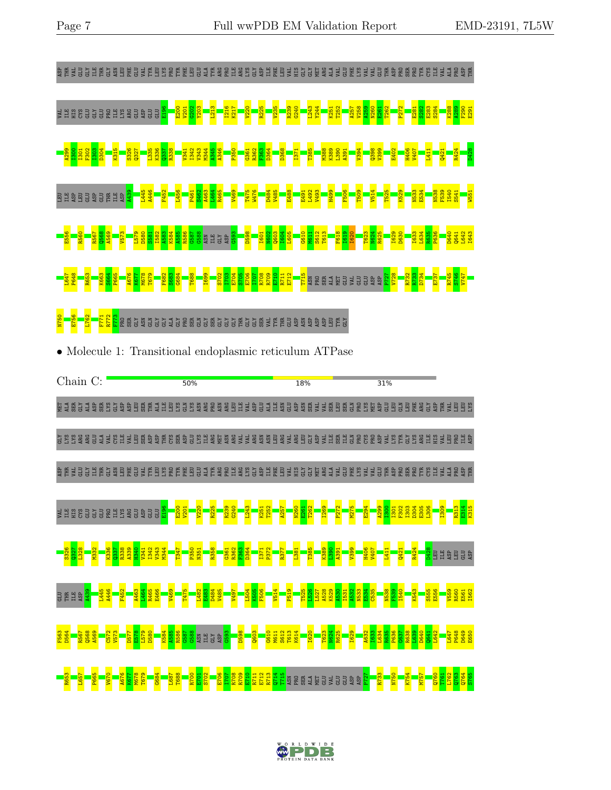

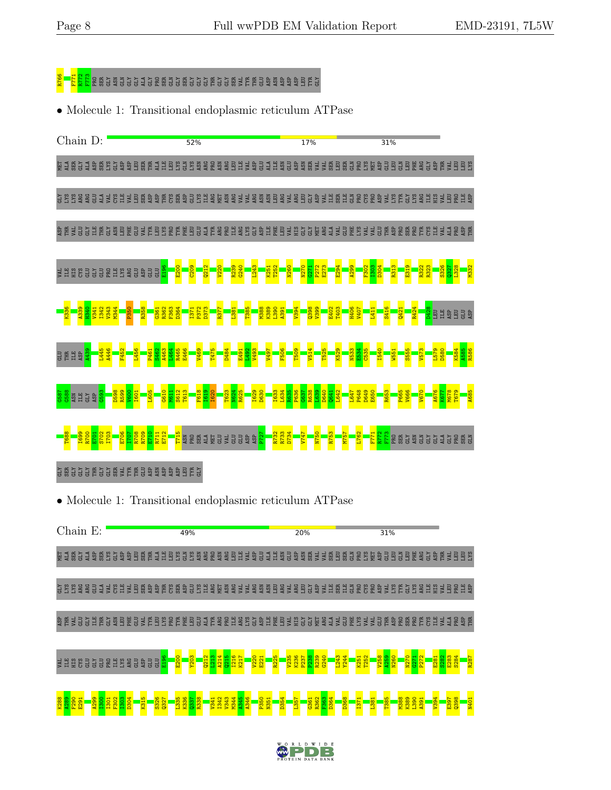

• Molecule 1: Transitional endoplasmic reticulum ATPase

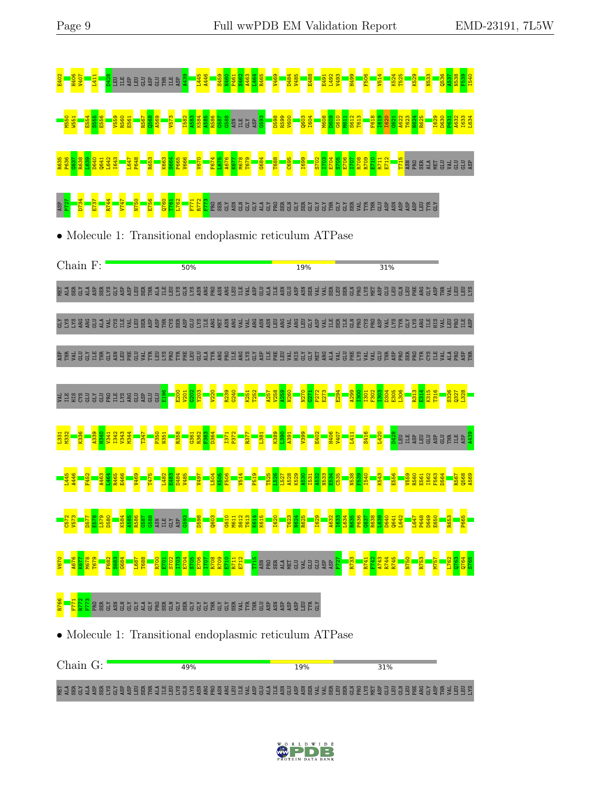

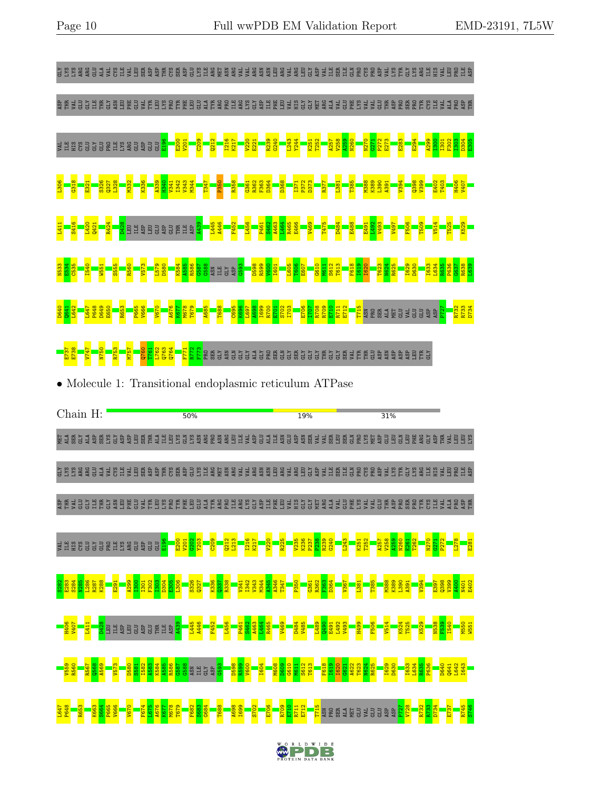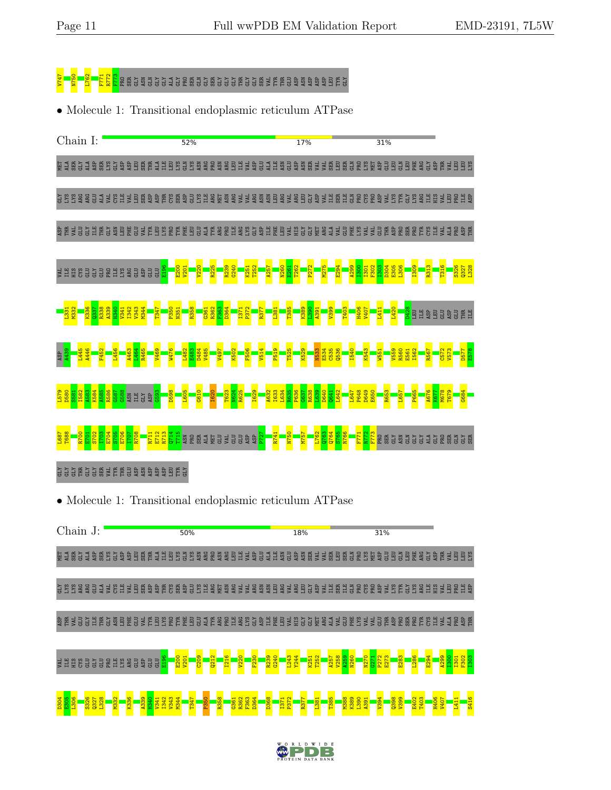

• Molecule 1: Transitional endoplasmic reticulum ATPase

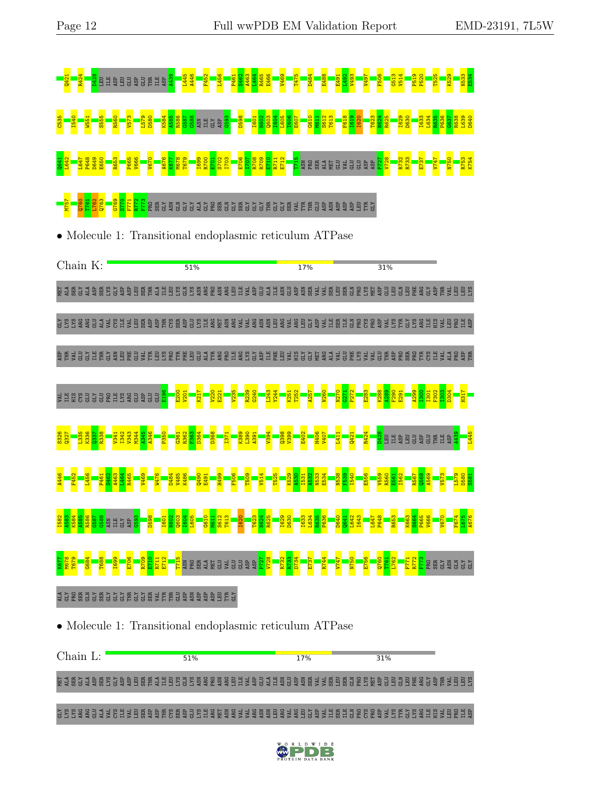

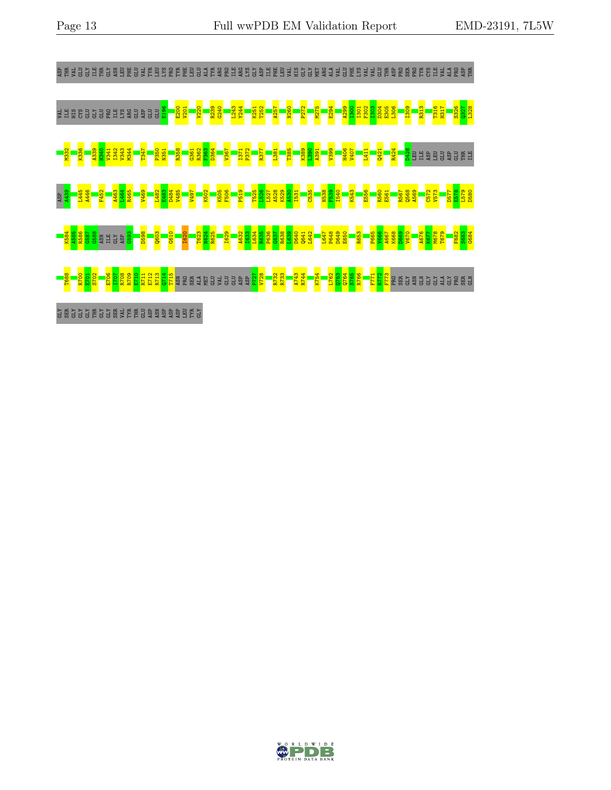

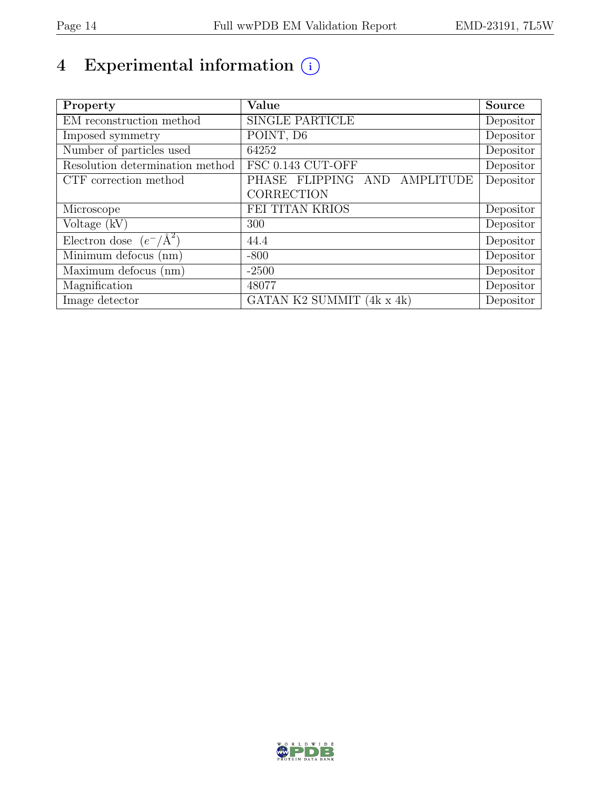# 4 Experimental information  $\bigcirc$

| Property                           | Value                                  | Source    |
|------------------------------------|----------------------------------------|-----------|
| EM reconstruction method           | <b>SINGLE PARTICLE</b>                 | Depositor |
| Imposed symmetry                   | POINT, D6                              | Depositor |
| Number of particles used           | 64252                                  | Depositor |
| Resolution determination method    | FSC 0.143 CUT-OFF                      | Depositor |
| CTF correction method              | AND AMPLITUDE<br>PHASE FLIPPING        | Depositor |
|                                    | CORRECTION                             |           |
| Microscope                         | FEI TITAN KRIOS                        | Depositor |
| Voltage $(kV)$                     | 300                                    | Depositor |
| Electron dose $(e^-/\text{\AA}^2)$ | 44.4                                   | Depositor |
| Minimum defocus (nm)               | $-800$                                 | Depositor |
| Maximum defocus (nm)               | $-2500$                                | Depositor |
| Magnification                      | 48077                                  | Depositor |
| Image detector                     | GATAN K2 SUMMIT $(\overline{4k x 4k})$ | Depositor |

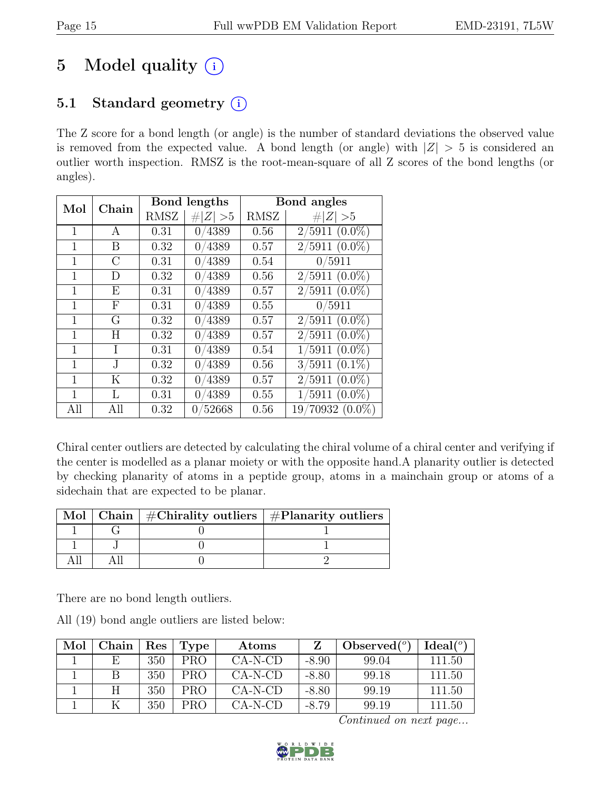## 5 Model quality  $(i)$

### 5.1 Standard geometry  $(i)$

The Z score for a bond length (or angle) is the number of standard deviations the observed value is removed from the expected value. A bond length (or angle) with  $|Z| > 5$  is considered an outlier worth inspection. RMSZ is the root-mean-square of all Z scores of the bond lengths (or angles).

| Mol<br>Chain |               |             | Bond lengths | Bond angles |                    |  |
|--------------|---------------|-------------|--------------|-------------|--------------------|--|
|              |               | <b>RMSZ</b> | $\# Z  > 5$  | RMSZ        | $\# Z  > 5$        |  |
| 1            | А             | 0.31        | 0/4389       | 0.56        | $2/5911(0.0\%)$    |  |
|              | B             | 0.32        | 0/4389       | 0.57        | $2/5911(0.0\%)$    |  |
| 1            | $\mathcal{C}$ | 0.31        | 0/4389       | 0.54        | 0/5911             |  |
|              | D             | 0.32        | 0/4389       | 0.56        | $2/5911(0.0\%)$    |  |
| 1            | E             | 0.31        | 0/4389       | 0.57        | $2/5911(0.0\%)$    |  |
| 1            | F             | 0.31        | 0/4389       | 0.55        | 0/5911             |  |
| 1            | G             | 0.32        | 0/4389       | 0.57        | $2/5911(0.0\%)$    |  |
| 1            | Н             | 0.32        | 0/4389       | 0.57        | $2/5911(0.0\%)$    |  |
| 1            | I             | 0.31        | 0/4389       | 0.54        | $1/5911$ $(0.0\%)$ |  |
| 1            | J.            | 0.32        | 0/4389       | 0.56        | $3/5911$ $(0.1\%)$ |  |
| 1            | K             | 0.32        | 0/4389       | 0.57        | $2/5911(0.0\%)$    |  |
| 1            | L             | 0.31        | 0/4389       | 0.55        | $1/5911(0.0\%)$    |  |
| All          | All           | 0.32        | 0/52668      | 0.56        | $19/70932(0.0\%)$  |  |

Chiral center outliers are detected by calculating the chiral volume of a chiral center and verifying if the center is modelled as a planar moiety or with the opposite hand.A planarity outlier is detected by checking planarity of atoms in a peptide group, atoms in a mainchain group or atoms of a sidechain that are expected to be planar.

|  | Mol   Chain   $\#\text{Chirality outliers}$   $\#\text{Planarity outliers}$ |
|--|-----------------------------------------------------------------------------|
|  |                                                                             |
|  |                                                                             |
|  |                                                                             |

There are no bond length outliers.

All (19) bond angle outliers are listed below:

| Mol | Chain | $\operatorname{Res}% \left( \mathcal{N}\right) \equiv\operatorname{Res}(\mathcal{N}_{0},\mathcal{N}_{0})$ | Type | Atoms     | Z       | Observed $(°)$ | Ideal <sup>(o)</sup> |
|-----|-------|-----------------------------------------------------------------------------------------------------------|------|-----------|---------|----------------|----------------------|
|     | E     | 350                                                                                                       | PRO. | $CA-N-CD$ | $-8.90$ | 99.04          | 111.50               |
|     |       | 350                                                                                                       | PRO. | $CA-N-CD$ | $-8.80$ | 99.18          | 111.50               |
|     |       | 350                                                                                                       | PRO  | $CA-N-CD$ | $-8.80$ | 99.19          | 111.50               |
|     |       | 350                                                                                                       | PRO  | $CA-N-CD$ | $-8.79$ | 99.19          | 111.50               |

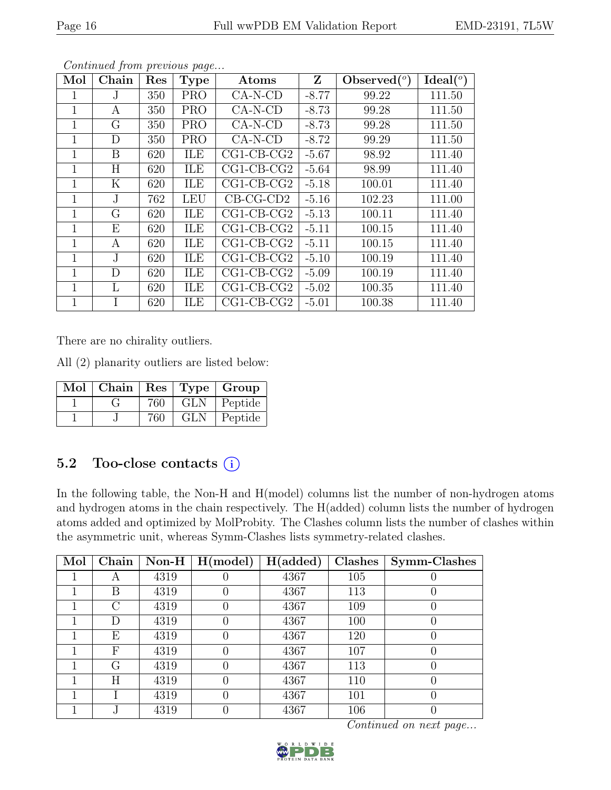| Mol          | Chain        | Res | <b>Type</b> | Atoms        | Z       | Observed $(°)$ | Ideal <sup>(o)</sup> |
|--------------|--------------|-----|-------------|--------------|---------|----------------|----------------------|
| 1            | $\cdot$      | 350 | <b>PRO</b>  | CA-N-CD      | $-8.77$ | 99.22          | 111.50               |
| $\mathbf 1$  | A            | 350 | <b>PRO</b>  | $CA-N-CD$    | $-8.73$ | 99.28          | 111.50               |
| 1            | G            | 350 | <b>PRO</b>  | $CA-N-CD$    | $-8.73$ | 99.28          | 111.50               |
| 1            | D            | 350 | <b>PRO</b>  | $CA-N-CD$    | $-8.72$ | 99.29          | 111.50               |
| $\mathbf 1$  | $\mathbf{B}$ | 620 | ILE         | $CG1-CB-CG2$ | $-5.67$ | 98.92          | 111.40               |
| 1            | Η            | 620 | ILE         | $CG1-CB-CG2$ | $-5.64$ | 98.99          | 111.40               |
| $\mathbf 1$  | Κ            | 620 | ILE         | $CG1-CB-CG2$ | $-5.18$ | 100.01         | 111.40               |
| 1            | J            | 762 | <b>LEU</b>  | $CB-CG-CD2$  | $-5.16$ | 102.23         | 111.00               |
| $\mathbf{1}$ | G            | 620 | ILE         | $CG1-CB-CG2$ | $-5.13$ | 100.11         | 111.40               |
| $\mathbf 1$  | Ε            | 620 | ILE         | $CG1-CB-CG2$ | $-5.11$ | 100.15         | 111.40               |
| 1            | Α            | 620 | ILE         | $CG1-CB-CG2$ | $-5.11$ | 100.15         | 111.40               |
| $\mathbf 1$  | J.           | 620 | ILE         | $CG1-CB-CG2$ | $-5.10$ | 100.19         | 111.40               |
| $\mathbf 1$  | D            | 620 | ILE         | $CG1-CB-CG2$ | $-5.09$ | 100.19         | 111.40               |
| 1            | L            | 620 | ILE         | $CG1-CB-CG2$ | $-5.02$ | 100.35         | 111.40               |
| $\mathbf 1$  | I            | 620 | ILE         | $CG1-CB-CG2$ | $-5.01$ | 100.38         | 111.40               |

There are no chirality outliers.

All (2) planarity outliers are listed below:

| Mol | Chain 1 |     |            | $\vert$ Res $\vert$ Type $\vert$ Group |
|-----|---------|-----|------------|----------------------------------------|
|     |         | 760 | GLN        | Peptide                                |
|     |         | 760 | <b>GLN</b> | Peptide                                |

### 5.2 Too-close contacts  $(i)$

In the following table, the Non-H and H(model) columns list the number of non-hydrogen atoms and hydrogen atoms in the chain respectively. The H(added) column lists the number of hydrogen atoms added and optimized by MolProbity. The Clashes column lists the number of clashes within the asymmetric unit, whereas Symm-Clashes lists symmetry-related clashes.

| Mol | Chain     | $Non-H$ | H (model) | H(added) | Clashes | Symm-Clashes     |
|-----|-----------|---------|-----------|----------|---------|------------------|
|     | А         | 4319    |           | 4367     | 105     |                  |
|     | Β         | 4319    |           | 4367     | 113     | U                |
|     | $\bigcap$ | 4319    |           | 4367     | 109     | $\left( \right)$ |
|     | D         | 4319    |           | 4367     | 100     | 0                |
|     | Ε         | 4319    |           | 4367     | 120     | 0                |
|     | F         | 4319    |           | 4367     | 107     | $\left( \right)$ |
|     | G         | 4319    |           | 4367     | 113     | $\left( \right)$ |
|     | Η         | 4319    |           | 4367     | 110     | $\left( \right)$ |
|     |           | 4319    |           | 4367     | 101     | $\left( \right)$ |
|     |           | 4319    |           | 4367     | 106     |                  |

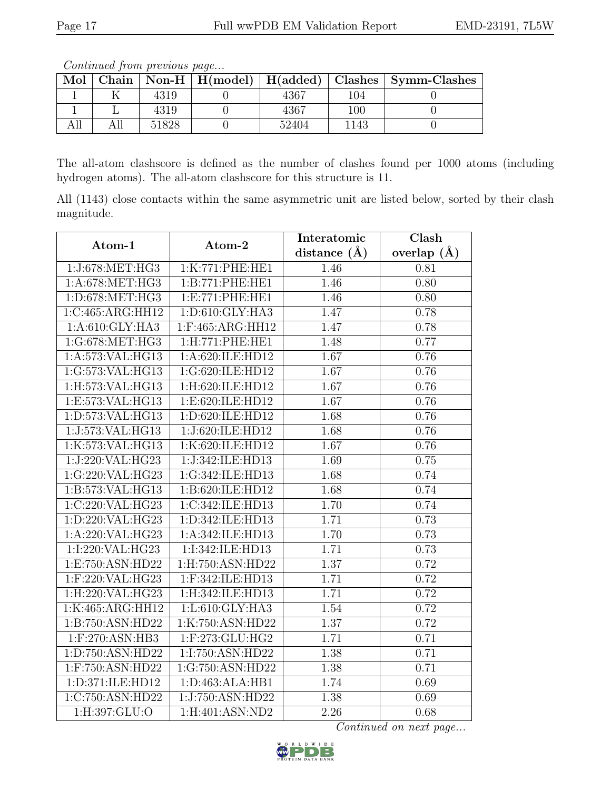Continued from previous page...

| Mol |       |       |         | Chain   Non-H   H(model)   H(added)   Clashes   Symm-Clashes |
|-----|-------|-------|---------|--------------------------------------------------------------|
|     | 4319  | 4367  | 104     |                                                              |
|     | 4319  | 4367  | $100\,$ |                                                              |
|     | 51828 | 52404 | 143     |                                                              |

The all-atom clashscore is defined as the number of clashes found per 1000 atoms (including hydrogen atoms). The all-atom clashscore for this structure is 11.

All (1143) close contacts within the same asymmetric unit are listed below, sorted by their clash magnitude.

| Atom-1              | Atom-2                        | Interatomic       | Clash             |
|---------------------|-------------------------------|-------------------|-------------------|
|                     |                               | distance $(\AA)$  | overlap $(A)$     |
| 1:J:678:MET:HG3     | 1:K:771:PHE:HE1               | 1.46              | 0.81              |
| 1: A:678:MET:HG3    | 1:B:771:PHE:HE1               | 1.46              | $\overline{0.80}$ |
| 1:D:678:MET:HG3     | 1:E:771:PHE:HE1               | 1.46              | 0.80              |
| 1:C:465:ARG:HH12    | 1:D:610:GLY:HA3               | 1.47              | 0.78              |
| 1:A:610:GLY:HA3     | 1:F:465:ARG:HH12              | 1.47              | 0.78              |
| 1:G:678:MET:HG3     | 1:H:771:PHE:HE1               | 1.48              | 0.77              |
| 1:A:573:VAL:HG13    | $1:A:620:I\overline{LE:HD12}$ | 1.67              | 0.76              |
| 1:G:573:VAL:HG13    | 1:G:620:ILE:HD12              | 1.67              | 0.76              |
| 1:H:573:VAL:HG13    | 1:H:620:ILE:HD12              | $\overline{1.67}$ | 0.76              |
| 1:E:573:VAL:HG13    | 1:E:620:ILE:HD12              | 1.67              | 0.76              |
| 1:D:573:VAL:HG13    | 1:D:620:ILE:HD12              | 1.68              | 0.76              |
| 1:J:573:VAL:HG13    | 1:J:620:ILE:HD12              | 1.68              | 0.76              |
| 1:K:573:VAL:HG13    | 1:K:620:ILE:HD12              | 1.67              | 0.76              |
| 1:J:220:VAL:HG23    | 1:J:342:ILE:HD13              | 1.69              | 0.75              |
| 1:G:220:VAL:HG23    | 1:G:342:ILE:HD13              | 1.68              | 0.74              |
| 1:B:573:VAL:HG13    | 1:B:620:ILE:HD12              | 1.68              | 0.74              |
| 1:C:220:VAL:HG23    | 1:C:342:ILE:HD13              | 1.70              | 0.74              |
| 1:D:220:VAL:HG23    | 1:D:342:ILE:HD13              | 1.71              | 0.73              |
| 1:A:220:VAL:HG23    | 1:A:342:ILE:HD13              | 1.70              | 0.73              |
| 1:I:220:VAL:HG23    | 1:I:342:ILE:HD13              | 1.71              | 0.73              |
| 1:E:750:ASN:HD22    | 1:H:750:ASN:HD22              | 1.37              | 0.72              |
| 1:F:220:VAL:HG23    | 1:F:342:ILE:HD13              | 1.71              | 0.72              |
| 1:H:220:VAL:HG23    | 1:H:342:ILE:HD13              | 1.71              | 0.72              |
| 1:K:465:ARG:HH12    | 1:L:610:GLY:HA3               | 1.54              | 0.72              |
| 1:B:750:ASN:HD22    | 1:K:750:ASN:HD22              | 1.37              | 0.72              |
| $1:$ F:270:ASN:HB3  | 1:F:273:GLU:HG2               | 1.71              | 0.71              |
| 1:D:750:ASN:HD22    | 1:I:750:ASN:HD22              | 1.38              | 0.71              |
| $1:$ F:750:ASN:HD22 | 1:G:750:ASN:HD22              | 1.38              | 0.71              |
| 1:D:371:ILE:HD12    | 1: D: 463: ALA: HB1           | 1.74              | 0.69              |
| 1:C:750:ASN:HD22    | 1:J:750:ASN:HD22              | 1.38              | 0.69              |
| $1:$ H:397:GLU:O    | 1:H:401:ASN:ND2               | 2.26              | 0.68              |

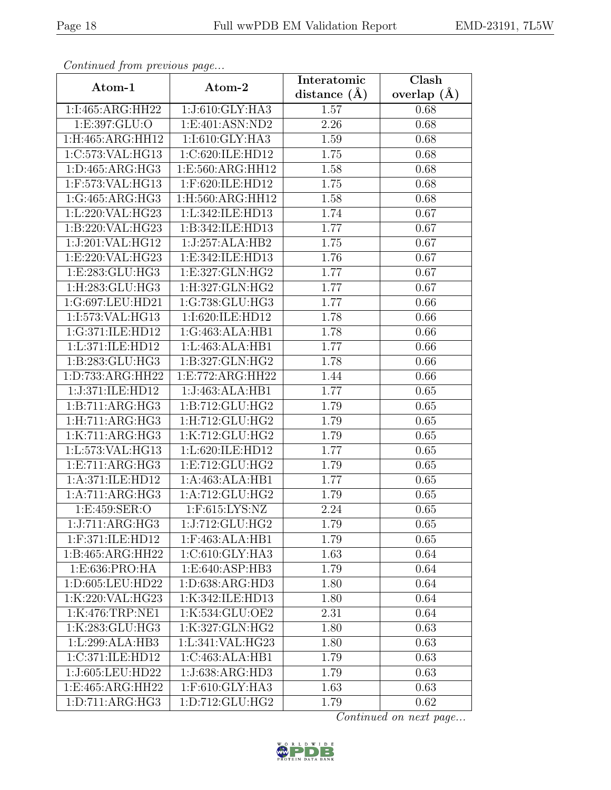| Continuati jibni protibus puga |                                      | Interatomic    | $\overline{\text{Clash}}$ |  |
|--------------------------------|--------------------------------------|----------------|---------------------------|--|
| Atom-1                         | Atom-2                               | distance $(A)$ | overlap $(A)$             |  |
| 1:I:465:ARG:HH22               | 1:J:610:GLY:HA3                      | 1.57           | 0.68                      |  |
| 1:E:397:GLU:O                  | 1:E:401:ASN:ND2                      | 2.26           | 0.68                      |  |
| 1:H:465:ARG:HH12               | 1:1:610:GLY:HA3                      | 1.59           | 0.68                      |  |
| 1:C:573:VAL:HG13               | 1:C:620:ILE:HD12                     | 1.75           | 0.68                      |  |
| 1:D:465:ARG:HG3                | $1:E:560:A\overline{\text{RG:HH}12}$ | 1.58           | 0.68                      |  |
| $1:$ F:573:VAL:HG13            | 1:F:620:ILE:HD12                     | 1.75           | 0.68                      |  |
| 1:G:465:ARG:HG3                | 1:H:560:ARG:HH12                     | 1.58           | 0.68                      |  |
| 1:L:220:VAL:HG23               | 1:L:342:ILE:HD13                     | 1.74           | 0.67                      |  |
| 1:B:220:VAL:HG23               | 1:B:342:ILE:HD13                     | 1.77           | 0.67                      |  |
| 1:J:201:VAL:HG12               | 1:J:257:ALA:HB2                      | 1.75           | 0.67                      |  |
| 1:E:220:VAL:HG23               | 1:E:342:ILE:HD13                     | 1.76           | 0.67                      |  |
| 1:E:283:GLU:HG3                | 1:E:327:GLN:HG2                      | 1.77           | 0.67                      |  |
| 1:H:283:GLU:HG3                | 1:H:327:GLN:HG2                      | 1.77           | 0.67                      |  |
| 1:G:697:LEU:HD21               | 1:G:738:GLU:HG3                      | 1.77           | 0.66                      |  |
| 1:I:573:VAL:HG13               | 1:I:620:ILE:HD12                     | 1.78           | 0.66                      |  |
| 1:G:371:ILE:HD12               | 1:G:463:ALA:HB1                      | 1.78           | 0.66                      |  |
| 1:L:371:ILE:HD12               | 1:L:463:ALA:HB1                      | 1.77           | 0.66                      |  |
| 1:B:283:GLU:HG3                | 1:B:327:GLN:HG2                      | 1.78           | 0.66                      |  |
| 1:D:733:ARG:HH22               | 1:E:772:ARG:HH22                     | 1.44           | 0.66                      |  |
| 1:J:371:ILE:HD12               | 1:J:463:ALA:HB1                      | 1.77           | 0.65                      |  |
| 1:B:711:ARG:HG3                | 1: B: 712: GLU: HG2                  | 1.79           | 0.65                      |  |
| 1: H: 711: ARG: HG3            | 1:H:712:GLU:HG2                      | 1.79           | 0.65                      |  |
| 1:K:711:ARG:HG3                | 1:K:712:GLU:HG2                      | 1.79           | 0.65                      |  |
| 1:L:573: VAL: HG13             | 1:L:620:ILE:HD12                     | 1.77           | 0.65                      |  |
| 1:E:711:ARG:HG3                | 1:E:712:GLU:HG2                      | 1.79           | 0.65                      |  |
| 1:A:371:ILE:HD12               | 1:A:463:ALA:HB1                      | 1.77           | 0.65                      |  |
| 1:A:711:ARG:HG3                | 1:A:712:GLU:HG2                      | 1.79           | 0.65                      |  |
| 1: E: 459: SER: O              | 1:F:615:LYS:NZ                       | 2.24           | 0.65                      |  |
| 1:J:711:ARG:HG3                | 1:J:712:GLU:HG2                      | 1.79           | 0.65                      |  |
| 1:F:371:ILE:HD12               | $1:$ F:463:ALA:HB1                   | 1.79           | 0.65                      |  |
| 1:B:465:ARG:HH22               | 1:C:610:GLY:HA3                      | 1.63           | 0.64                      |  |
| 1:E:636:PRO:HA                 | 1:E:640:ASP:HB3                      | 1.79           | 0.64                      |  |
| 1:D:605:LEU:HD22               | 1:D:638:ARG:HD3                      | 1.80           | 0.64                      |  |
| 1:K:220:VAL:HG23               | 1:K:342:ILE:HD13                     | 1.80           | 0.64                      |  |
| 1:K:476:TRP:NE1                | 1:K:534:GLU:OE2                      | 2.31           | 0.64                      |  |
| 1:K:283:GLU:HG3                | 1:K:327:GLN:HG2                      | 1.80           | 0.63                      |  |
| 1:L:299:ALA:HB3                | 1:L:341:VAL:HG23                     | 1.80           | 0.63                      |  |
| 1:C:371:ILE:HD12               | 1:C:463:ALA:HB1                      | 1.79           | 0.63                      |  |
| 1:J:605:LEU:HD22               | 1:J:638:ARG:HD3                      | 1.79           | 0.63                      |  |
| 1:E:465:ARG:HH22               | 1:F:610:GLY:HA3                      | 1.63           | 0.63                      |  |
| 1: D: 711: ARG: HG3            | 1:D:712:GLU:HG2                      | 1.79           | 0.62                      |  |

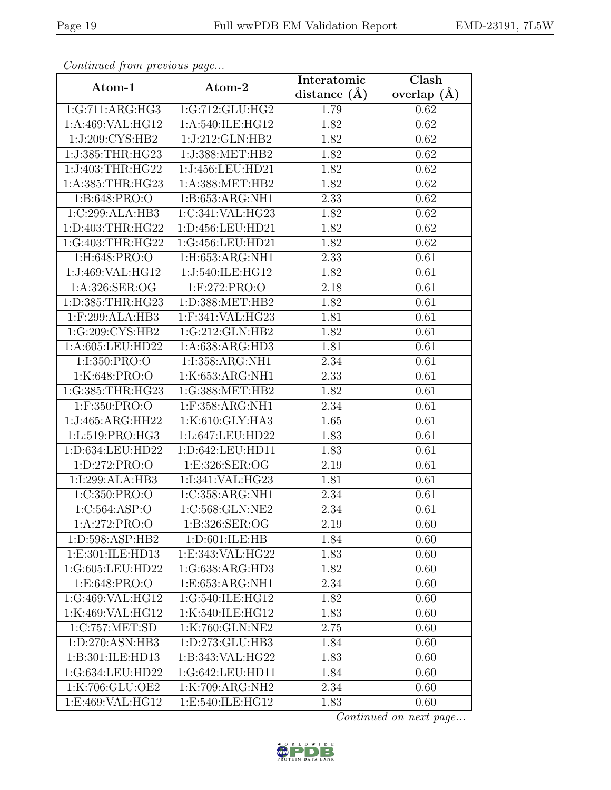| Continuati jibin protibus puga |                                  | Interatomic    | Clash         |  |
|--------------------------------|----------------------------------|----------------|---------------|--|
| Atom-1                         | Atom-2                           | distance $(A)$ | overlap $(A)$ |  |
| 1:G:711:ARG:HG3                | 1:G:712:GLU:HG2                  | 1.79           | 0.62          |  |
| 1:A:469:VAL:HG12               | 1:A:540:ILE:HG12                 | 1.82           | 0.62          |  |
| 1:J:209:CYS:HB2                | 1:J:212:GLN:HB2                  | 1.82           | 0.62          |  |
| 1:J:385:THR:HG23               | 1:J:388:MET:HB2                  | 1.82           | 0.62          |  |
| 1:J:403:THR:HG22               | 1:J:456:LEU:HD21                 | 1.82           | 0.62          |  |
| 1: A: 385: THR: HG23           | 1: A: 388: MET: HB2              | 1.82           | 0.62          |  |
| 1:B:648:PRO:O                  | 1:B:653:ARG:NH1                  | 2.33           | 0.62          |  |
| 1:C:299:ALA:HB3                | 1:C:341:VAL:HG23                 | 1.82           | 0.62          |  |
| 1:D:403:THR:HG22               | 1:D:456:LEU:HD21                 | 1.82           | 0.62          |  |
| 1:G:403:THR:HG22               | 1:G:456:LEU:HD21                 | 1.82           | 0.62          |  |
| 1:H:648:PRO:O                  | 1:H:653:ARG:NH1                  | 2.33           | 0.61          |  |
| 1:J:469:VAL:HG12               | 1:J:540:ILE:HG12                 | 1.82           | 0.61          |  |
| 1:A:326:SER:OG                 | $1:$ F:272:PRO:O                 | 2.18           | 0.61          |  |
| 1:D:385:THR:HG23               | $1: D: 388: MET: \overline{HB2}$ | 1.82           | 0.61          |  |
| 1:F:299:ALA:HB3                | 1:F:341:VAL:HG23                 | 1.81           | 0.61          |  |
| 1:G:209:CYS:HB2                | 1:G:212:GLN:HB2                  | 1.82           | 0.61          |  |
| 1:A:605:LEU:HD22               | 1:A:638:ARG:HD3                  | 1.81           | 0.61          |  |
| 1:I:350:PRO:O                  | 1:I:358:ARG:NH1                  | 2.34           | 0.61          |  |
| 1:K:648:PRO:O                  | 1:K:653:ARG:NH1                  | 2.33           | 0.61          |  |
| 1:G:385:THR:HG23               | 1:G:388:MET:HB2                  | 1.82           | 0.61          |  |
| 1:F:350:PRO:O                  | 1:F:358:ARG:NH1                  | 2.34           | 0.61          |  |
| 1:J:465:ARG:HH22               | 1:K:610:GLY:HA3                  | 1.65           | 0.61          |  |
| 1:L:519:PRO:HG3                | 1:L:647:LEU:HD22                 | 1.83           | 0.61          |  |
| 1:D:634:LEU:HD22               | 1:D:642:LEU:HD11                 | 1.83           | 0.61          |  |
| 1:D:272:PRO:O                  | 1:E:326:SER:OG                   | 2.19           | 0.61          |  |
| 1:I:299:ALA:HB3                | 1:I:341:VAL:HG23                 | 1.81           | 0.61          |  |
| 1:C:350:PRO:O                  | 1:C:358:ARG:NH1                  | 2.34           | 0.61          |  |
| 1: C: 564: ASP: O              | 1:C:568:GLN:NE2                  | 2.34           | 0.61          |  |
| 1:A:272:PRO:O                  | 1:B:326:SER:OG                   | 2.19           | 0.60          |  |
| 1:D:598:ASP:HB2                | 1: D:601: ILE: HB                | 1.84           | 0.60          |  |
| 1:E:301:ILE:HD13               | 1:E:343:VAL:HG22                 | 1.83           | 0.60          |  |
| 1:G:605:LEU:HD22               | 1:G:638:ARG:HD3                  | 1.82           | 0.60          |  |
| 1: E:648: PRO:O                | 1:E:653:ARG:NH1                  | 2.34           | 0.60          |  |
| 1:G:469:VAL:HG12               | 1:G:540:ILE:HG12                 | 1.82           | 0.60          |  |
| 1:K:469:VAL:HG12               | 1:K:540:ILE:HG12                 | 1.83           | 0.60          |  |
| 1:C:757:MET:SD                 | 1:K:760:GLN:NE2                  | 2.75           | 0.60          |  |
| 1: D: 270: ASN: HB3            | 1:D:273:GLU:HB3                  | 1.84           | 0.60          |  |
| $1:B:301:I\overline{LE:HD13}$  | 1:B:343:VAL:HG22                 | 1.83           | 0.60          |  |
| 1:G:634:LEU:HD22               | 1:G:642:LEU:HD11                 | 1.84           | 0.60          |  |
| 1:K:706:GLU:OE2                | 1:K:709:ARG:NH2                  | 2.34           | 0.60          |  |
| 1:E:469:VAL:HG12               | 1:E:540:ILE:HG12                 | 1.83           | 0.60          |  |

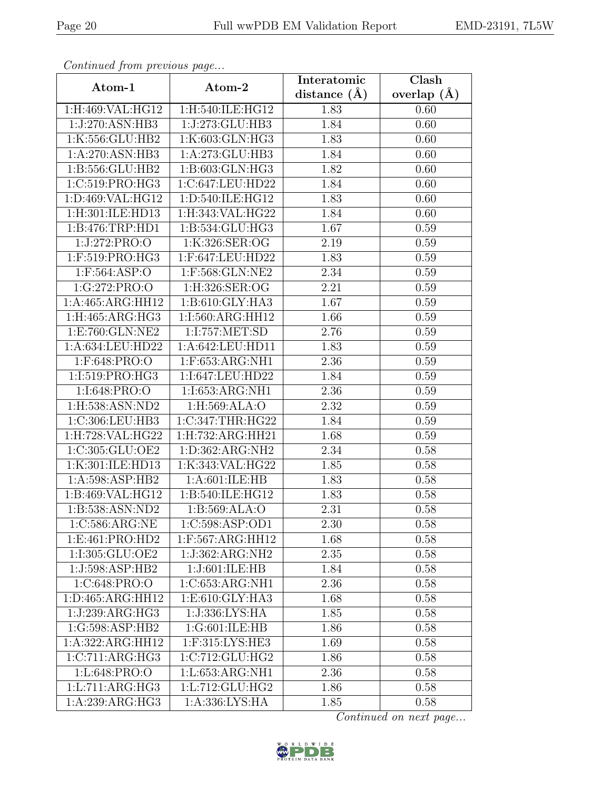| Continuati jibin protibus puga |                                    | Interatomic    | Clash         |  |
|--------------------------------|------------------------------------|----------------|---------------|--|
| Atom-1                         | Atom-2                             | distance $(A)$ | overlap $(A)$ |  |
| 1:H:469:VAL:HG12               | 1:H:540:ILE:HG12                   | 1.83           | 0.60          |  |
| 1:J:270:ASN:HB3                | 1:J:273:GLU:HB3                    | 1.84           | 0.60          |  |
| 1:K:556:GLU:HB2                | 1:K:603:GLN:HG3                    | 1.83           | 0.60          |  |
| 1:A:270:ASN:HB3                | 1:A:273:GLU:HB3                    | 1.84           | 0.60          |  |
| 1:B:556:GLU:HB2                | 1:B:603:GLN:HG3                    | 1.82           | 0.60          |  |
| 1:C:519:PRO:HG3                | 1:C:647:LEU:HD22                   | 1.84           | 0.60          |  |
| 1:D:469:VAL:HG12               | 1:D:540:ILE:HG12                   | 1.83           | 0.60          |  |
| 1:H:301:ILE:HD13               | 1:H:343:VAL:HG22                   | 1.84           | 0.60          |  |
| 1:B:476:TRP:HD1                | 1:B:534:GLU:HG3                    | 1.67           | 0.59          |  |
| 1:J:272:PRO:O                  | 1:K:326:SER:OG                     | 2.19           | 0.59          |  |
| 1:F:519:PRO:HG3                | 1:F:647:LEU:HD22                   | 1.83           | 0.59          |  |
| $1:$ F:564:ASP:O               | 1:F:568:GLN:NE2                    | 2.34           | 0.59          |  |
| 1:G:272:PRO:O                  | 1:H:326:SER:OG                     | 2.21           | 0.59          |  |
| 1:A:465:ARG:HH12               | 1:B:610:GLY:HA3                    | 1.67           | 0.59          |  |
| 1:H:465:ARG:HG3                | 1:I:560:ARG:HH12                   | 1.66           | 0.59          |  |
| 1:E:760:GLN:NE2                | 1:I:757:MET:SD                     | 2.76           | 0.59          |  |
| 1:A:634:LEU:HD22               | 1:A:642:LEU:HD11                   | 1.83           | 0.59          |  |
| 1:F:648:PRO:O                  | 1:F:653:ARG:NH1                    | 2.36           | 0.59          |  |
| 1:I:519:PRO:HG3                | 1:I:647:LEU:HD22                   | 1.84           | 0.59          |  |
| 1:I:648:PRO:O                  | 1:I:653:ARG:NH1                    | 2.36           | 0.59          |  |
| 1:H:538:ASN:ND2                | 1:H:569:ALA:O                      | 2.32           | 0.59          |  |
| 1:C:306:LEU:HB3                | 1:C:347:THR:HG22                   | 1.84           | 0.59          |  |
| 1:H:728:VAL:HG22               | 1:H:732:ARG:HH21                   | 1.68           | 0.59          |  |
| 1:C:305:GLU:OE2                | 1:D:362:ARG:NH2                    | 2.34           | 0.58          |  |
| 1:K:301:ILE:HD13               | 1:K:343:VAL:HG22                   | 1.85           | 0.58          |  |
| 1:A:598:ASP:HB2                | $1:A:601:\overline{\text{ILE:HB}}$ | 1.83           | 0.58          |  |
| 1:B:469:VAL:HG12               | 1:B:540:ILE:HG12                   | 1.83           | 0.58          |  |
| 1:B:538:ASN:ND2                | 1:B:569:ALA:O                      | 2.31           | 0.58          |  |
| 1:C:586:ARG:NE                 | 1:C:598:ASP:OD1                    | 2.30           | 0.58          |  |
| 1:E:461:PRO:HD2                | 1:F:567:ARG:HH12                   | 1.68           | 0.58          |  |
| 1:I:305:GLU:OE2                | 1:J:362:ARG:NH2                    | 2.35           | 0.58          |  |
| 1:J:598:ASP:HB2                | 1:J:601:ILE:HB                     | 1.84           | 0.58          |  |
| 1: C:648: PRO:O                | 1:C:653:ARG:NH1                    | 2.36           | 0.58          |  |
| 1:D:465:ARG:HH12               | 1:E:610:GLY:HA3                    | 1.68           | 0.58          |  |
| 1:J:239:ARG:HG3                | 1:J:336:LYS:HA                     | 1.85           | 0.58          |  |
| 1:G:598:ASP:HB2                | 1:G:601:ILE:HB                     | 1.86           | 0.58          |  |
| 1:A:322:ARG:HH12               | $1:$ F:315:LYS:HE3                 | 1.69           | 0.58          |  |
| 1:C:711:ARG:HG3                | 1:C:712:GLU:HG2                    | 1.86           | 0.58          |  |
| 1:L:648:PRO:O                  | 1:L:653:ARG:NH1                    | 2.36           | 0.58          |  |
| 1:L:711:ARG:HG3                | 1:L:712:GLU:HG2                    | 1.86           | 0.58          |  |
| 1:A:239:ARG:HG3                | 1:A:336:LYS:HA                     | 1.85           | 0.58          |  |

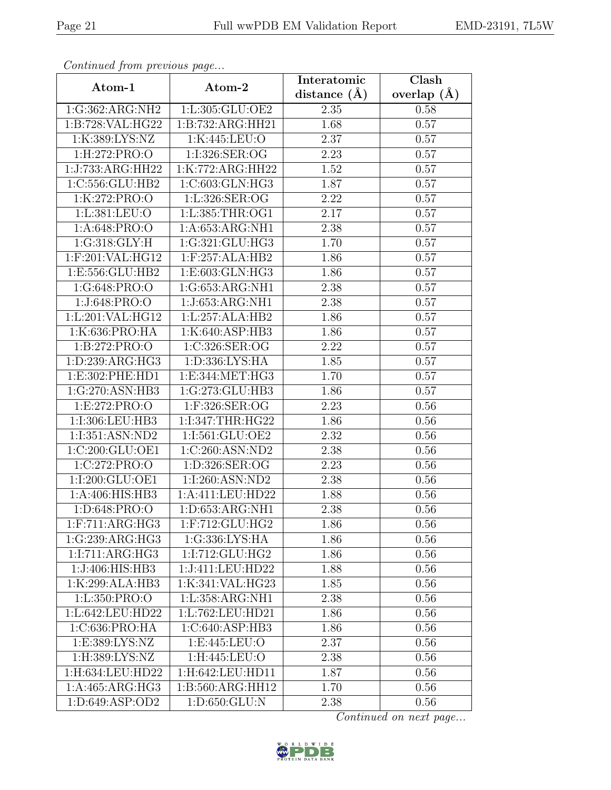| Continua from previous page |                       | Interatomic      | $\overline{\text{Clash}}$ |
|-----------------------------|-----------------------|------------------|---------------------------|
| Atom-1                      | Atom-2                | distance $(\AA)$ | overlap $(A)$             |
| 1:G:362:ARG:NH2             | 1:L:305:GLU:OE2       | 2.35             | 0.58                      |
| 1:B:728:VAL:HG22            | 1:B:732:ARG:HH21      | 1.68             | 0.57                      |
| 1:K:389:LYS:NZ              | 1:K:445:LEU:O         | 2.37             | 0.57                      |
| 1:H:272:PRO:O               | 1:I:326:SER:OG        | 2.23             | 0.57                      |
| 1:J:733:ARG:HH22            | 1:K:772:ARG:HH22      | 1.52             | 0.57                      |
| 1:C:556:GLU:HB2             | 1:C:603:GLN:HG3       | 1.87             | 0.57                      |
| 1:K:272:PRO:O               | 1:L:326:SER:OG        | 2.22             | $\overline{0.57}$         |
| 1:L:381:LEU:O               | 1:L:385:THR:OG1       | 2.17             | 0.57                      |
| 1:A:648:PRO:O               | 1: A:653:ARG:NH1      | 2.38             | 0.57                      |
| 1:G:318:GLY:H               | 1:G:321:GLU:HG3       | 1.70             | 0.57                      |
| 1:F:201:VAL:HG12            | 1:F:257:ALA:HB2       | 1.86             | 0.57                      |
| 1:E:556:GLU:HB2             | 1:E:603:GLN:HG3       | 1.86             | 0.57                      |
| 1:G:648:PRO:O               | 1:G:653:ARG:NH1       | 2.38             | 0.57                      |
| 1:J:648:PRO:O               | 1:J:653:ARG:NH1       | 2.38             | 0.57                      |
| 1:L:201:VAL:HG12            | 1:L:257:ALA:HB2       | 1.86             | 0.57                      |
| 1:K:636:PRO:HA              | 1:K:640:ASP:HB3       | 1.86             | 0.57                      |
| 1: B: 272: PRO:             | 1:C:326:SER:OG        | 2.22             | 0.57                      |
| 1:D:239:ARG:HG3             | 1:D:336:LYS:HA        | 1.85             | 0.57                      |
| 1:E:302:PHE:HD1             | 1:E:344:MET:HG3       | 1.70             | 0.57                      |
| 1:G:270:ASN:HB3             | 1:G:273:GLU:HB3       | 1.86             | 0.57                      |
| 1:E:272:PRO:O               | 1:F:326:SER:OG        | 2.23             | 0.56                      |
| 1:I:306:LEU:HB3             | 1:I:347:THR:HG22      | 1.86             | 0.56                      |
| 1:I:351:ASN:ND2             | 1:1:561:GLU:OE2       | 2.32             | 0.56                      |
| 1:C:200:GLU:OE1             | 1:C:260:ASN:ND2       | 2.38             | 0.56                      |
| 1:C:272:PRO:O               | 1:D:326:SER:OG        | 2.23             | 0.56                      |
| 1:I:200:GLU:OE1             | 1:1:260:ASN:ND2       | 2.38             | 0.56                      |
| 1:A:406:HIS:HB3             | 1:A:411:LEU:HD22      | 1.88             | 0.56                      |
| 1: D:648: PRO:O             | 1: D: 653: ARG: NH1   | 2.38             | 0.56                      |
| 1: F: 711: ARG: HG3         | $1:$ F:712: $GLU:HG2$ | 1.86             | 0.56                      |
| 1:G:239:ARG:HG3             | 1:G:336:LYS:HA        | 1.86             | 0.56                      |
| 1:I:711:ARG:HG3             | 1:I:712:GLU:HG2       | 1.86             | 0.56                      |
| 1:J:406:HIS:HB3             | 1:J:411:LEU:HD22      | 1.88             | 0.56                      |
| 1:K:299:ALA:HB3             | 1:K:341:VAL:HG23      | 1.85             | 0.56                      |
| 1:L:350:PRO:O               | 1:L:358:ARG:NH1       | 2.38             | 0.56                      |
| 1:L:642:LEU:HD22            | 1:L:762:LEU:HD21      | 1.86             | 0.56                      |
| 1:C:636:PRO:HA              | 1:C:640:ASP:HB3       | 1.86             | 0.56                      |
| 1:E:389:LYS:NZ              | 1: E: 445: LEU: O     | 2.37             | 0.56                      |
| 1:H:389:LYS:NZ              | 1:H:445:LEU:O         | 2.38             | 0.56                      |
| 1:H:634:LEU:HD22            | 1:H:642:LEU:HD11      | 1.87             | 0.56                      |
| 1:A:465:ARG:HG3             | 1:B:560:ARG:HH12      | 1.70             | 0.56                      |
| 1: D:649: ASP:OD2           | 1:D:650:GLU:N         | 2.38             | 0.56                      |

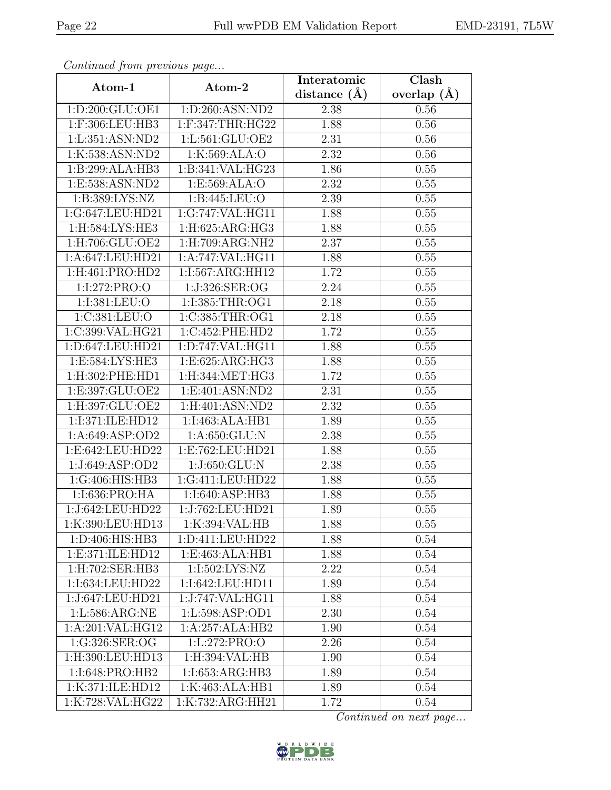| Continueu from pretious page |                         | Interatomic    | Clash         |
|------------------------------|-------------------------|----------------|---------------|
| Atom-1                       | Atom-2                  | distance $(A)$ | overlap $(A)$ |
| 1:D:200:GLU:OE1              | 1:D:260:ASN:ND2         | 2.38           | $0.56\,$      |
| 1:F:306:LEU:HB3              | $1:$ F: $347:$ THR:HG22 | 1.88           | 0.56          |
| 1:L:351:ASN:ND2              | 1:L:561:GLU:OE2         | 2.31           | 0.56          |
| 1:K:538:ASN:ND2              | 1:K:569:ALA:O           | 2.32           | 0.56          |
| 1:B:299:ALA:HB3              | 1:B:341:VAL:HG23        | 1.86           | 0.55          |
| 1:E:538:ASN:ND2              | 1: E: 569: ALA: O       | 2.32           | 0.55          |
| 1: B: 389: LYS: NZ           | 1:B:445:LEU:O           | 2.39           | 0.55          |
| 1:G:647:LEU:HD21             | 1:G:747:VAL:HG11        | 1.88           | 0.55          |
| 1:H:584:LYS:HE3              | 1:H:625:ARG:HG3         | 1.88           | 0.55          |
| 1:H:706:GLU:OE2              | 1:H:709:ARG:NH2         | 2.37           | 0.55          |
| 1:A:647:LEU:HD21             | 1:A:747:VAL:HG11        | 1.88           | 0.55          |
| 1:H:461:PRO:HD2              | 1:I:567:ARG:HH12        | 1.72           | 0.55          |
| 1:I:272:PRO:O                | 1:J:326:SER:OG          | 2.24           | 0.55          |
| 1:I:381:LEU:O                | 1:I:385:THR:OG1         | 2.18           | 0.55          |
| 1:C:381:LEU:O                | 1:C:385:THR:OG1         | 2.18           | 0.55          |
| 1:C:399:VAL:HG21             | 1:C:452:PHE:HD2         | 1.72           | 0.55          |
| 1:D:647:LEU:HD21             | 1:D:747:VAL:HG11        | 1.88           | 0.55          |
| 1:E:584:LYS:HE3              | 1:E:625:ARG:HG3         | 1.88           | 0.55          |
| 1:H:302:PHE:HD1              | 1:H:344:MET:HG3         | 1.72           | 0.55          |
| 1:E:397:GLU:OE2              | 1:E:401:ASN:ND2         | 2.31           | 0.55          |
| 1:H:397:GLU:OE2              | 1:H:401:ASN:ND2         | 2.32           | 0.55          |
| 1:I:371:ILE:HD12             | 1:I:463:ALA:HB1         | 1.89           | 0.55          |
| 1: A:649: ASP:OD2            | 1: A:650: GLU: N        | 2.38           | 0.55          |
| 1:E:642:LEU:HD22             | 1:E:762:LEU:HD21        | 1.88           | 0.55          |
| 1:J:649:ASP:OD2              | 1:J:650:GLU:N           | 2.38           | 0.55          |
| 1:G:406:HIS:HB3              | 1:G:411:LEU:HD22        | 1.88           | 0.55          |
| 1:I:636:PRO:HA               | 1:I:640:ASP:HB3         | 1.88           | 0.55          |
| 1:J:642:LEU:HD22             | 1:J:762:LEU:HD21        | 1.89           | 0.55          |
| 1:K:390:LEU:HD13             | 1:K:394:VAL:HB          | 1.88           | 0.55          |
| 1:D:406:HIS:HB3              | 1:D:411:LEU:HD22        | 1.88           | 0.54          |
| 1: E:371: ILE: HD12          | 1:E:463:ALA:HB1         | 1.88           | 0.54          |
| 1:H:702:SER:HB3              | 1:I:502:LYS:NZ          | 2.22           | 0.54          |
| 1:I:634:LEU:HD22             | 1:I:642:LEU:HD11        | 1.89           | 0.54          |
| 1:J:647:LEU:HD21             | 1:J:747:VAL:HG11        | 1.88           | 0.54          |
| 1:L:586:ARG:NE               | 1:L:598:ASP:OD1         | 2.30           | 0.54          |
| 1:A:201:VAL:HG12             | 1:A:257:ALA:HB2         | 1.90           | 0.54          |
| 1:G:326:SER:OG               | 1:L:272:PRO:O           | 2.26           | 0.54          |
| 1:H:390:LEU:HD13             | 1:H:394:VAL:HB          | 1.90           | 0.54          |
| 1:I:648:PRO:HB2              | 1:1:653:ARG:HB3         | 1.89           | 0.54          |
| 1:K:371:ILE:HD12             | 1:K:463:ALA:HB1         | 1.89           | 0.54          |
| 1:K:728:VAL:HG22             | 1:K:732:ARG:HH21        | 1.72           | 0.54          |

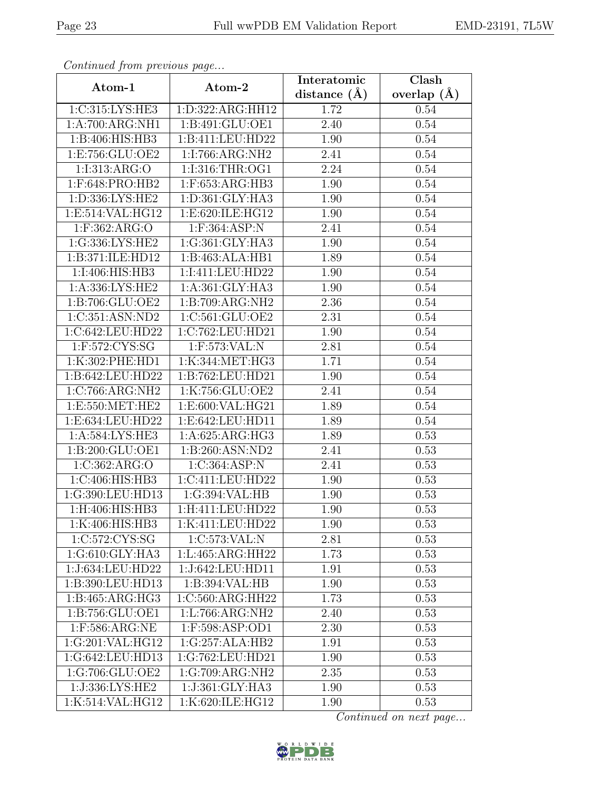| Continuati jibni protibus puga |                    | Interatomic    | $\overline{\text{Clash}}$ |
|--------------------------------|--------------------|----------------|---------------------------|
| Atom-1                         | Atom-2             | distance $(A)$ | overlap $(A)$             |
| 1:C:315:LYS:HE3                | 1:D:322:ARG:HH12   | 1.72           | 0.54                      |
| 1:A:700:ARG:NH1                | 1:B:491:GLU:OE1    | 2.40           | 0.54                      |
| 1:B:406:HIS:HB3                | 1:B:411:LEU:HD22   | 1.90           | 0.54                      |
| 1:E:756:GLU:OE2                | 1:I:766:ARG:NH2    | 2.41           | 0.54                      |
| 1:I:313:ARG:O                  | 1:I:316:THR:OG1    | 2.24           | 0.54                      |
| $1:$ F:648:PRO:HB2             | $1:$ F:653:ARG:HB3 | 1.90           | 0.54                      |
| 1:D:336:LYS:HE2                | 1:D:361:GLY:HA3    | 1.90           | 0.54                      |
| 1:E:514:VAL:HG12               | 1:E:620:ILE:HG12   | 1.90           | 0.54                      |
| $1:$ F:362:ARG:O               | 1:F:364:ASP:N      | 2.41           | 0.54                      |
| 1:G:336:LYS:HE2                | 1:G:361:GLY:HA3    | 1.90           | 0.54                      |
| 1:B:371:ILE:HD12               | 1:B:463:ALA:HB1    | 1.89           | 0.54                      |
| 1:I:406:HIS:HB3                | 1:I:411:LEU:HD22   | 1.90           | 0.54                      |
| 1:A:336:LYS:HE2                | 1:A:361:GLY:HA3    | 1.90           | 0.54                      |
| 1:B:706:GLU:OE2                | 1:B:709:ARG:NH2    | 2.36           | 0.54                      |
| 1:C:351:ASN:ND2                | 1:C:561:GLU:OE2    | 2.31           | 0.54                      |
| 1:C:642:LEU:HD22               | 1:C:762:LEU:HD21   | 1.90           | 0.54                      |
| $1:$ F:572:CYS:SG              | $1:$ F:573:VAL:N   | 2.81           | 0.54                      |
| 1:K:302:PHE:HD1                | 1:K:344:MET:HG3    | 1.71           | 0.54                      |
| 1:B:642:LEU:HD22               | 1:B:762:LEU:HD21   | 1.90           | 0.54                      |
| 1:C:766:ARG:NH2                | 1:K:756:GLU:OE2    | 2.41           | 0.54                      |
| 1: E: 550: MET: HE2            | 1:E:600:VAL:HG21   | 1.89           | 0.54                      |
| 1:E:634:LEU:HD22               | 1:E:642:LEU:HD11   | 1.89           | 0.54                      |
| 1:A:584:LYS:HE3                | 1:A:625:ARG:HG3    | 1.89           | 0.53                      |
| 1:B:200:GLU:OE1                | 1:B:260:ASN:ND2    | 2.41           | 0.53                      |
| 1:C:362:ARG:O                  | 1:C:364:ASP:N      | 2.41           | 0.53                      |
| 1:C:406:HIS:HB3                | 1:C:411:LEU:HD22   | 1.90           | 0.53                      |
| 1:G:390:LEU:HD13               | 1:G:394:VAL:HB     | 1.90           | 0.53                      |
| 1:H:406:HIS:HB3                | 1: H:411: LEU:HD22 | 1.90           | 0.53                      |
| 1:K:406:HIS:HB3                | 1:K:411:LEU:HD22   | 1.90           | 0.53                      |
| 1:C:572:CYS:SG                 | 1:C:573:VAL:N      | 2.81           | 0.53                      |
| 1:G:610:GLY:HA3                | 1:L:465:ARG:HH22   | 1.73           | 0.53                      |
| 1:J:634:LEU:HD22               | 1:J:642:LEU:HD11   | 1.91           | 0.53                      |
| 1:B:390:LEU:HD13               | 1:B:394:VAL:HB     | 1.90           | 0.53                      |
| 1:B:465:ARG:HG3                | 1:C:560:ARG:HH22   | 1.73           | 0.53                      |
| 1:B:756:GLU:OE1                | 1: L:766: ARG: NH2 | 2.40           | 0.53                      |
| $1:$ F:586:ARG:NE              | 1:F:598:ASP:OD1    | 2.30           | 0.53                      |
| 1:G:201:VAL:HG12               | 1:G:257:ALA:HB2    | 1.91           | 0.53                      |
| 1:G:642:LEU:HD13               | 1:G:762:LEU:HD21   | 1.90           | 0.53                      |
| 1:G:706:GLU:OE2                | 1:G:709:ARG:NH2    | 2.35           | 0.53                      |
| 1:J:336:LYS:HE2                | 1:J:361:GLY:HA3    | 1.90           | 0.53                      |
| 1:K:514:VAL:HG12               | 1:K:620:ILE:HG12   | 1.90           | 0.53                      |

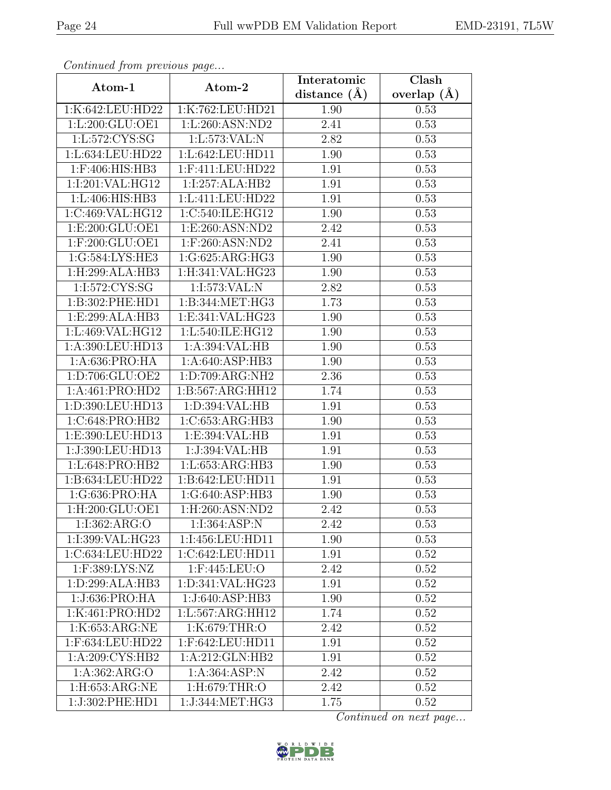| Continueu from pretious page |                                                        | Interatomic    | Clash         |
|------------------------------|--------------------------------------------------------|----------------|---------------|
| Atom-1                       | Atom-2                                                 | distance $(A)$ | overlap $(A)$ |
| 1:K:642:LEU:HD22             | 1:K:762:LEU:HD21                                       | 1.90           | 0.53          |
| 1:L:200:GLU:OE1              | 1:L:260:ASN:ND2                                        | 2.41           | 0.53          |
| 1:L:572:CYS:SG               | 1: L: 573: VAL: N                                      | 2.82           | 0.53          |
| 1:L:634:LEU:HD22             | 1:L:642:LEU:HD11                                       | 1.90           | 0.53          |
| 1:F:406:HIS:HB3              | 1:F:411:LEU:HD22                                       | 1.91           | 0.53          |
| 1:I:201:VAL:HG12             | 1:I:257:ALA:HB2                                        | 1.91           | 0.53          |
| 1:L:406:HIS:HB3              | 1:L:411:LEU:HD22                                       | 1.91           | 0.53          |
| 1:C:469:VAL:HG12             | 1:C:540:ILE:HG12                                       | 1.90           | 0.53          |
| 1: E:200: GLU:OE1            | 1: E:260: ASN:ND2                                      | 2.42           | 0.53          |
| 1:F:200:GLU:OE1              | 1:F:260:ASN:ND2                                        | 2.41           | 0.53          |
| 1:G:584:LYS:HE3              | $1:G:625: \overline{\text{ARG}:H}\overline{\text{G}3}$ | 1.90           | 0.53          |
| 1:H:299:ALA:HB3              | 1:H:341:VAL:HG23                                       | 1.90           | 0.53          |
| 1:I:572:CYS:SG               | 1:I:573:VAL:N                                          | 2.82           | 0.53          |
| 1:B:302:PHE:HD1              | 1:B:344:MET:HG3                                        | 1.73           | 0.53          |
| 1:E:299:ALA:HB3              | 1:E:341:VAL:HG23                                       | 1.90           | 0.53          |
| 1:L:469:VAL:HG12             | 1:L:540:ILE:HG12                                       | 1.90           | 0.53          |
| 1:A:390:LEU:HD13             | 1:A:394:VAL:HB                                         | 1.90           | 0.53          |
| 1: A:636: PRO:HA             | 1:A:640:ASP:HB3                                        | 1.90           | 0.53          |
| 1:D:706:GLU:OE2              | 1:D:709:ARG:NH2                                        | 2.36           | 0.53          |
| 1:A:461:PRO:HD2              | 1:B:567:ARG:HH12                                       | 1.74           | 0.53          |
| 1:D:390:LEU:HD13             | 1: D: 394: VAL: HB                                     | 1.91           | 0.53          |
| 1:C:648:PRO:HB2              | 1:C:653:ARG:HB3                                        | 1.90           | 0.53          |
| 1:E:390:LEU:HD13             | 1:E:394:VAL:HB                                         | 1.91           | 0.53          |
| 1:J:390:LEU:HD13             | 1:J:394:VAL:HB                                         | 1.91           | 0.53          |
| 1:L:648:PRO:HB2              | 1:L:653:ARG:HB3                                        | 1.90           | 0.53          |
| 1:B:634:LEU:HD22             | 1:B:642:LEU:HD11                                       | 1.91           | 0.53          |
| 1:G:636:PRO:HA               | 1:G:640:ASP:HB3                                        | 1.90           | 0.53          |
| 1:H:200:GLU:OE1              | 1:H:260:ASN:ND2                                        | 2.42           | 0.53          |
| 1:1:362:ARG:O                | 1:I:364:ASP:N                                          | 2.42           | 0.53          |
| 1:I:399:VAL:HG23             | 1:I:456:LEU:HD11                                       | 1.90           | 0.53          |
| 1:C:634:LEU:HD22             | 1:C:642:LEU:HD11                                       | 1.91           | 0.52          |
| 1:F:389:LYS:NZ               | 1:F:445:LEU:O                                          | 2.42           | 0.52          |
| 1: D:299: ALA:HB3            | 1:D:341:VAL:HG23                                       | 1.91           | 0.52          |
| 1:J:636:PRO:HA               | 1:J:640:ASP:HB3                                        | 1.90           | 0.52          |
| 1:K:461:PRO:HD2              | 1:L:567:ARG:HH12                                       | 1.74           | 0.52          |
| 1:K:653:ARG:NE               | 1:K:679:THR:O                                          | 2.42           | 0.52          |
| 1:F:634:LEU:HD22             | 1:F:642:LEU:HD11                                       | 1.91           | 0.52          |
| 1:A:209:CYS:HB2              | 1:A:212:GLN:HB2                                        | 1.91           | 0.52          |
| 1: A: 362: ARG: O            | 1: A: 364: ASP: N                                      | 2.42           | 0.52          |
| 1:H:653:ARG:NE               | 1:H:679:THR:O                                          | 2.42           | 0.52          |
| 1:J:302:PHE:HD1              | 1:J:344:MET:HG3                                        | 1.75           | 0.52          |

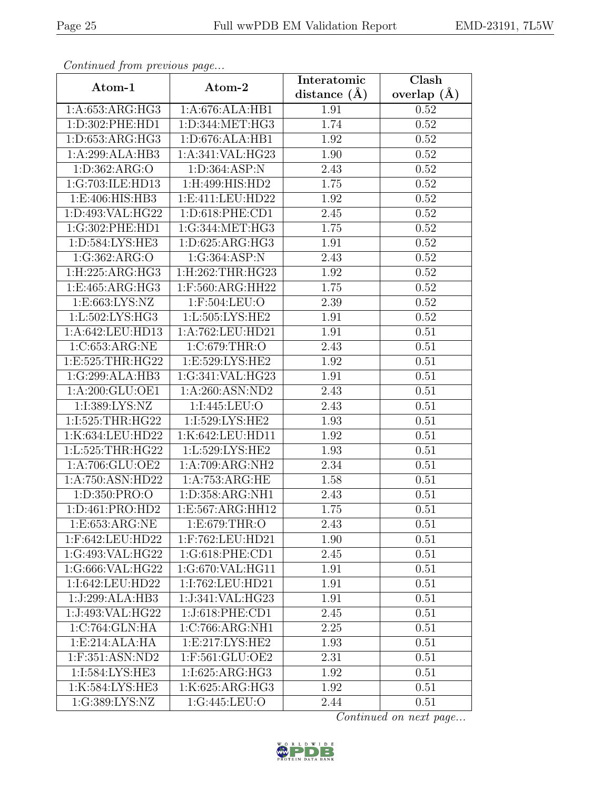| Continued from previous page |                     | Interatomic    | Clash         |
|------------------------------|---------------------|----------------|---------------|
| Atom-1                       | Atom-2              | distance $(A)$ | overlap $(A)$ |
| 1:A:653:ARG:HG3              | 1:A:676:ALA:HB1     | 1.91           | 0.52          |
| 1:D:302:PHE:HD1              | 1:D:344:MET:HG3     | 1.74           | 0.52          |
| 1: D: 653: ARG: HG3          | 1: D:676: ALA:HB1   | 1.92           | 0.52          |
| 1:A:299:ALA:HB3              | 1:A:341:VAL:HG23    | 1.90           | 0.52          |
| 1: D: 362: ARG: O            | 1:D:364:ASP:N       | 2.43           | 0.52          |
| 1:G:703:ILE:HD13             | 1:H:499:HIS:HD2     | 1.75           | 0.52          |
| 1: E:406: HIS: HB3           | 1:E:411:LEU:HD22    | 1.92           | 0.52          |
| 1:D:493:VAL:HG22             | 1:D:618:PHE:CD1     | 2.45           | 0.52          |
| 1:G:302:PHE:HD1              | 1:G:344:MET:HG3     | 1.75           | 0.52          |
| 1: D: 584: LYS: HE3          | 1: D:625: ARG:HG3   | 1.91           | 0.52          |
| 1:G:362:ARG:O                | 1:G:364:ASP:N       | 2.43           | 0.52          |
| 1: H: 225: ARG: HG3          | 1:H:262:THR:HG23    | 1.92           | 0.52          |
| 1:E:465:ARG:HG3              | 1:F:560:ARG:HH22    | 1.75           | 0.52          |
| 1: E: 663: LYS: NZ           | 1:F:504:LEU:O       | 2.39           | 0.52          |
| 1:L:502:LYS:HG3              | 1:L:505:LYS:HE2     | 1.91           | 0.52          |
| 1:A:642:LEU:HD13             | 1:A:762:LEU:HD21    | 1.91           | 0.51          |
| 1:C:653:ARG:NE               | 1:C:679:THR:O       | 2.43           | 0.51          |
| 1:E:525:THR:HG22             | 1:E:529:LYS:HE2     | 1.92           | 0.51          |
| 1:G:299:ALA:HB3              | 1:G:341:VAL:HG23    | 1.91           | 0.51          |
| 1: A:200: GLU:OE1            | 1:A:260:ASN:ND2     | 2.43           | 0.51          |
| 1:I:389:LYS:NZ               | 1:I:445:LEU:O       | 2.43           | 0.51          |
| 1:I:525:THR:HG22             | 1:I:529:LYS:HE2     | 1.93           | 0.51          |
| 1:K:634:LEU:HD22             | 1:K:642:LEU:HD11    | 1.92           | 0.51          |
| 1:L:525:THR:HG22             | 1:L:529:LYS:HE2     | 1.93           | 0.51          |
| 1:A:706:GLU:OE2              | 1:A:709:ARG:NH2     | 2.34           | 0.51          |
| 1:A:750:ASN:HD22             | 1:A:753:ARG:HE      | 1.58           | 0.51          |
| 1:D:350:PRO:O                | 1:D:358:ARG:NH1     | 2.43           | 0.51          |
| 1:D:461:PRO:HD2              | 1:E:567:ARG:HH12    | 1.75           | 0.51          |
| 1:E:653:ARG:NE               | 1:E:679:THR:O       | 2.43           | 0.51          |
| 1:F:642:LEU:HD22             | $1:$ F:762:LEU:HD21 | 1.90           | 0.51          |
| 1:G:493:VAL:HG22             | 1:G:618:PHE:CD1     | 2.45           | 0.51          |
| 1:G:666:VAL:HG22             | 1:G:670:VAL:HG11    | 1.91           | 0.51          |
| 1:I:642:LEU:HD22             | 1:I:762:LEU:HD21    | 1.91           | 0.51          |
| 1:J:299:ALA:HB3              | 1:J:341:VAL:HG23    | 1.91           | 0.51          |
| 1:J:493:VAL:HG22             | 1:J:618:PHE:CD1     | 2.45           | 0.51          |
| 1:C:764:GLN:HA               | 1:C:766:ARG:NH1     | 2.25           | 0.51          |
| 1:E:214:ALA:HA               | 1:E:217:LYS:HE2     | 1.93           | 0.51          |
| 1:F:351:ASN:ND2              | 1:F:561:GLU:OE2     | 2.31           | 0.51          |
| 1:I:584:LYS:HE3              | 1:I:625:ARG:HG3     | 1.92           | 0.51          |
| 1:K:584:LYS:HE3              | 1:K:625:ARG:HG3     | 1.92           | 0.51          |
| 1:G:389:LYS:NZ               | 1:G:445:LEU:O       | 2.44           | 0.51          |

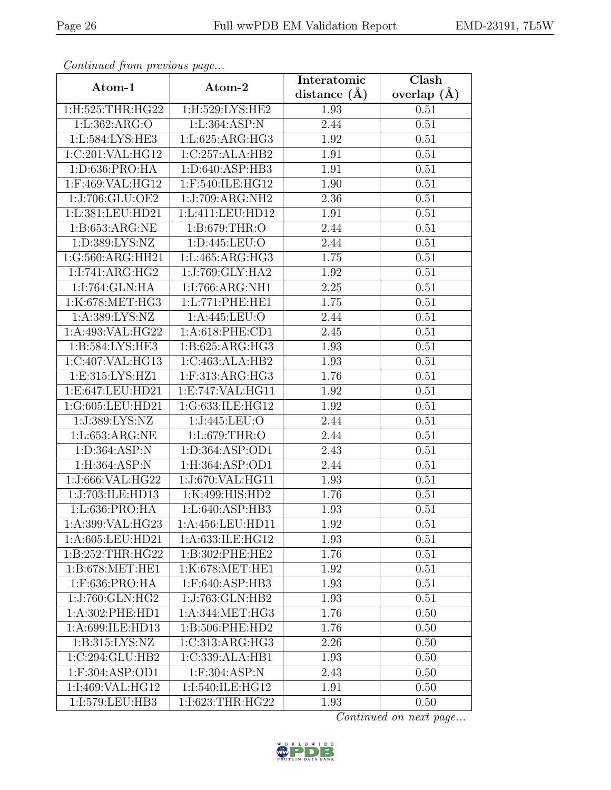| Commaca jibin previous page  |                     | Interatomic    | Clash         |
|------------------------------|---------------------|----------------|---------------|
| Atom-1                       | Atom-2              | distance $(A)$ | overlap $(A)$ |
| 1:H:525:THR:HG22             | 1:H:529:LYS:HE2     | 1.93           | 0.51          |
| 1:L:362:ARG:O                | 1:L:364:ASP:N       | 2.44           | 0.51          |
| 1:L:584:LYS:HE3              | 1: L:625: ARG: HG3  | 1.92           | 0.51          |
| 1:C:201:VAL:HG12             | 1:C:257:ALA:HB2     | 1.91           | 0.51          |
| 1:D:636:PRO:HA               | 1:D:640:ASP:HB3     | 1.91           | 0.51          |
| 1:F:469:VAL:HG12             | 1:F:540:ILE:HG12    | 1.90           | 0.51          |
| 1:J:706:GLU:OE2              | 1:J:709:ARG:NH2     | 2.36           | 0.51          |
| 1:L:381:LEU:HD21             | 1:L:411:LEU:HD12    | $1.91\,$       | 0.51          |
| 1:B:653:ARG:NE               | 1:B:679:THR:O       | 2.44           | 0.51          |
| 1:D:389:LYS:NZ               | 1: D: 445: LEU: O   | 2.44           | 0.51          |
| 1:G:560:ARG:HH21             | 1:L:465:ARG:HG3     | 1.75           | 0.51          |
| 1:I:741:ARG:HG2              | 1:J:769:GLY:HA2     | 1.92           | 0.51          |
| 1:I:764:GLN:HA               | 1:I:766:ARG:NH1     | 2.25           | 0.51          |
| 1:K:678:MET:HG3              | 1:L:771:PHE:HE1     | 1.75           | 0.51          |
| 1:A:389:LYS:NZ               | 1:A:445:LEU:O       | 2.44           | 0.51          |
| 1:A:493:VAL:HG22             | 1: A:618: PHE:CD1   | 2.45           | 0.51          |
| $1:B:\overline{584:LYS:HE3}$ | 1:B:625:ARG:HG3     | 1.93           | 0.51          |
| 1:C:407:VAL:HG13             | 1:C:463:ALA:HB2     | 1.93           | 0.51          |
| 1:E:315:LYS:HZ1              | 1:F:313:ARG:HG3     | 1.76           | 0.51          |
| 1:E:647:LEU:HD21             | 1:E:747:VAL:HG11    | 1.92           | 0.51          |
| 1:G:605:LEU:HD21             | 1:G:633:ILE:HG12    | 1.92           | 0.51          |
| 1:J:389:LYS:NZ               | 1:J:445:LEU:O       | 2.44           | 0.51          |
| 1:L:653:ARG:NE               | 1:L:679:THR:O       | 2.44           | 0.51          |
| 1:D:364:ASP:N                | 1:D:364:ASP:OD1     | 2.43           | 0.51          |
| 1:H:364:ASP:N                | 1: H: 364: ASP: OD1 | 2.44           | 0.51          |
| 1:J:666:VAL:HG22             | 1:J:670:VAL:HG11    | 1.93           | 0.51          |
| 1:J:703:ILE:HD13             | 1:K:499:HIS:HD2     | 1.76           | 0.51          |
| 1:L:636:PRO:HA               | 1: L:640: ASP:HB3   | 1.93           | 0.51          |
| 1:A:399:VAL:HG23             | 1:A:456:LEU:HD11    | 1.92           | 0.51          |
| 1:A:605:LEU:HD21             | 1:A:633:ILE:HG12    | 1.93           | 0.51          |
| 1:B:252:THR:HG22             | 1:B:302:PHE:HE2     | 1.76           | 0.51          |
| 1: B:678:MET:HE1             | 1:K:678:MET:HE1     | 1.92           | 0.51          |
| 1:F:636:PRO:HA               | 1:F:640:ASP:HB3     | 1.93           | 0.51          |
| 1:J:760:GLN:HG2              | 1:J:763:GLN:HB2     | 1.93           | 0.51          |
| 1:A:302:PHE:HD1              | 1:A:344:MET:HG3     | 1.76           | 0.50          |
| 1:A:699:ILE:HD13             | 1:B:506:PHE:HD2     | 1.76           | 0.50          |
| 1:B:315:LYS:NZ               | 1:C:313:ARG:HG3     | 2.26           | 0.50          |
| 1:C:294:GLU:HB2              | 1:C:339:ALA:HB1     | 1.93           | 0.50          |
| 1:F:304:ASP:OD1              | $1:$ F:304:ASP:N    | 2.43           | 0.50          |
| 1:1:469:VAL:HG12             | 1:I:540:ILE:HG12    | 1.91           | 0.50          |
| 1:I:579:LEU:HB3              | 1:I:623:THR:HG22    | 1.93           | 0.50          |

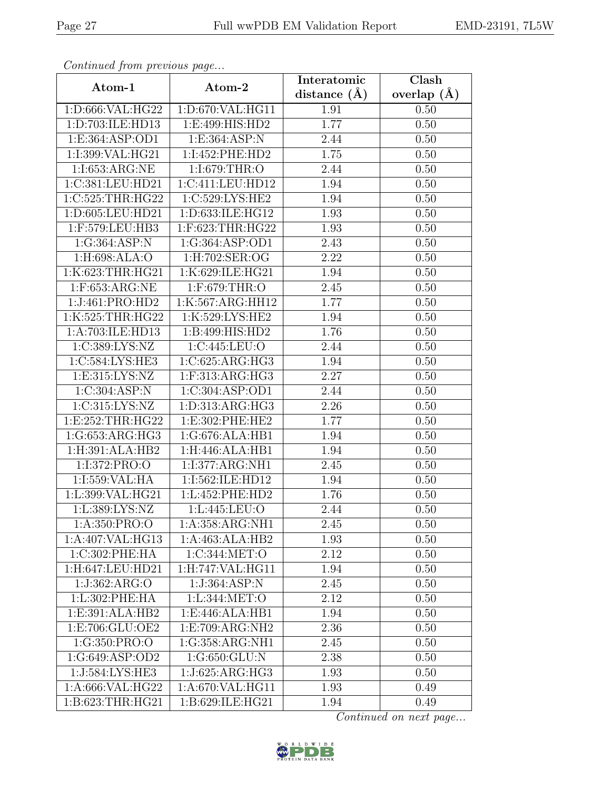| Continueu from previous page  |                                     | Interatomic       | Clash         |
|-------------------------------|-------------------------------------|-------------------|---------------|
| Atom-1                        | Atom-2                              | distance $(A)$    | overlap $(A)$ |
| 1:D:666:VAL:HG22              | 1:D:670:VAL:HG11                    | 1.91              | 0.50          |
| 1: D:703: ILE: HD13           | 1:E:499:HIS:HD2                     | 1.77              | 0.50          |
| 1:E:364:ASP:OD1               | 1:E:364:ASP:N                       | 2.44              | 0.50          |
| 1:I:399:VAL:HG21              | 1:I:452:PHE:HD2                     | $\overline{1.75}$ | 0.50          |
| 1:I:653:ARG:NE                | 1:I:679:THR:O                       | 2.44              | 0.50          |
| 1:C:381:LEU:HD21              | 1:C:411:LEU:HD12                    | 1.94              | 0.50          |
| 1:C:525:THR:HG22              | 1:C:529:LYS:HE2                     | 1.94              | 0.50          |
| 1:D:605:LEU:HD21              | 1:D:633:ILE:HG12                    | 1.93              | 0.50          |
| 1:F:579:LEU:HB3               | 1:F:623:THR:HG22                    | 1.93              | 0.50          |
| 1:G:364:ASP:N                 | 1:G:364:ASP:OD1                     | 2.43              | 0.50          |
| 1:H:698:ALA:O                 | 1:H:702:SER:OG                      | 2.22              | 0.50          |
| 1:K:623:THR:HG21              | 1:K:629:ILE:HG21                    | 1.94              | 0.50          |
| $1:$ F:653:ARG:NE             | 1:F:679:THR:O                       | 2.45              | 0.50          |
| 1:J:461:PRO:HD2               | 1:K:567:ARG:HH12                    | 1.77              | 0.50          |
| 1:K:525:THR:HG22              | 1:K:529:LYS:HE2                     | 1.94              | 0.50          |
| 1:A:703:ILE:HD13              | 1:B:499:HIS:HD2                     | 1.76              | 0.50          |
| 1:C:389:LYS:NZ                | 1:C:445:LEU:O                       | 2.44              | 0.50          |
| 1:C:584:LYS:HE3               | 1:C:625:ARG:HG3                     | 1.94              | 0.50          |
| 1:E:315:LYS:NZ                | 1:F:313:ARG:HG3                     | 2.27              | 0.50          |
| 1:C:304:ASP:N                 | 1:C:304:ASP:OD1                     | 2.44              | 0.50          |
| 1:C:315:LYS:NZ                | 1:D:313:ARG:HG3                     | 2.26              | 0.50          |
| 1:E:252:THR:HG22              | 1:E:302:PHE:HE2                     | 1.77              | 0.50          |
| 1:G:653:ARG:HG3               | 1:G:676:ALA:HB1                     | 1.94              | 0.50          |
| 1:H:391:ALA:HB2               | 1:H:446:ALA:HB1                     | 1.94              | 0.50          |
| 1:I:372:PRO:O                 | 1:I:377:ARG:NH1                     | 2.45              | 0.50          |
| 1:1:559:VAL:HA                | 1:I:562:ILE:HD12                    | 1.94              | 0.50          |
| 1:L:399:VAL:HG21              | 1:L:452:PHE:HD2                     | 1.76              | 0.50          |
| 1:L:389:LYS:NZ                | 1:L:445:LEU:O                       | 2.44              | 0.50          |
| 1:A:350:PRO:O                 | 1:A:358:ARG:NH1                     | 2.45              | 0.50          |
| $1:A:407:\overline{VAL:HG13}$ | 1:A:463:ALA:HB2                     | 1.93              | 0.50          |
| 1:C:302:PHE:HA                | $1:C:344:\overline{\mathrm{MET:O}}$ | 2.12              | 0.50          |
| 1:H:647:LEU:HD21              | 1:H:747:VAL:HG11                    | 1.94              | 0.50          |
| 1:J:362:ARG:O                 | 1:J:364:ASP:N                       | 2.45              | 0.50          |
| 1:L:302:PHE:HA                | 1:L:344:MET:O                       | 2.12              | 0.50          |
| 1:E:391:ALA:HB2               | 1:E:446:ALA:HB1                     | 1.94              | 0.50          |
| 1:E:706:GLU:OE2               | 1:E:709:ARG:NH2                     | 2.36              | 0.50          |
| 1:G:350:PRO:O                 | 1:G:358:ARG:NH1                     | 2.45              | 0.50          |
| 1:G:649:ASP:OD2               | 1:G:650:GLU:N                       | 2.38              | 0.50          |
| 1:J:584:LYS:HE3               | 1:J:625:ARG:HG3                     | 1.93              | 0.50          |
| 1:A:666:VAL:HG22              | 1:A:670:VAL:HG11                    | 1.93              | 0.49          |
| 1:B:623:THR:HG21              | 1:B:629:ILE:HG21                    | 1.94              | 0.49          |

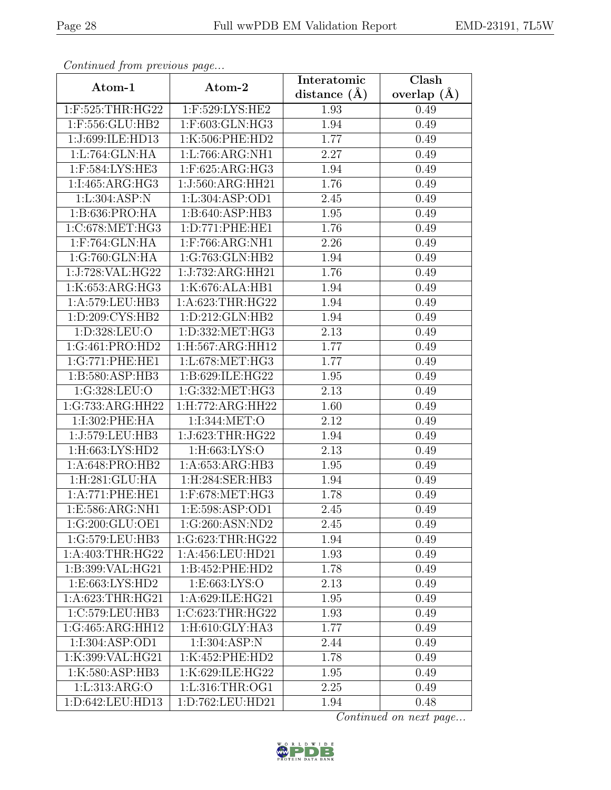| Continuati jibni protibus puga |                     | Interatomic    | $\overline{\text{Clash}}$ |
|--------------------------------|---------------------|----------------|---------------------------|
| Atom-1                         | Atom-2              | distance $(A)$ | overlap $(A)$             |
| 1:F:525:THR:HG22               | 1:F:529:LYS:HE2     | 1.93           | 0.49                      |
| 1:F:556:GLU:HB2                | 1:F:603:GLN:HG3     | 1.94           | 0.49                      |
| 1:J:699:ILE:HD13               | 1:K:506:PHE:HD2     | 1.77           | 0.49                      |
| 1:L:764:GLN:HA                 | 1:L:766:ARG:NH1     | 2.27           | 0.49                      |
| 1:F:584:LYS:HE3                | $1:$ F:625:ARG:HG3  | 1.94           | 0.49                      |
| 1:1:465:ARG:HG3                | 1:J:560:ARG:HH21    | 1.76           | 0.49                      |
| 1: L:304: ASP: N               | 1:L:304:ASP:OD1     | 2.45           | 0.49                      |
| 1:B:636:PRO:HA                 | 1:B:640:ASP:HB3     | 1.95           | 0.49                      |
| 1:C:678:MET:HG3                | 1: D: 771: PHE: HE1 | 1.76           | 0.49                      |
| 1:F:764:GLN:HA                 | 1:F:766:ARG:NH1     | 2.26           | 0.49                      |
| 1:G:760:GLN:HA                 | 1:G:763:GLN:HB2     | 1.94           | 0.49                      |
| 1:J:728:VAL:HG22               | 1:J:732:ARG:HH21    | 1.76           | 0.49                      |
| 1:K:653:ARG:HG3                | 1:K:676:ALA:HB1     | 1.94           | 0.49                      |
| 1:A:579:LEU:HB3                | 1:A:623:THR:HG22    | 1.94           | 0.49                      |
| 1:D:209:CYS:HB2                | 1:D:212:GLN:HB2     | 1.94           | 0.49                      |
| 1:D:328:LEU:O                  | 1:D:332:MET:HG3     | 2.13           | 0.49                      |
| 1:G:461:PRO:HD2                | 1:H:567:ARG:HH12    | 1.77           | 0.49                      |
| 1:G:771:PHE:HE1                | 1:L:678:MET:HG3     | 1.77           | 0.49                      |
| 1:B:580:ASP:HB3                | 1:B:629:ILE:HG22    | 1.95           | 0.49                      |
| 1:G:328:LEU:O                  | 1:G:332:MET:HG3     | 2.13           | 0.49                      |
| 1:G:733:ARG:HH22               | 1:H:772:ARG:HH22    | 1.60           | 0.49                      |
| 1:I:302:PHE:HA                 | 1:I:344:MET:O       | 2.12           | 0.49                      |
| 1:J:579:LEU:HB3                | 1:J:623:THR:HG22    | 1.94           | 0.49                      |
| 1:H:663:LYS:HD2                | 1:H:663:LYS:O       | 2.13           | 0.49                      |
| 1:A:648:PRO:HB2                | 1:A:653:ARG:HB3     | 1.95           | 0.49                      |
| 1:H:281:GLU:HA                 | 1:H:284:SER:HB3     | 1.94           | 0.49                      |
| 1:A:771:PHE:HE1                | 1:F:678:MET:HG3     | 1.78           | 0.49                      |
| 1:E:586:ARG:NH1                | 1: E: 598: ASP: OD1 | 2.45           | 0.49                      |
| 1:G:200:GLU:OE1                | 1:G:260:ASN:ND2     | 2.45           | 0.49                      |
| 1:G:579:LEU:HB3                | 1:G:623:THR:HG22    | 1.94           | 0.49                      |
| 1:A:403:THR:HG22               | 1:A:456:LEU:HD21    | 1.93           | 0.49                      |
| 1:B:399:VAL:HG21               | 1:B:452:PHE:HD2     | 1.78           | 0.49                      |
| 1: E: 663: LYS: HD2            | 1: E: 663: LYS: O   | 2.13           | 0.49                      |
| 1:A:623:THR:HG21               | 1:A:629:ILE:HG21    | 1.95           | 0.49                      |
| 1:C:579:LEU:HB3                | 1:C:623:THR:HG22    | 1.93           | 0.49                      |
| 1:G:465:ARG:HH12               | 1:H:610:GLY:HA3     | 1.77           | 0.49                      |
| 1:1:304:ASP:OD1                | 1:I:304:ASP:N       | 2.44           | 0.49                      |
| 1:K:399:VAL:HG21               | 1:K:452:PHE:HD2     | 1.78           | 0.49                      |
| 1:K:580:ASP:HB3                | 1:K:629:ILE:HG22    | 1.95           | 0.49                      |
| 1:L:313:ARG:O                  | 1:L:316:THR:OG1     | 2.25           | 0.49                      |
| 1:D:642:LEU:HD13               | 1:D:762:LEU:HD21    | 1.94           | 0.48                      |

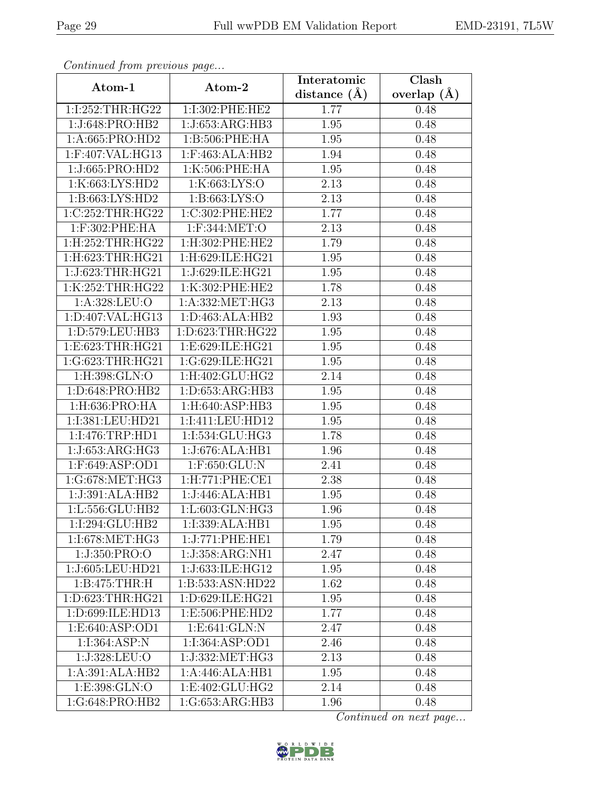| Continuea jiomi previous page  |                                 | Interatomic      | Clash         |
|--------------------------------|---------------------------------|------------------|---------------|
| Atom-1                         | Atom-2                          | distance $(\AA)$ | overlap $(A)$ |
| 1:I:252:THR:HG22               | 1:I:302:PHE:HE2                 | 1.77             | 0.48          |
| 1:J:648:PRO:HB2                | 1:J:653:ARG:HB3                 | 1.95             | 0.48          |
| 1:A:665:PRO:HD2                | 1:B:506:PHE:HA                  | 1.95             | 0.48          |
| 1:F:407:VAL:HG13               | 1:F:463:ALA:HB2                 | 1.94             | 0.48          |
| 1:J:665:PRO:HD2                | 1:K:506:PHE:HA                  | 1.95             | 0.48          |
| 1:K:663:LYS:HD2                | 1:K:663:LYS:O                   | 2.13             | 0.48          |
| 1: B: 663: LYS: HD2            | 1: B: 663: LYS: O               | 2.13             | 0.48          |
| 1:C:252:THR:HG22               | 1:C:302:PHE:HE2                 | 1.77             | 0.48          |
| 1:F:302:PHE:HA                 | 1:F:344:MET:O                   | 2.13             | 0.48          |
| $1:$ H $:252:$ THR $:$ H $G22$ | 1:H:302:PHE:HE2                 | 1.79             | 0.48          |
| 1:H:623:THR:HG21               | 1:H:629:ILE:HG21                | 1.95             | 0.48          |
| 1:J:623:THR:HG21               | 1:J:629:ILE:HG21                | 1.95             | 0.48          |
| 1:K:252:THR:HG22               | 1:K:302:PHE:HE2                 | 1.78             | 0.48          |
| 1:A:328:LEU:O                  | 1:A:332:MET:HG3                 | 2.13             | 0.48          |
| 1:D:407:VAL:HG13               | 1: D: 463: ALA: HB2             | 1.93             | 0.48          |
| 1:D:579:LEU:HB3                | 1:D:623:THR:HG22                | 1.95             | 0.48          |
| 1:E:623:THR:HG21               | 1:E:629:ILE:HG21                | 1.95             | 0.48          |
| 1:G:623:THR:HG21               | 1:G:629:ILE:HG21                | 1.95             | 0.48          |
| 1:H:398:GLN:O                  | 1:H:402:GLU:HG2                 | 2.14             | 0.48          |
| 1:D:648:PRO:HB2                | 1:D:653:ARG:HB3                 | 1.95             | 0.48          |
| 1:H:636:PRO:HA                 | 1:H:640:ASP:HB3                 | 1.95             | 0.48          |
| 1:I:381:LEU:HD21               | 1:I:411:LEU:HD12                | 1.95             | 0.48          |
| 1:I:476:TRP:HD1                | 1:I:534:GLU:HG3                 | 1.78             | 0.48          |
| 1:J:653:ARG:HG3                | 1:J:676:ALA:HB1                 | 1.96             | 0.48          |
| $1:$ F:649:ASP:OD1             | 1:F:650:GLU:N                   | 2.41             | 0.48          |
| 1:G:678:MET:HG3                | 1: H: 771: PHE: CE1             | 2.38             | 0.48          |
| 1:J:391:ALA:HB2                | 1:J:446:ALA:HB1                 | 1.95             | 0.48          |
| 1:L:556:GLU:HB2                | $1: L:603: GLN: \overline{HG3}$ | 1.96             | 0.48          |
| 1:1:294:GLU:HB2                | 1:I:339:ALA:HB1                 | 1.95             | 0.48          |
| 1:1:678:MET:HG3                | 1:J:771:PHE:HE1                 | 1.79             | 0.48          |
| 1:J:350:PRO:O                  | 1:J:358:ARG:NH1                 | 2.47             | 0.48          |
| 1:J:605:LEU:HD21               | 1:J:633:ILE:HG12                | 1.95             | 0.48          |
| 1: B:475:THR:H                 | 1:B:533:ASN:HD22                | 1.62             | 0.48          |
| 1:D:623:THR:HG21               | 1:D:629:ILE:HG21                | 1.95             | 0.48          |
| 1:D:699:ILE:HD13               | 1:E:506:PHE:HD2                 | 1.77             | 0.48          |
| 1:E:640:ASP:OD1                | 1: E: 641: GLN: N               | 2.47             | 0.48          |
| 1:1:364:ASP:N                  | 1:1:364:ASP:OD1                 | 2.46             | 0.48          |
| 1:J:328:LEU:O                  | 1:J:332:MET:HG3                 | 2.13             | 0.48          |
| 1:A:391:ALA:HB2                | 1:A:446:ALA:HB1                 | 1.95             | 0.48          |
| 1:E:398:GLN:O                  | 1:E:402:GLU:HG2                 | 2.14             | 0.48          |
| 1:G:648:PRO:HB2                | 1:G:653:ARG:HB3                 | 1.96             | 0.48          |

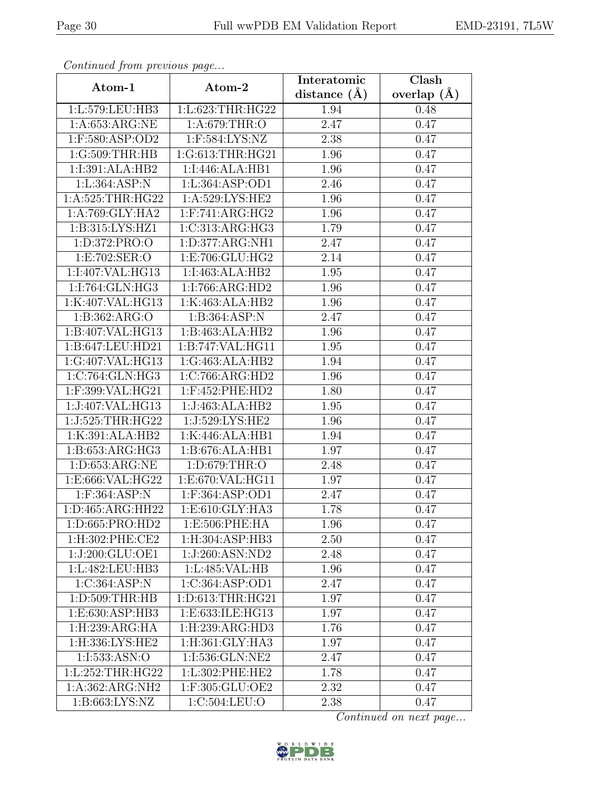| Continued from previous page |                                  | Interatomic    | $\overline{\text{Clash}}$ |
|------------------------------|----------------------------------|----------------|---------------------------|
| Atom-1                       | Atom-2                           | distance $(A)$ | overlap $(A)$             |
| 1:L:579:LEU:HB3              | 1:L:623:THR:HG22                 | 1.94           | 0.48                      |
| 1:A:653:ARG:NE               | 1:A:679:THR:O                    | 2.47           | 0.47                      |
| 1:F:580:ASP:OD2              | 1:F:584:LYS:NZ                   | 2.38           | 0.47                      |
| 1:G:509:THR:HB               | 1:G:613:THR:HG21                 | 1.96           | 0.47                      |
| 1:I:391:ALA:HB2              | 1:I:446:ALA:HB1                  | 1.96           | 0.47                      |
| 1:L:364:ASP:N                | 1:L:364:ASP:OD1                  | 2.46           | 0.47                      |
| 1:A:525:THR:HG22             | 1:A:529:LYS:HE2                  | 1.96           | 0.47                      |
| 1:A:769:GLY:HA2              | $1:$ F:741:ARG:HG2               | 1.96           | 0.47                      |
| 1:B:315:LYS:HZ1              | 1:C:313:ARG:HG3                  | 1.79           | 0.47                      |
| 1:D:372:PRO:O                | 1:D:377:ARG:NH1                  | 2.47           | 0.47                      |
| 1:E:702:SER:O                | 1:E:706:GLU:HG2                  | 2.14           | 0.47                      |
| 1:I:407:VAL:HG13             | 1:I:463:ALA:HB2                  | 1.95           | 0.47                      |
| 1:I:764:GLN:HG3              | 1:I:766:ARG:HD2                  | 1.96           | 0.47                      |
| 1:K:407:VAL:HG13             | 1:K:463:ALA:HB2                  | 1.96           | 0.47                      |
| 1:B:362:ARG:O                | 1:B:364:ASP:N                    | 2.47           | 0.47                      |
| 1:B:407:VAL:HG13             | 1:B:463:ALA:HB2                  | 1.96           | 0.47                      |
| 1:B:647:LEU:HD21             | 1:B:747:VAL:HG11                 | 1.95           | 0.47                      |
| 1:G:407:VAL:HG13             | 1:G:463:ALA:HB2                  | 1.94           | 0.47                      |
| 1:C:764:GLN:HG3              | 1:C:766:ARG:HD2                  | 1.96           | 0.47                      |
| 1:F:399:VAL:HG21             | 1:F:452:PHE:HD2                  | 1.80           | 0.47                      |
| 1:J:407:VAL:HG13             | 1:J:463:ALA:HB2                  | 1.95           | 0.47                      |
| 1:J:525:THR:HG22             | 1:J:529:LYS:HE2                  | 1.96           | 0.47                      |
| 1:K:391:ALA:HB2              | 1:K:446:ALA:HB1                  | 1.94           | 0.47                      |
| 1: B: 653: ARG: HG3          | 1:B:676:ALA:HB1                  | 1.97           | 0.47                      |
| 1: D: 653: ARG: NE           | 1:D:679:THR:O                    | 2.48           | 0.47                      |
| 1:E:666:VAL:HG22             | 1:E:670:VAL:HG11                 | 1.97           | 0.47                      |
| 1:F:364:ASP:N                | 1:F:364:ASP:OD1                  | 2.47           | 0.47                      |
| 1:D:465:ARG:HH22             | 1:E:610:GLY:HA3                  | 1.78           | 0.47                      |
| 1:D:665:PRO:HD2              | 1:E:506:PHE:HA                   | 1.96           | 0.47                      |
| 1:H:302:PHE:CE2              | 1:H:304:ASP:HB3                  | 2.50           | 0.47                      |
| 1:J:200:GLU:OE1              | 1:J:260:ASN:ND2                  | 2.48           | 0.47                      |
| 1:L:482:LEU:HB3              | 1:L:485:VAL:HB                   | 1.96           | 0.47                      |
| $1:C:364: \overline{ASP:N}$  | 1:C:364:ASP:OD1                  | 2.47           | 0.47                      |
| 1:D:509:THR:HB               | 1:D:613:THR:HG21                 | 1.97           | 0.47                      |
| 1:E:630:ASP:HB3              | 1:E:633:ILE:HG13                 | 1.97           | 0.47                      |
| 1: H: 239: ARG: HA           | 1:H:239:ARG:HD3                  | 1.76           | 0.47                      |
| 1:H:336:LYS:HE2              | $1:$ H:361:GLY:HA3               | 1.97           | 0.47                      |
| 1:I:533:ASN:O                | 1:I:536:GLN:NE2                  | 2.47           | 0.47                      |
| 1:L:252:THR:HG22             | 1:L:302:PHE:HE2                  | 1.78           | 0.47                      |
| 1:A:362:ARG:NH2              | $1:$ F:305: $\overline{GLU:OE2}$ | 2.32           | 0.47                      |
| 1:B:663:LYS:NZ               | 1:C:504:LEU:O                    | 2.38           | 0.47                      |

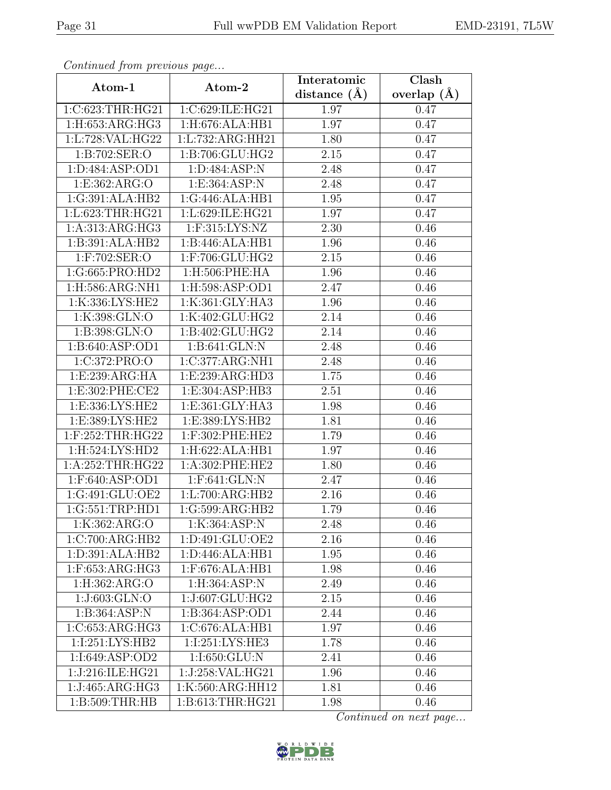| Continued from previous page |                                   | Interatomic      | Clash         |
|------------------------------|-----------------------------------|------------------|---------------|
| Atom-1                       | Atom-2                            | distance $(\AA)$ | overlap $(A)$ |
| 1:C:623:THR:HG21             | 1:C:629:ILE:HG21                  | 1.97             | 0.47          |
| 1:H:653:ARG:HG3              | 1:H:676:ALA:HB1                   | 1.97             | 0.47          |
| 1:L:728:VAL:HG22             | 1: L: 732: ARG: HH21              | 1.80             | 0.47          |
| 1:B:702:SER:O                | 1:B:706:GLU:HG2                   | 2.15             | 0.47          |
| 1:D:484:ASP:OD1              | 1:D:484:ASP:N                     | 2.48             | 0.47          |
| 1:E:362:ARG:O                | 1:E:364:ASP:N                     | 2.48             | 0.47          |
| $1:G:\overline{391:ALA:HB2}$ | 1:G:446:ALA:HB1                   | 1.95             | 0.47          |
| 1:L:623:THR:HG21             | 1:L:629:ILE:HG21                  | 1.97             | 0.47          |
| 1:A:313:ARG:HG3              | $1:$ F:315:LYS:NZ                 | 2.30             | 0.46          |
| 1:B:391:ALA:HB2              | 1:B:446:ALA:HB1                   | 1.96             | 0.46          |
| $1:$ F:702:SER:O             | 1:F:706:GLU:HG2                   | 2.15             | 0.46          |
| 1:G:665:PRO:HD2              | 1:H:506:PHE:HA                    | 1.96             | 0.46          |
| 1:H:586:ARG:NH1              | 1: H:598: ASP:OD1                 | 2.47             | 0.46          |
| 1:K:336:LYS:HE2              | 1:K:361:GLY:HA3                   | 1.96             | 0.46          |
| 1:K:398:GLN:O                | 1:K:402:GLU:HG2                   | 2.14             | 0.46          |
| 1:B:398:GLN:O                | 1:B:402:GLU:HG2                   | 2.14             | 0.46          |
| 1:B:640:ASP:OD1              | 1:B:641:GLN:N                     | 2.48             | 0.46          |
| 1:C:372:PRO:O                | 1:C:377:ARG:NH1                   | 2.48             | 0.46          |
| 1:E:239:ARG:HA               | 1:E:239:ARG:HD3                   | 1.75             | 0.46          |
| 1:E:302:PHE:CE2              | 1:E:304:ASP:HB3                   | 2.51             | 0.46          |
| 1:E:336:LYS:HE2              | 1:E:361:GLY:HA3                   | 1.98             | 0.46          |
| 1:E:389:LYS:HE2              | 1:E:389:LYS:HB2                   | 1.81             | 0.46          |
| 1:F:252:THR:HG22             | 1:F:302:PHE:HE2                   | 1.79             | 0.46          |
| 1:H:524:LYS:HD2              | 1:H:622:ALA:HB1                   | 1.97             | 0.46          |
| 1:A:252:THR:HG22             | 1:A:302:PHE:HE2                   | 1.80             | 0.46          |
| 1:F:640:ASP:OD1              | 1:F:641:GLN:N                     | 2.47             | 0.46          |
| 1:G:491:GLU:OE2              | 1:L:700:ARG:HB2                   | 2.16             | 0.46          |
| 1:G:551:TRP:HD1              | 1:G:599:ARG:HB2                   | 1.79             | 0.46          |
| 1:K:362:ARG:O                | 1:K:364:ASP:N                     | 2.48             | 0.46          |
| 1:C:700:ARG:HB2              | 1: D:491: GLU:OE2                 | 2.16             | 0.46          |
| 1: D: 391: ALA: HB2          | 1:D:446:ALA:HB1                   | 1.95             | 0.46          |
| $1:$ F:653:ARG:HG3           | $1:$ F:676:ALA:HB1                | 1.98             | 0.46          |
| 1:H:362:ARG:O                | 1:H:364:ASP:N                     | 2.49             | 0.46          |
| 1:J:603:GLN:O                | 1:J:607:GLU:HG2                   | $2.15\,$         | 0.46          |
| 1:B:364:ASP:N                | 1:B:364:ASP:OD1                   | 2.44             | 0.46          |
| 1:C:653:ARG:HG3              | 1:C:676:ALA:HB1                   | 1.97             | 0.46          |
| 1:1:251:LYS:HB2              | 1:1:251:LYS:HE3                   | 1.78             | 0.46          |
| 1:I:649:ASP:OD2              | $1:1:650:G\overline{\text{LU}:N}$ | 2.41             | 0.46          |
| 1:J:216:ILE:HG21             | 1:J:258:VAL:HG21                  | 1.96             | 0.46          |
| 1:J:465:ARG:HG3              | 1:K:560:ARG:HH12                  | 1.81             | 0.46          |
| 1:B:509:THR:HB               | 1:B:613:THR:HG21                  | 1.98             | 0.46          |

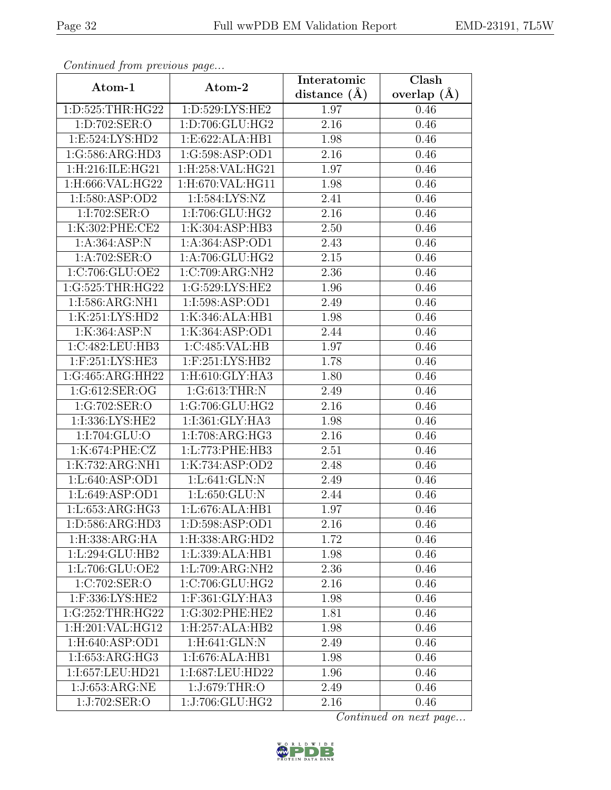| Continuati jibni protibus puga |                                       | Interatomic    | $\overline{\text{Clash}}$ |
|--------------------------------|---------------------------------------|----------------|---------------------------|
| Atom-1                         | Atom-2                                | distance $(A)$ | overlap $(A)$             |
| 1:D:525:THR:HG22               | 1:D:529:LYS:HE2                       | 1.97           | 0.46                      |
| 1:D:702:SER:O                  | 1:D:706:GLU:HG2                       | 2.16           | 0.46                      |
| 1:E:524:LYS:HD2                | 1:E:622:ALA:HB1                       | 1.98           | 0.46                      |
| 1:G:586:ARG:HD3                | 1:G:598:ASP:OD1                       | 2.16           | 0.46                      |
| 1:H:216:ILE:HG21               | $1:$ H:258:VAL:HG21                   | 1.97           | 0.46                      |
| 1:H:666:VAL:HG22               | 1:H:670:VAL:HG11                      | 1.98           | 0.46                      |
| 1:I:580:ASP:OD2                | 1:1:584:LYS:NZ                        | 2.41           | 0.46                      |
| 1:I:702:SER:O                  | 1:I:706:GLU:HG2                       | 2.16           | 0.46                      |
| 1:K:302:PHE:CE2                | 1:K:304:ASP:HB3                       | 2.50           | 0.46                      |
| 1:A:364:ABP:N                  | 1:A:364:ASP:OD1                       | 2.43           | 0.46                      |
| 1:A:702:SER:O                  | 1:A:706:GLU:HG2                       | 2.15           | 0.46                      |
| 1:C:706:GLU:OE2                | 1:C:709:ARG:NH2                       | 2.36           | 0.46                      |
| 1:G:525:THR:HG22               | 1:G:529:LYS:HE2                       | 1.96           | 0.46                      |
| 1:I:586:ARG:NH1                | 1:I:598:ASP:OD1                       | 2.49           | 0.46                      |
| 1:K:251:LYS:HD2                | 1:K:346:ALA:HB1                       | 1.98           | 0.46                      |
| 1:K:364:ASP:N                  | 1:K:364:ASP:OD1                       | 2.44           | 0.46                      |
| 1:C:482:LEU:HB3                | 1:C:485:VAL:HB                        | 1.97           | 0.46                      |
| 1:F:251:LYS:HE3                | 1:F:251:LYS:HB2                       | 1.78           | 0.46                      |
| 1:G:465:ARG:HH22               | 1:H:610:GLY:HA3                       | 1.80           | 0.46                      |
| 1:G:612:SER:OG                 | 1:G:613:THR:N                         | 2.49           | 0.46                      |
| 1:G:702:SER:O                  | 1:G:706:GLU:HG2                       | 2.16           | 0.46                      |
| 1:I:336:LYS:HE2                | 1:I:361:GLY:HA3                       | 1.98           | 0.46                      |
| 1:I:704:GLU:O                  | 1:I:708:ARG:HG3                       | 2.16           | 0.46                      |
| 1:K:674:PHE:CZ                 | 1:L:773:PHE:HB3                       | 2.51           | 0.46                      |
| 1:K:732:ARG:NH1                | 1:K:734:ASP:OD2                       | 2.48           | 0.46                      |
| 1:L:640:ASP:OD1                | $1: L:641:$ $\overline{GLN: N}$       | 2.49           | 0.46                      |
| 1:Li.649:ASP:OD1               | 1:L:650:GLU:N                         | 2.44           | 0.46                      |
| 1:L:653:ARG:HG3                | $1: L:676: \overline{\text{ALA:HB1}}$ | 1.97           | 0.46                      |
| 1:D:586:ARG:HD3                | 1:D:598:ASP:OD1                       | 2.16           | 0.46                      |
| 1:H:338:ARG:HA                 | 1:H:338:ARG:HD2                       | 1.72           | 0.46                      |
| 1:L:294:GLU:HB2                | 1:L:339:ALA:HB1                       | 1.98           | 0.46                      |
| 1:L:706:GLU:OE2                | 1:L:709:ARG:NH2                       | 2.36           | 0.46                      |
| 1:C:702:SER:O                  | 1:C:706:GLU:HG2                       | 2.16           | 0.46                      |
| 1:F:336:LYS:HE2                | 1:F:361:GLY:HA3                       | 1.98           | 0.46                      |
| 1:G:252:THR:HG22               | 1:G:302:PHE:HE2                       | 1.81           | 0.46                      |
| 1:H:201:VAL:HG12               | 1:H:257:ALA:HB2                       | 1.98           | 0.46                      |
| 1: H:640: ASP:OD1              | $1: H:641: GLN:\overline{N}$          | 2.49           | 0.46                      |
| 1:I:653:ARG:HG3                | 1:I:676:ALA:HB1                       | 1.98           | 0.46                      |
| 1:I:657:LEU:HD21               | 1:I:687:LEU:HD22                      | 1.96           | 0.46                      |
| 1:J:653:ARG:NE                 | 1:J:679:THR:O                         | 2.49           | 0.46                      |
| 1:J:702:SER:O                  | $1:J:706:G\overline{\rm LU:HG2}$      | 2.16           | 0.46                      |

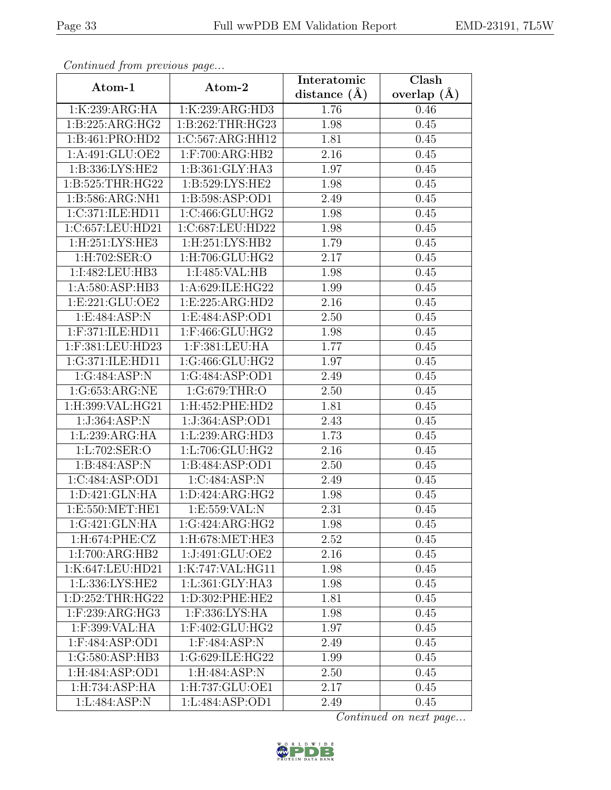| Continuati jibni protibus puga       |                       | Interatomic    | $\overline{\text{Clash}}$ |
|--------------------------------------|-----------------------|----------------|---------------------------|
| Atom-1                               | Atom-2                | distance $(A)$ | overlap $(A)$             |
| 1:K:239:ARG:HA                       | 1:K:239:ARG:HD3       | 1.76           | 0.46                      |
| 1:B:225:ARG:HG2                      | 1:B:262:THR:HG23      | 1.98           | 0.45                      |
| 1:B:461:PRO:HD2                      | 1:C:567:ARG:HH12      | 1.81           | 0.45                      |
| 1:A:491:GLU:OE2                      | $1:$ F:700:ARG:HB2    | 2.16           | 0.45                      |
| 1:B:336:LYS:HE2                      | 1:B:361:GLY:HA3       | 1.97           | 0.45                      |
| 1: B: 525: THR: HG22                 | 1:B:529:LYS:HE2       | 1.98           | 0.45                      |
| 1:B:586:ARG:NH1                      | 1:B:598:ASP:OD1       | 2.49           | 0.45                      |
| 1:C:371:ILE:HD11                     | 1:C:466:GLU:HG2       | 1.98           | 0.45                      |
| 1:C:657:LEU:HD21                     | 1:C:687:LEU:HD22      | 1.98           | 0.45                      |
| 1:H:251:LYS:HE3                      | $1:$ H $:251:LYS:HB2$ | 1.79           | 0.45                      |
| 1:H:702:SER:O                        | 1:H:706:GLU:HG2       | 2.17           | 0.45                      |
| 1:I:482:LEU:HB3                      | 1:I:485:VAL:HB        | 1.98           | 0.45                      |
| 1:A:580:ASP:HB3                      | 1:A:629:ILE:HG22      | 1.99           | 0.45                      |
| 1: E: 221: GLU: OE2                  | 1: E: 225: ARG: HD2   | 2.16           | 0.45                      |
| 1:E:484:ASP:N                        | 1:E:484:ASP:OD1       | 2.50           | 0.45                      |
| 1:F:371:ILE:HD11                     | 1:F:466:GLU:HG2       | 1.98           | 0.45                      |
| 1:F:381:LEU:HD23                     | 1:F:381:LEU:HA        | 1.77           | 0.45                      |
| 1:G:371:ILE:HD11                     | 1:G:466:GLU:HG2       | 1.97           | 0.45                      |
| 1:G:484:ASP:N                        | 1:G:484:ASP:OD1       | 2.49           | 0.45                      |
| 1:G:653:ARG:NE                       | 1:G:679:THR:O         | 2.50           | 0.45                      |
| 1:H:399:VAL:HG21                     | 1:H:452:PHE:HD2       | 1.81           | 0.45                      |
| 1:J:364:ASP:N                        | 1:J:364:ASP:OD1       | 2.43           | 0.45                      |
| 1:L:239:ARG:HA                       | 1:L:239:ARG:HD3       | 1.73           | 0.45                      |
| 1:L:702:SER:O                        | 1:L:706:GLU:HG2       | 2.16           | 0.45                      |
| 1:B:484:ASP:N                        | 1:B:484:ASP:OD1       | 2.50           | 0.45                      |
| 1:C:484:ASP:OD1                      | 1:C:484:ASP:N         | 2.49           | 0.45                      |
| 1:D:421:GLN:HA                       | 1: D: 424: ARG: HG2   | 1.98           | 0.45                      |
| 1:E:550:MET:HE1                      | 1: E: 559: VAL: N     | 2.31           | 0.45                      |
| 1:G:421:GLN:HA                       | 1:G:424:ARG:HG2       | 1.98           | 0.45                      |
| 1:H:674:PHE:CZ                       | $1:$ H:678:MET:HE3    | 2.52           | 0.45                      |
| 1:I:700:ARG:HB2                      | 1:J:491:GLU:OE2       | 2.16           | 0.45                      |
| 1:K:647:LEU:HD21                     | 1:K:747:VAL:HG11      | 1.98           | 0.45                      |
| 1:L:336:LYS:HE2                      | 1:L:361:GLY:HA3       | 1.98           | 0.45                      |
| 1:D:252:THR:HG22                     | 1:D:302:PHE:HE2       | 1.81           | 0.45                      |
| 1:F:239:ARG:HG3                      | 1:F:336:LYS:HA        | 1.98           | 0.45                      |
| 1:F:399:VAL:HA                       | $1:$ F:402:GLU:HG2    | 1.97           | 0.45                      |
| 1:F:484:ASP:OD1                      | 1:F:484:ASP:N         | 2.49           | 0.45                      |
| $1:G:580: \overline{\text{ASP:HB3}}$ | 1:G:629:ILE:HG22      | 1.99           | 0.45                      |
| 1:H:484:ASP:OD1                      | 1:H:484:ASP:N         | 2.50           | 0.45                      |
| 1:H:734:ASP:HA                       | 1:H:737:GLU:OE1       | 2.17           | 0.45                      |
| 1:L:484:ASP:N                        | 1:L:484:ASP:OD1       | 2.49           | 0.45                      |

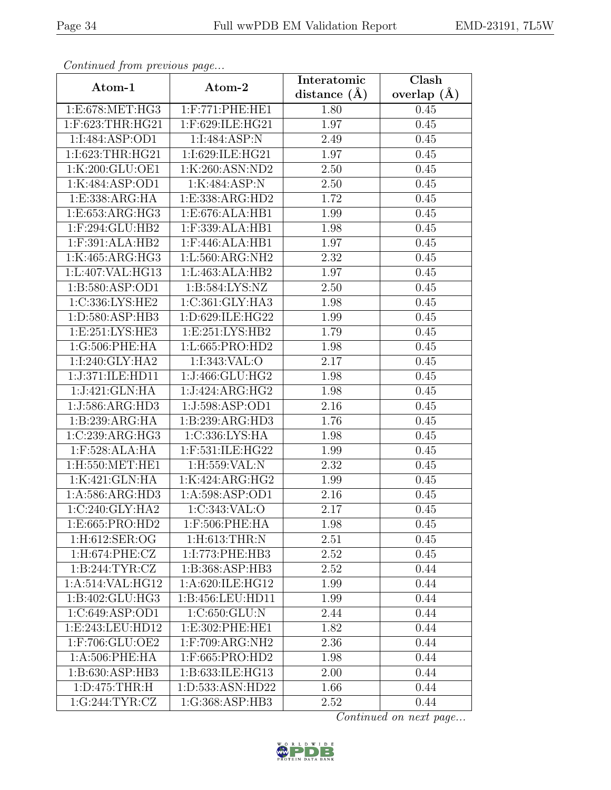| Continuati jibni protibus puga |                          | Interatomic    | $\overline{\text{Clash}}$ |
|--------------------------------|--------------------------|----------------|---------------------------|
| Atom-1                         | Atom-2                   | distance $(A)$ | overlap $(A)$             |
| 1: E: 678: MET: HG3            | $1:$ F:771:PHE:HE1       | 1.80           | 0.45                      |
| 1:F:623:THR:HG21               | 1:F:629:ILE:HG21         | 1.97           | 0.45                      |
| 1:I:484:ASP:OD1                | 1:I:484:ASP:N            | 2.49           | 0.45                      |
| 1:I:623:THR:HG21               | 1:I:629:ILE:HG21         | 1.97           | 0.45                      |
| 1:K:200:GLU:OE1                | 1:K:260:ASN:ND2          | 2.50           | 0.45                      |
| 1:K:484:ASP:OD1                | 1:K:484:ASP:N            | 2.50           | 0.45                      |
| 1: E: 338: ARG: HA             | 1:E:338:ARG:HD2          | 1.72           | 0.45                      |
| 1:E:653:ARG:HG3                | 1:E:676:ALA:HB1          | 1.99           | 0.45                      |
| 1:F:294:GLU:HB2                | 1:F:339:ALA:HB1          | 1.98           | 0.45                      |
| 1:F:391:ALA:HB2                | $1:$ F:446:ALA:HB1       | 1.97           | 0.45                      |
| 1:K:465:ARG:HG3                | 1:L:560:ARG:NH2          | 2.32           | 0.45                      |
| 1:L:407:VAL:HG13               | 1:L:463:ALA:HB2          | 1.97           | 0.45                      |
| 1: B: 580: ASP: OD1            | 1:B:584:LYS:NZ           | 2.50           | 0.45                      |
| 1:C:336:LYS:HE2                | 1:C:361:GLY:HA3          | 1.98           | 0.45                      |
| 1:D:580:ASP:HB3                | 1:D:629:ILE:HG22         | 1.99           | 0.45                      |
| 1:E:251:LYS:HE3                | 1:E:251:LYS:HB2          | 1.79           | 0.45                      |
| 1:G:506:PHE:HA                 | 1:L:665:PRO:HD2          | 1.98           | 0.45                      |
| 1:I:240:GLY:HA2                | 1:I:343:VAL:O            | 2.17           | 0.45                      |
| 1:J:371:ILE:HD11               | 1:J:466:GLU:HG2          | 1.98           | 0.45                      |
| 1:J:421:GLN:HA                 | 1:J:424:ARG:HG2          | 1.98           | 0.45                      |
| 1:J:586:ARG:HD3                | 1:J:598:ASP:OD1          | 2.16           | 0.45                      |
| 1:B:239:ARG:HA                 | 1:B:239:ARG:HD3          | 1.76           | 0.45                      |
| 1:C:239:ARG:HG3                | 1:C:336:LYS:HA           | 1.98           | 0.45                      |
| 1:F:528:ALA:HA                 | 1:F:531:ILE:HG22         | 1.99           | 0.45                      |
| 1:H:550:MET:HE1                | 1:H:559:VAL:N            | 2.32           | 0.45                      |
| 1:K:421:GLN:HA                 | 1:K:424:ARG:HG2          | 1.99           | 0.45                      |
| 1:A:586:ARG:HD3                | 1:A:598:ASP:OD1          | 2.16           | 0.45                      |
| $1:C:240:$ GLY:HA2             | 1:C:343:VAL:O            | 2.17           | 0.45                      |
| 1:E:665:PRO:HD2                | 1:F:506:PHE:HA           | 1.98           | 0.45                      |
| 1:H:612:SER:OG                 | $1:$ H $:613:$ THR $:$ N | 2.51           | 0.45                      |
| 1: H:674: PHE: CZ              | 1:I:773:PHE:HB3          | 2.52           | 0.45                      |
| 1: B:244:TYR:CZ                | 1:B:368:ASP:HB3          | 2.52           | 0.44                      |
| 1:A:514:VAL:HG12               | 1:A:620:ILE:HG12         | 1.99           | 0.44                      |
| 1:B:402:GLU:HG3                | 1:B:456:LEU:HD11         | 1.99           | 0.44                      |
| 1:C:649:ASP:OD1                | 1:C:650:GLU:N            | 2.44           | 0.44                      |
| 1:E:243:LEU:HD12               | 1:E:302:PHE:HE1          | 1.82           | 0.44                      |
| 1:F:706:GLU:OE2                | 1:F:709:ARG:NH2          | 2.36           | 0.44                      |
| 1:A:506:PHE:HA                 | 1:F:665:PRO:HD2          | 1.98           | 0.44                      |
| 1:B:630:ASP:HB3                | 1:B:633:ILE:HG13         | 2.00           | 0.44                      |
| 1: D:475: THR:H                | 1:D:533:ASN:HD22         | 1.66           | 0.44                      |
| 1:G:244:TYR:CZ                 | 1:G:368:ASP:HB3          | 2.52           | 0.44                      |

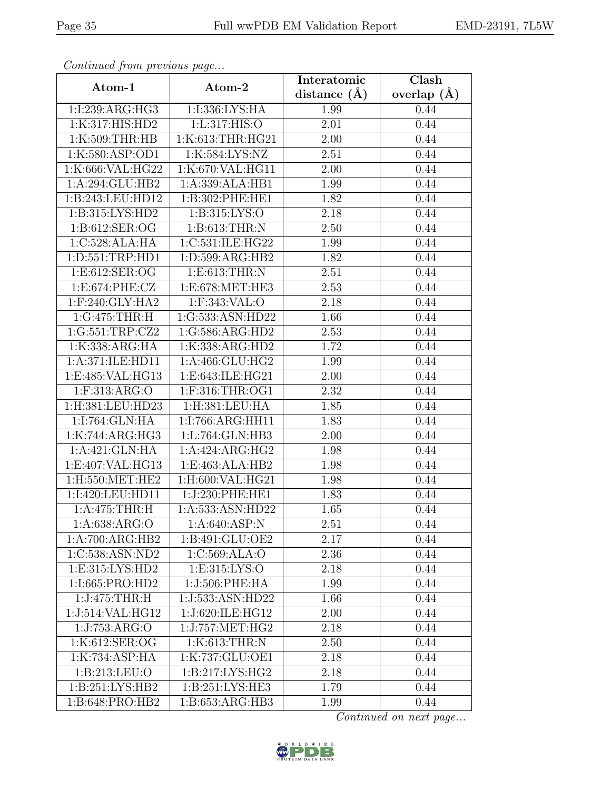| Continuati jibni protibus puga |                                     | Interatomic       | $\overline{\text{Clash}}$ |
|--------------------------------|-------------------------------------|-------------------|---------------------------|
| Atom-1                         | Atom-2                              | distance $(A)$    | overlap $(A)$             |
| 1:1:239:ARG:HG3                | 1:I:336:LYS:HA                      | 1.99              | 0.44                      |
| 1:K:317:HIS:HD2                | 1:L:317:HIS:O                       | 2.01              | 0.44                      |
| 1:K:509:THR:HB                 | 1:K:613:THR:HG21                    | 2.00              | 0.44                      |
| 1:K:580:ASP:OD1                | 1:K:584:LYS:NZ                      | 2.51              | 0.44                      |
| 1:K:666:VAL:HG22               | 1:K:670:VAL:HG11                    | 2.00              | 0.44                      |
| 1:A:294:GLU:HB2                | 1:A:339:ALA:HB1                     | 1.99              | 0.44                      |
| 1:B:243:LEU:HD12               | 1:B:302:PHE:HE1                     | 1.82              | 0.44                      |
| 1: B: 315: LYS: HD2            | 1: B: 315: LYS: O                   | 2.18              | 0.44                      |
| 1: B:612: SER:OG               | 1: B: 613: THR: N                   | 2.50              | 0.44                      |
| 1:C:528:ALA:HA                 | 1:C:531:ILE:HG22                    | 1.99              | 0.44                      |
| 1: D: 551: TRP: HD1            | 1:D:599:ARG:HB2                     | 1.82              | 0.44                      |
| 1: E: 612: SER: OG             | 1:E:613:THR:N                       | 2.51              | 0.44                      |
| 1:E:674:PHE:CZ                 | 1:E:678:MET:HE3                     | 2.53              | 0.44                      |
| $1:$ F:240:GLY:HA2             | 1:F:343:VAL:O                       | 2.18              | 0.44                      |
| 1:G:475:THR:H                  | 1:G:533:ASN:HD22                    | 1.66              | 0.44                      |
| 1:G:551:TRP:CZ2                | 1:G:586:ARG:HD2                     | 2.53              | 0.44                      |
| 1:K:338:ARG:HA                 | 1:K:338:ARG:HD2                     | 1.72              | 0.44                      |
| 1:A:371:ILE:HD11               | 1:A:466:GLU:HG2                     | 1.99              | 0.44                      |
| 1:E:485:VAL:HG13               | 1:E:643:ILE:HG21                    | 2.00              | 0.44                      |
| $1:$ F:313:ARG:O               | $1:$ F:316:THR:OG1                  | 2.32              | 0.44                      |
| 1:H:381:LEU:HD23               | 1:H:381:LEU:HA                      | 1.85              | 0.44                      |
| 1:I:764:GLN:HA                 | 1:I:766:ARG:HH11                    | 1.83              | 0.44                      |
| 1:K:744:ARG:HG3                | 1:L:764:GLN:HB3                     | 2.00              | 0.44                      |
| 1:A:421:GLN:HA                 | 1:A:424:ARG:HG2                     | 1.98              | 0.44                      |
| 1:E:407:VAL:HG13               | 1:E:463:ALA:HB2                     | 1.98              | 0.44                      |
| $1:$ H:550:MET:HE2             | 1:H:600:VAL:HG21                    | 1.98              | 0.44                      |
| 1:I:420:LEU:HD11               | 1:J:230:PHE:HE1                     | 1.83              | 0.44                      |
| 1: A:475:THR:H                 | 1:A:533:ASN:HD22                    | 1.65              | 0.44                      |
| 1: A:638: ARG:O                | 1: A:640: ASP: N                    | 2.51              | 0.44                      |
| 1:A:700:ARG:HB2                | 1:B:491:GLU:OE2                     | 2.17              | 0.44                      |
| 1:C:538:ASN:ND2                | 1:C:569:ALA:O                       | 2.36              | 0.44                      |
| 1: E: 315: LYS: HD2            | 1: E: 315: LYS: O                   | 2.18              | 0.44                      |
| 1:I:665:PRO:HD2                | 1:J:506:PHE:HA                      | $\overline{1.99}$ | 0.44                      |
| 1:J:475:THR:H                  | 1:J:533:ASN:HD22                    | 1.66              | 0.44                      |
| 1:J:514:VAL:HG12               | 1:J:620:ILE:HG12                    | 2.00              | 0.44                      |
| 1:J:753:ARG:O                  | $1:J:757:\overline{\text{MET}:HG2}$ | 2.18              | 0.44                      |
| 1:K:612:SER:OG                 | 1:K:613:THR:N                       | 2.50              | 0.44                      |
| 1:K:734:ASP:HA                 | 1:K:737:GLU:OE1                     | 2.18              | 0.44                      |
| 1: B: 213: LEU: O              | 1: B: 217: LYS: HG2                 | 2.18              | 0.44                      |
| 1: B:251: LYS: HB2             | 1: B:251: LYS: HE3                  | 1.79              | 0.44                      |
| 1:B:648:PRO:HB2                | 1:B:653:ARG:HB3                     | 1.99              | 0.44                      |

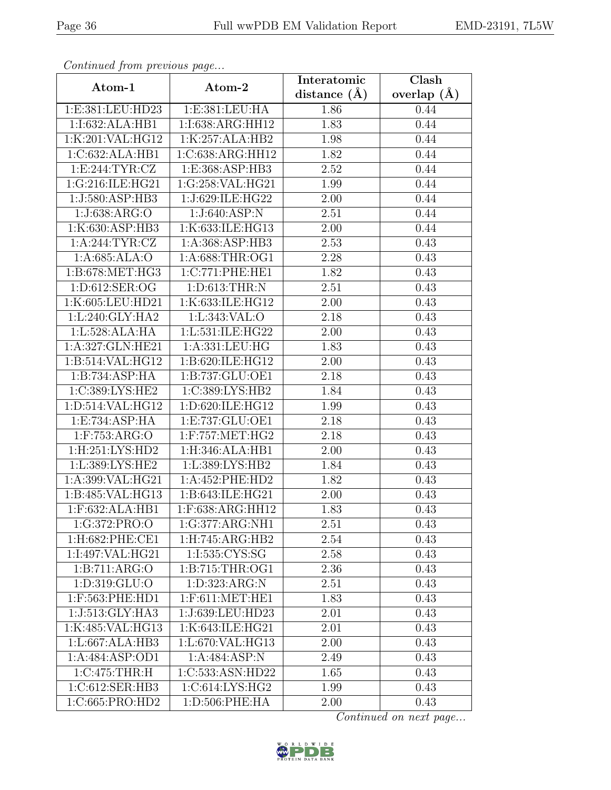| Continuati jibni protibus puga |                     | Interatomic    | $\overline{\text{Clash}}$ |
|--------------------------------|---------------------|----------------|---------------------------|
| Atom-1                         | Atom-2              | distance $(A)$ | overlap $(A)$             |
| 1:E:381:LEU:HD23               | 1:E:381:LEU:HA      | 1.86           | 0.44                      |
| 1:1:632:ALA:HB1                | 1:I:638:ARG:HH12    | 1.83           | 0.44                      |
| 1:K:201:VAL:HG12               | 1:K:257:ALA:HB2     | 1.98           | 0.44                      |
| 1:C:632:ALA:HB1                | 1:C:638:ARG:HH12    | 1.82           | 0.44                      |
| 1: E:244: TYR: CZ              | 1:E:368:ASP:HB3     | 2.52           | 0.44                      |
| 1:G:216:ILE:HG21               | 1:G:258:VAL:HG21    | 1.99           | 0.44                      |
| 1:J:580:ASP:HB3                | 1:J:629:ILE:HG22    | 2.00           | 0.44                      |
| 1:J:638:ARG:O                  | 1:J:640:ASP:N       | 2.51           | 0.44                      |
| 1:K:630:ASP:HB3                | 1:K:633:ILE:HG13    | 2.00           | 0.44                      |
| 1: A:244:TYR:CZ                | 1:A:368:ASP:HB3     | 2.53           | 0.43                      |
| 1:A:685:ALA:O                  | 1:A:688:THR:OG1     | 2.28           | 0.43                      |
| 1:B:678:MET:HG3                | 1:C:771:PHE:HE1     | 1.82           | 0.43                      |
| 1:D:612:SER:OG                 | 1:D:613:THR:N       | 2.51           | 0.43                      |
| 1:K:605:LEU:HD21               | 1:K:633:ILE:HG12    | 2.00           | 0.43                      |
| 1:L:240:GLY:HA2                | 1:L:343:VAL:O       | 2.18           | 0.43                      |
| 1:L:528:ALA:HA                 | 1:L:531:ILE:HG22    | 2.00           | 0.43                      |
| 1:A:327:GLN:HE21               | 1:A:331:LEU:HG      | 1.83           | 0.43                      |
| 1:B:514:VAL:HG12               | 1:B:620:ILE:HG12    | 2.00           | 0.43                      |
| 1:B:734:ASP:HA                 | 1:B:737:GLU:OE1     | 2.18           | 0.43                      |
| 1:C:389:LYS:HE2                | 1:C:389:LYS:HB2     | 1.84           | 0.43                      |
| 1:D:514:VAL:HG12               | 1:D:620:ILE:HG12    | 1.99           | 0.43                      |
| 1:E:734:ASP:HA                 | 1:E:737:GLU:OE1     | 2.18           | 0.43                      |
| 1:F:753:ARG:O                  | $1:$ F:757:MET:HG2  | 2.18           | 0.43                      |
| 1:H:251:LYS:HD2                | 1:H:346:ALA:HB1     | 2.00           | 0.43                      |
| 1:L:389:LYS:HE2                | 1:L:389:LYS:HB2     | 1.84           | 0.43                      |
| 1:A:399:VAL:HG21               | 1:A:452:PHE:HD2     | 1.82           | 0.43                      |
| $1:$ B:485:VAL:HG13            | 1:B:643:ILE:HG21    | 2.00           | 0.43                      |
| $1:$ F:632:ALA:HB1             | $1:$ F:638:ARG:HH12 | 1.83           | 0.43                      |
| 1:G:372:PRO:O                  | 1:G:377:ARG:NH1     | 2.51           | 0.43                      |
| $1:$ H:682:PHE:CE1             | 1:H:745:ARG:HB2     | 2.54           | 0.43                      |
| 1:I:497:VAL:HG21               | 1:I:535:CYS:SG      | 2.58           | 0.43                      |
| 1:B:711:ARG:O                  | 1: B: 715: THR: OG1 | 2.36           | 0.43                      |
| 1:D:319:GLU:O                  | 1:D:323:ARG:N       | 2.51           | 0.43                      |
| 1:F:563:PHE:HD1                | $1:$ F:611:MET:HE1  | 1.83           | 0.43                      |
| 1:J:513:GLY:HA3                | 1:J:639:LEU:HD23    | 2.01           | 0.43                      |
| 1:K:485:VAL:HG13               | 1:K:643:ILE:HG21    | 2.01           | 0.43                      |
| 1: L:667: ALA:HB3              | 1:L:670:VAL:HG13    | 2.00           | 0.43                      |
| 1:A:484:ASP:OD1                | 1:A:484:ASP:N       | 2.49           | 0.43                      |
| 1:C:475:THR:H                  | 1:C:533:ASN:HD22    | 1.65           | 0.43                      |
| 1:C:612:SER:HB3                | 1:C:614:LYS:HG2     | 1.99           | 0.43                      |
| 1:C:665:PRO:HD2                | 1:D:506:PHE:HA      | 2.00           | 0.43                      |

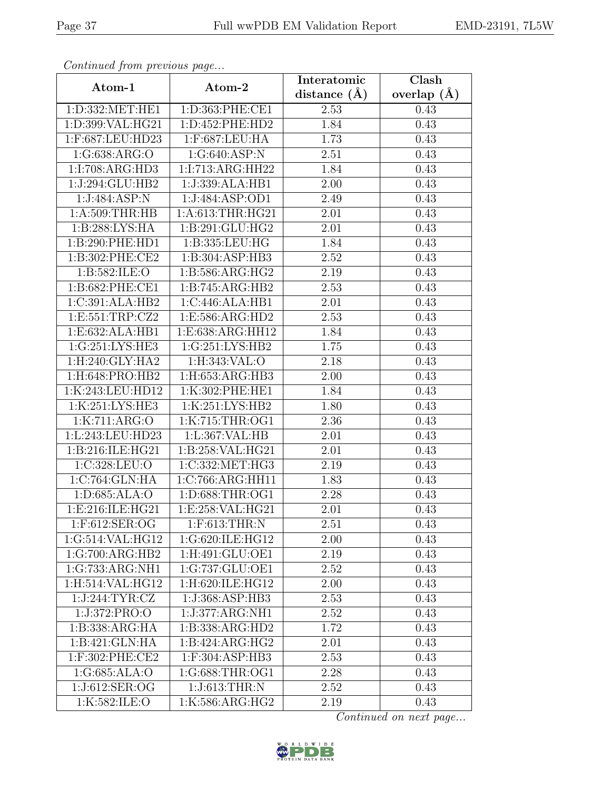| Continuati jibni protibus puga |                                  | Interatomic    | $\overline{\text{Clash}}$ |
|--------------------------------|----------------------------------|----------------|---------------------------|
| Atom-1                         | Atom-2                           | distance $(A)$ | overlap $(A)$             |
| 1:D:332:MET:HE1                | 1:D:363:PHE:CE1                  | 2.53           | 0.43                      |
| 1:D:399:VAL:HG21               | 1:D:452:PHE:HD2                  | 1.84           | 0.43                      |
| 1:F:687:LEU:HD23               | 1:F:687:LEU:HA                   | 1.73           | 0.43                      |
| 1:G:638:ARG:O                  | 1:G:640:ASP:N                    | 2.51           | 0.43                      |
| 1:I:708:ARG:HD3                | 1:I:713:ARG:HH22                 | 1.84           | 0.43                      |
| 1:J:294:GLU:HB2                | 1:J:339:ALA:HB1                  | 2.00           | 0.43                      |
| 1:J:484:ASP:N                  | 1:J:484:ASP:OD1                  | 2.49           | 0.43                      |
| 1: A:509:THR:HB                | 1:A:613:THR:HG21                 | 2.01           | 0.43                      |
| 1:B:288:LYS:HA                 | 1:B:291:GLU:HG2                  | 2.01           | 0.43                      |
| 1:B:290:PHE:HD1                | 1:B:335:LEU:HG                   | 1.84           | 0.43                      |
| 1:B:302:PHE:CE2                | 1:B:304:ASP:HB3                  | 2.52           | 0.43                      |
| 1: B: 582: ILE: O              | 1:B:586:ARG:HG2                  | 2.19           | 0.43                      |
| 1:B:682:PHE:CE1                | 1:B:745:ARG:HB2                  | 2.53           | 0.43                      |
| 1:C:391:ALA:HB2                | 1:C:446:ALA:HB1                  | 2.01           | 0.43                      |
| 1:E:551:TRP:CZ2                | 1:E:586:ARG:HD2                  | 2.53           | 0.43                      |
| 1:E:632:ALA:HB1                | 1:E:638:ARG:HH12                 | 1.84           | 0.43                      |
| 1:G:251:LYS:HE3                | 1:G:251:LYS:HB2                  | 1.75           | 0.43                      |
| 1:H:240:GLY:HA2                | 1:H:343:VAL:O                    | 2.18           | 0.43                      |
| 1:H:648:PRO:HB2                | 1:H:653:ARG:HB3                  | 2.00           | 0.43                      |
| 1:K:243:LEU:HD12               | 1:K:302:PHE:HE1                  | 1.84           | 0.43                      |
| 1:K:251:LYS:HE3                | 1:K:251:LYS:HB2                  | 1.80           | 0.43                      |
| 1:K:711:ARG:O                  | 1:K:715:THR:OG1                  | 2.36           | 0.43                      |
| 1:L:243:LEU:HD23               | 1:L:367:VAL:HB                   | 2.01           | 0.43                      |
| 1:B:216:ILE:HG21               | 1:B:258:VAL:HG21                 | 2.01           | 0.43                      |
| 1:C:328:LEU:O                  | 1:C:332:MET:HG3                  | 2.19           | 0.43                      |
| 1:C:764:GLN:HA                 | 1:C:766:ARG:HH11                 | 1.83           | 0.43                      |
| 1:D:685:ALA:O                  | 1:D:688:THR:OG1                  | 2.28           | 0.43                      |
| 1:E:216:ILE:HG21               | 1: E: 258: VAL: HG21             | 2.01           | 0.43                      |
| 1:F:612:SER:OG                 | 1:F:613:THR:N                    | 2.51           | 0.43                      |
| 1:G:514:VAL:HG12               | 1:G:620:ILE:HG12                 | 2.00           | 0.43                      |
| 1:G:700:ARG:HB2                | 1:H:491:GLU:OE1                  | 2.19           | 0.43                      |
| 1:G:733:ARG:NH1                | 1:G:737:GLU:OE1                  | 2.52           | 0.43                      |
| 1:H:514:VAL:HG12               | 1:H:620:ILE:HG12                 | 2.00           | 0.43                      |
| 1:J:244:TYR:CZ                 | 1:J:368:ASP:HB3                  | 2.53           | 0.43                      |
| 1:J:372:PRO:O                  | 1:J:377:ARG:NH1                  | 2.52           | 0.43                      |
| 1:B:338:ARG:HA                 | 1:B:338:ARG:HD2                  | 1.72           | 0.43                      |
| 1:B:421:GLN:HA                 | 1:B:424:ARG:HG2                  | 2.01           | 0.43                      |
| 1:F:302:PHE:CE2                | $1:$ F:304:AS $\overline{P:HB3}$ | 2.53           | 0.43                      |
| 1:G:685:ALA:O                  | 1:G:688:THR:OG1                  | 2.28           | 0.43                      |
| 1:J:612:SER:OG                 | 1:J:613:THR:N                    | 2.52           | 0.43                      |
| 1:K:582:ILE:O                  | 1:K:586:ARG:HG2                  | 2.19           | 0.43                      |

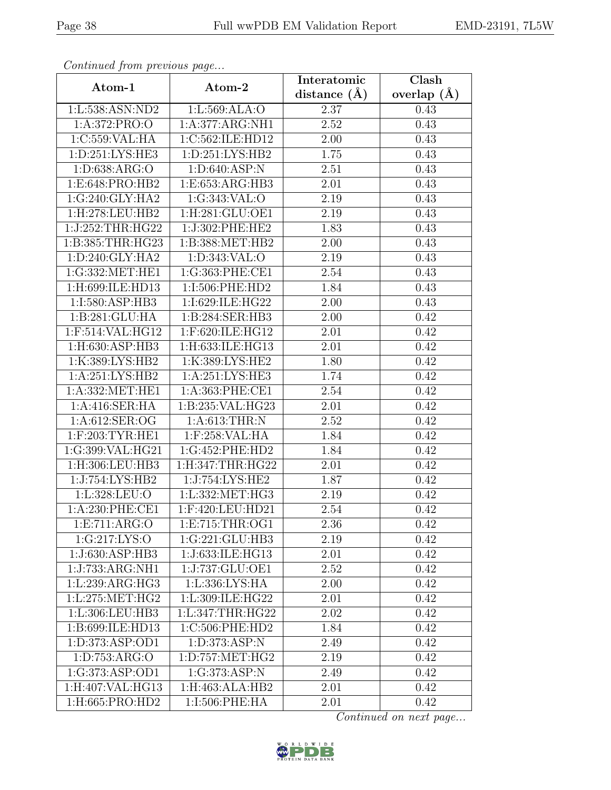| Continua from previous page |                     | Interatomic    | $\overline{\text{Clash}}$ |
|-----------------------------|---------------------|----------------|---------------------------|
| Atom-1                      | Atom-2              | distance $(A)$ | overlap $(A)$             |
| 1:L:538:ASN:ND2             | 1:L:569:ALA:O       | 2.37           | 0.43                      |
| 1:A:372:PRO:O               | 1:A:377:ARG:NH1     | 2.52           | 0.43                      |
| 1:C:559:VAL:HA              | 1:C:562:ILE:HD12    | 2.00           | 0.43                      |
| 1: D: 251: LYS: HE3         | 1: D: 251: LYS: HB2 | 1.75           | 0.43                      |
| 1: D: 638: ARG: O           | 1: D:640: ASP:N     | 2.51           | 0.43                      |
| 1:E:648:PRO:HB2             | 1:E:653:ARG:HB3     | 2.01           | 0.43                      |
| 1:G:240:GLY:HA2             | 1:G:343:VAL:O       | 2.19           | 0.43                      |
| 1:H:278:LEU:HB2             | 1:H:281:GLU:OE1     | 2.19           | 0.43                      |
| 1:J:252:THR:HG22            | 1:J:302:PHE:HE2     | 1.83           | 0.43                      |
| 1:B:385:THR:HG23            | 1:B:388:MET:HB2     | 2.00           | 0.43                      |
| 1: D: 240: GLY: HA2         | 1:D:343:VAL:O       | 2.19           | 0.43                      |
| 1:G:332:MET:HE1             | 1:G:363:PHE:CE1     | 2.54           | 0.43                      |
| 1:H:699:ILE:HD13            | 1:I:506:PHE:HD2     | 1.84           | 0.43                      |
| 1:I:580:ASP:HB3             | 1:I:629:ILE:HG22    | 2.00           | 0.43                      |
| 1:B:281:GLU:HA              | 1:B:284:SER:HB3     | 2.00           | 0.42                      |
| 1:F:514:VAL:HG12            | 1:F:620:ILE:HG12    | 2.01           | 0.42                      |
| 1:H:630:ASP:HB3             | 1:H:633:ILE:HG13    | 2.01           | 0.42                      |
| 1:K:389:LYS:HB2             | 1:K:389:LYS:HE2     | 1.80           | 0.42                      |
| 1:A:251:LYS:HB2             | 1:A:251:LYS:HE3     | 1.74           | 0.42                      |
| 1:A:332:MET:HE1             | 1: A:363: PHE:CE1   | 2.54           | 0.42                      |
| 1:A:416:SER:HA              | 1:B:235:VAL:HG23    | 2.01           | 0.42                      |
| 1:A:612:SER:OG              | 1: A:613:THR:N      | 2.52           | 0.42                      |
| 1:F:203:TYR:HE1             | 1:F:258:VAL:HA      | 1.84           | 0.42                      |
| 1:G:399:VAL:HG21            | 1:G:452:PHE:HD2     | 1.84           | 0.42                      |
| 1:H:306:LEU:HB3             | 1:H:347:THR:HG22    | 2.01           | 0.42                      |
| 1:J:754:LYS:HB2             | 1:J:754:LYS:HE2     | 1.87           | 0.42                      |
| 1: L:328:LEU:O              | 1:L:332:MET:HG3     | 2.19           | 0.42                      |
| 1: A:230: PHE:CE1           | $1:$ F:420:LEU:HD21 | 2.54           | 0.42                      |
| 1:E:711:ARG:O               | 1: E: 715: THR: OG1 | 2.36           | 0.42                      |
| 1:G:217:LYS:O               | 1:G:221:GLU:HB3     | 2.19           | 0.42                      |
| 1:J:630:ASP:HB3             | 1:J:633:ILE:HG13    | 2.01           | 0.42                      |
| 1:J:733:ARG:NH1             | 1:J:737:GLU:OE1     | 2.52           | 0.42                      |
| 1:L:239:ARG:HG3             | 1:L:336:LYS:HA      | 2.00           | 0.42                      |
| 1:L:275:MET:HG2             | 1:L:309:ILE:HG22    | 2.01           | 0.42                      |
| 1:L:306:LEU:HB3             | 1:L:347:THR:HG22    | 2.02           | 0.42                      |
| 1:B:699:ILE:HD13            | $1:C:506:$ PHE:HD2  | 1.84           | 0.42                      |
| 1: D: 373: ASP: OD1         | 1:D:373:ASP:N       | 2.49           | 0.42                      |
| 1: D: 753: ARG: O           | 1: D: 757: MET: HG2 | 2.19           | 0.42                      |
| 1:G:373:ASP:OD1             | 1:G:373:ASP:N       | 2.49           | 0.42                      |
| 1:H:407:VAL:HG13            | 1:H:463:ALA:HB2     | 2.01           | 0.42                      |
| 1:H:665:PRO:HD2             | 1:I:506:PHE:HA      | 2.01           | 0.42                      |

![](_page_37_Picture_6.jpeg)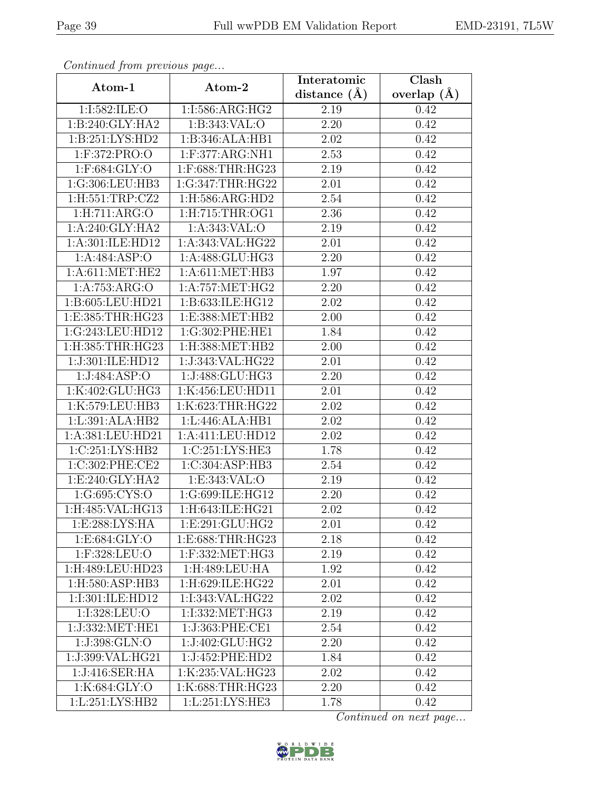| Continuati jibni protibus puga |                              | Interatomic    | $\overline{\text{Clash}}$ |
|--------------------------------|------------------------------|----------------|---------------------------|
| Atom-1                         | Atom-2                       | distance $(A)$ | overlap $(A)$             |
| 1:I:582:ILE:O                  | 1:I:586:ARG:HG2              | 2.19           | 0.42                      |
| 1:B:240:GLY:HA2                | 1: B: 343: VAL: O            | 2.20           | 0.42                      |
| 1: B: 251: LYS: HD2            | 1:B:346:ALA:HB1              | 2.02           | 0.42                      |
| 1:F:372:PRO:O                  | 1:F:377:ARG:NH1              | 2.53           | 0.42                      |
| 1:F:684:GLY:O                  | 1:F:688:THR:HG23             | 2.19           | 0.42                      |
| 1:G:306:LEU:HB3                | 1:G:347:THR:HG22             | 2.01           | 0.42                      |
| 1: H: 551: TRP: CZ2            | 1:H:586:ARG:HD2              | 2.54           | 0.42                      |
| 1: H: 711: ARG: O              | 1: H: 715: THR: OG1          | 2.36           | 0.42                      |
| 1:A:240:GLY:HA2                | 1:A:343:VAL:O                | 2.19           | 0.42                      |
| 1: A:301: ILE: HD12            | 1:A:343:VAL:HG22             | 2.01           | 0.42                      |
| 1:A:484:ASP:O                  | 1:A:488:GLU:HG3              | 2.20           | 0.42                      |
| 1: A:611:MET:HE2               | 1: A:611: MET:HB3            | 1.97           | 0.42                      |
| 1:A:753:ARG:O                  | 1: A: 757: MET: HG2          | 2.20           | 0.42                      |
| 1:B:605:LEU:HD21               | 1:B:633:ILE:HG12             | 2.02           | 0.42                      |
| 1:E:385:THR:HG23               | 1:E:388:MET:HB2              | 2.00           | 0.42                      |
| 1:G:243:LEU:HD12               | 1:G:302:PHE:HE1              | 1.84           | 0.42                      |
| 1:H:385:THR:HG23               | 1:H:388:MET:HB2              | 2.00           | 0.42                      |
| 1:J:301:ILE:HD12               | 1:J:343:VAL:HG22             | 2.01           | 0.42                      |
| 1:J:484:ASP:O                  | 1:J:488:GLU:HG3              | 2.20           | 0.42                      |
| 1:K:402:GLU:HG3                | 1:K:456:LEU:HD11             | 2.01           | 0.42                      |
| 1:K:579:LEU:HB3                | 1:K:623:THR:HG22             | 2.02           | 0.42                      |
| 1:L:391:ALA:HB2                | 1:L:446:ALA:HB1              | 2.02           | 0.42                      |
| 1:A:381:LEU:HD21               | 1:A:411:LEU:HD12             | $2.02\,$       | 0.42                      |
| 1:C:251:LYS:HB2                | 1:C:251:LYS:HE3              | 1.78           | 0.42                      |
| 1:C:302:PHE:CE2                | 1:C:304:ASP:HB3              | 2.54           | 0.42                      |
| 1:E:240:GLY:HA2                | 1: E: 343: VAL: O            | 2.19           | 0.42                      |
| 1:G:695:CYS:O                  | 1:G:699:ILE:HG12             | 2.20           | 0.42                      |
| 1:H:485: VAL: HG13             | 1: H: 643: ILE: HG21         | 2.02           | 0.42                      |
| 1:E:288:LYS:HA                 | 1: E:291: GLU: HG2           | 2.01           | 0.42                      |
| 1: E: 684: GLY:O               | 1:E:688:THR:HG23             | 2.18           | 0.42                      |
| 1:F:328:LEU:O                  | 1:F:332:MET:HG3              | 2.19           | 0.42                      |
| 1:H:489:LEU:HD23               | 1:H:489:LEU:HA               | 1.92           | 0.42                      |
| 1:H:580:ASP:HB3                | 1:H:629:ILE:HG22             | 2.01           | 0.42                      |
| 1:I:301:ILE:HD12               | 1:I:343:VAL:HG22             | 2.02           | 0.42                      |
| 1:1:328:LEU:O                  | 1:I:332:MET:HG3              | 2.19           | 0.42                      |
| 1:J:332:MET:HE1                | 1:J:363:PHE:CE1              | 2.54           | 0.42                      |
| 1:J:398:GLN:O                  | $1:J:402:GLU:H\overline{G2}$ | 2.20           | 0.42                      |
| 1:J:399:VAL:HG21               | 1:J:452:PHE:HD2              | 1.84           | 0.42                      |
| 1:J:416:SER:HA                 | 1:K:235:VAL:HG23             | 2.02           | 0.42                      |
| 1:K:684:GLY:O                  | 1:K:688:THR:HG23             | 2.20           | 0.42                      |
| 1:L:251:LYS:HB2                | 1:L:251:LYS:HE3              | 1.78           | 0.42                      |

![](_page_38_Picture_6.jpeg)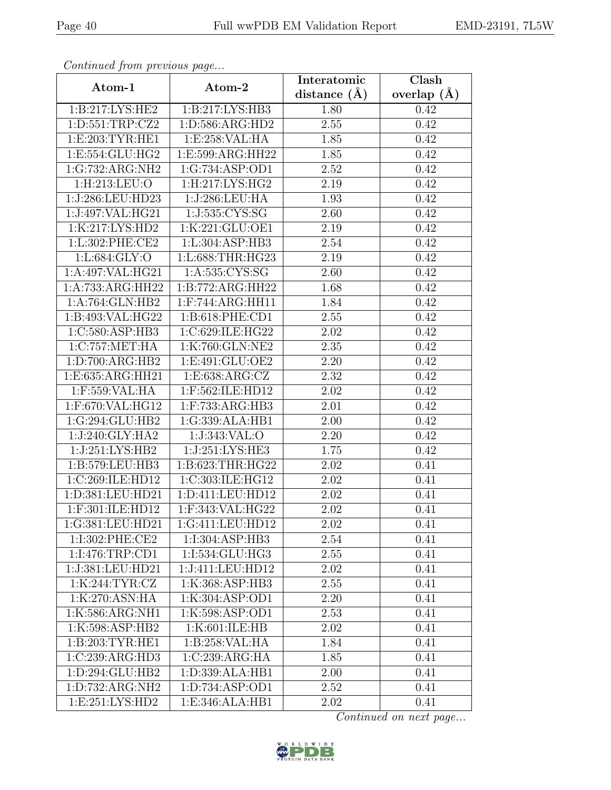| Continuati jibni protibus puga      |                               | Interatomic    | $\overline{\text{Clash}}$ |
|-------------------------------------|-------------------------------|----------------|---------------------------|
| Atom-1                              | Atom-2                        | distance $(A)$ | overlap $(A)$             |
| 1:B:217:LYS:HE2                     | 1: B: 217: LYS: HB3           | 1.80           | 0.42                      |
| 1:D:551:TRP:CZ2                     | 1:D:586:ARG:HD2               | 2.55           | 0.42                      |
| 1: E:203: TYR: HE1                  | 1:E:258:VAL:HA                | 1.85           | 0.42                      |
| 1:E:554:GLU:HG2                     | 1:E:599:ARG:HH22              | 1.85           | 0.42                      |
| 1:G:732:ARG:NH2                     | 1:G:734:ASP:OD1               | 2.52           | 0.42                      |
| 1:H:213:LEU:O                       | 1: H: 217: LYS: HG2           | 2.19           | 0.42                      |
| 1:J:286:LEU:HD23                    | 1:J:286:LEU:HA                | 1.93           | 0.42                      |
| 1:J:497:VAL:HG21                    | 1:J:535:CYS:SG                | 2.60           | 0.42                      |
| 1:K:217:LYS:HD2                     | 1:K:221:GLU:OE1               | 2.19           | 0.42                      |
| 1:L:302:PHE:CE2                     | 1:L:304:ASP:HB3               | 2.54           | 0.42                      |
| 1:L:684:GLY:O                       | 1:L:688:THR:HG23              | 2.19           | 0.42                      |
| 1:A:497:VAL:HG21                    | 1: A: 535: CYS: SG            | 2.60           | 0.42                      |
| 1:A:733:ARG:HH22                    | $1:B:772:ARG:\overline{HH22}$ | 1.68           | 0.42                      |
| 1:A:764:GLN:HB2                     | 1:F:744:ARG:HH11              | 1.84           | 0.42                      |
| 1:B:493:VAL:HG22                    | 1:B:618:PHE:CD1               | 2.55           | 0.42                      |
| 1:C:580:ASP:HB3                     | 1:C:629:ILE:HG22              | 2.02           | 0.42                      |
| $1:C:757:\overline{\text{MET:H}}$ A | 1:K:760:GLN:NE2               | 2.35           | 0.42                      |
| 1: D: 700: ARG: HB2                 | 1:E:491:GLU:OE2               | 2.20           | 0.42                      |
| 1:E:635:ARG:HH21                    | 1:E:638:ARG:CZ                | 2.32           | 0.42                      |
| 1:F:559:VAL:HA                      | 1:F:562:ILE:HD12              | 2.02           | 0.42                      |
| 1:F:670:VAL:HG12                    | 1:F:733:ARG:HB3               | 2.01           | 0.42                      |
| 1:G:294:GLU:HB2                     | 1:G:339:ALA:HB1               | 2.00           | 0.42                      |
| 1:J:240:GLY:HA2                     | 1:J:343:VAL:O                 | 2.20           | 0.42                      |
| 1:J:251:LYS:HB2                     | 1:J:251:LYS:HE3               | 1.75           | 0.42                      |
| 1:B:579:LEU:HB3                     | 1:B:623:THR:HG22              | 2.02           | 0.41                      |
| 1:C:269:ILE:HD12                    | 1:C:303:ILE:HG12              | 2.02           | 0.41                      |
| 1:D:381:LEU:HD21                    | 1:D:411:LEU:HD12              | 2.02           | 0.41                      |
| 1:F:301:ILE:HD12                    | $1:$ F:343:VAL:HG22           | 2.02           | 0.41                      |
| 1:G:381:LEU:HD21                    | 1:G:411:LEU:HD12              | 2.02           | 0.41                      |
| 1:I:302:PHE:CE2                     | 1:I:304:ASP:HB3               | 2.54           | 0.41                      |
| 1:1:476:TRP:CD1                     | 1:I:534:GLU:HG3               | 2.55           | 0.41                      |
| 1:J:381:LEU:HD21                    | 1:J:411:LEU:HD12              | 2.02           | 0.41                      |
| 1:K:244:TYR:CZ                      | 1:K:368:ASP:HB3               | 2.55           | 0.41                      |
| 1:K:270:ASN:HA                      | 1:K:304:ASP:OD1               | 2.20           | 0.41                      |
| 1:K:586:ARG:NH1                     | 1:K:598:ASP:OD1               | 2.53           | 0.41                      |
| 1:K:598:ASP:HB2                     | 1:K:601:ILE:HB                | 2.02           | 0.41                      |
| 1:B:203:TYR:HE1                     | 1:B:258:VAL:HA                | 1.84           | 0.41                      |
| 1:C:239:ARG:HD3                     | 1:C:239:ARG:HA                | 1.85           | 0.41                      |
| 1:D:294:GLU:HB2                     | 1:D:339:ALA:HB1               | 2.00           | 0.41                      |
| 1:D:732:ARG:NH2                     | 1:D:734:ASP:OD1               | 2.52           | 0.41                      |
| 1: E: 251: LYS: HD2                 | 1:E:346:ALA:HB1               | 2.02           | 0.41                      |

![](_page_39_Picture_6.jpeg)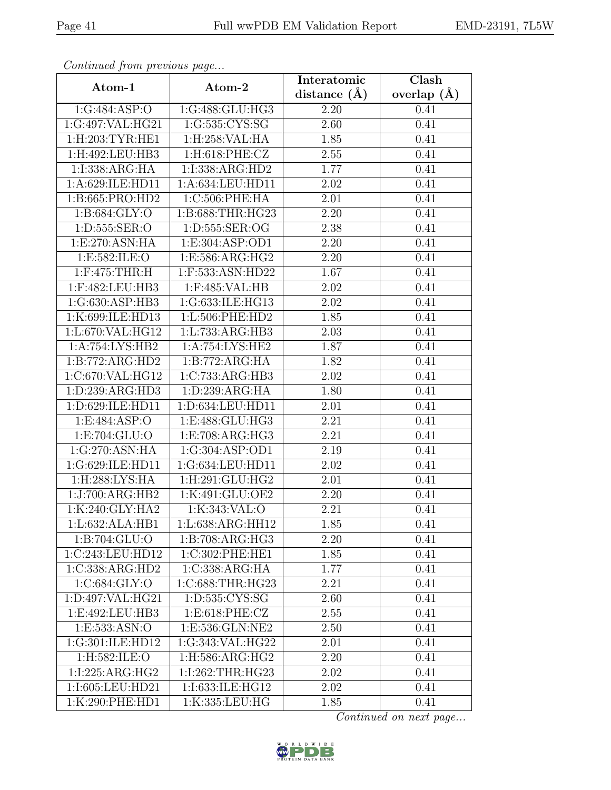| Continued from previous page  |                                | Interatomic       | Clash         |
|-------------------------------|--------------------------------|-------------------|---------------|
| Atom-1                        | Atom-2                         | distance $(A)$    | overlap $(A)$ |
| 1:G:484:ASP:O                 | 1:G:488:GLU:HG3                | 2.20              | 0.41          |
| 1:G:497:VAL:HG21              | 1:G:535:CYS:SG                 | 2.60              | 0.41          |
| $1:$ H $:203:$ TYR $:$ HE $1$ | 1:H:258:VAL:HA                 | 1.85              | 0.41          |
| 1:H:492:LEU:HB3               | 1:H:618:PHE:CZ                 | 2.55              | 0.41          |
| 1:I:338:ARG:HA                | 1:I:338:ARG:HD2                | 1.77              | 0.41          |
| 1:A:629:ILE:HD11              | 1:A:634:LEU:HD11               | 2.02              | 0.41          |
| 1:B:665:PRO:HD2               | 1:C:506:PHE:HA                 | 2.01              | 0.41          |
| 1: B: 684: GLY:O              | 1:B:688:THR:HG23               | 2.20              | 0.41          |
| 1:D:555:SER:O                 | 1: D: 555: SER: OG             | 2.38              | 0.41          |
| 1:E:270:ASN:HA                | 1:E:304:ASP:OD1                | 2.20              | 0.41          |
| 1:E:582:ILE:O                 | 1:E:586:ARG:HG2                | 2.20              | 0.41          |
| $1:$ F:475:THR:H              | 1:F:533:ASN:HD22               | 1.67              | 0.41          |
| 1:F:482:LEU:HB3               | 1:F:485:VAL:HB                 | 2.02              | 0.41          |
| 1:G:630:ASP:HB3               | 1:G:633:ILE:HG13               | 2.02              | 0.41          |
| 1:K:699:ILE:HD13              | 1:L:506:PHE:HD2                | 1.85              | 0.41          |
| 1:L:670:VAL:HG12              | 1:L:733:ARG:HB3                | 2.03              | 0.41          |
| 1:A:754:LYS:HB2               | 1:A:754:LYS:HE2                | 1.87              | 0.41          |
| 1:B:772:ARG:HD2               | 1:B:772:ARG:HA                 | 1.82              | 0.41          |
| 1:C:670:VAL:HG12              | 1:C:733:ARG:HB3                | 2.02              | 0.41          |
| 1: D: 239: ARG: HD3           | 1:D:239:ARG:HA                 | 1.80              | 0.41          |
| 1:D:629:ILE:HD11              | 1:D:634:LEU:HD11               | 2.01              | 0.41          |
| 1:E:484:ASP:O                 | $1: E:488: \overline{GLU:HG3}$ | 2.21              | 0.41          |
| 1:E:704:GLU:O                 | 1:E:708:ARG:HG3                | 2.21              | 0.41          |
| 1:G:270:ASN:HA                | 1:G:304:ASP:OD1                | $\overline{2}.19$ | 0.41          |
| 1:G:629:ILE:HD11              | 1:G:634:LEU:HD11               | 2.02              | 0.41          |
| 1:H:288:LYS:HA                | 1:H:291:GLU:HG2                | $\overline{2.01}$ | 0.41          |
| 1:J:700:ARG:HB2               | 1:K:491:GLU:OE2                | 2.20              | 0.41          |
| 1:K:240:GLY:HA2               | 1:K:343:VAL:O                  | 2.21              | 0.41          |
| 1: L:632: ALA:HB1             | 1:L:638:ARG:HH12               | 1.85              | 0.41          |
| 1:B:704:GLU:O                 | 1:B:708:ARG:HG3                | 2.20              | 0.41          |
| 1:C:243:LEU:HD12              | 1:C:302:PHE:HE1                | 1.85              | 0.41          |
| 1:C:338:ARG:HD2               | 1:C:338:ARG:HA                 | 1.77              | 0.41          |
| 1:C:684:GLY:O                 | 1:C:688:THR:HG23               | 2.21              | 0.41          |
| 1:D:497:VAL:HG21              | 1:D:535:CYS:SG                 | 2.60              | 0.41          |
| 1:E:492:LEU:HB3               | 1: E:618: PHE: CZ              | 2.55              | 0.41          |
| 1: E: 533: ASN: O             | 1:E:536:GLN:NE2                | 2.50              | 0.41          |
| 1:G:301:ILE:HD12              | 1:G:343:VAL:HG22               | 2.01              | 0.41          |
| 1:H:582:ILE:O                 | 1:H:586:ARG:HG2                | 2.20              | 0.41          |
| 1:I:225:ARG:HG2               | 1:I:262:THR:HG23               | 2.02              | 0.41          |
| 1:I:605:LEU:HD21              | 1:I:633:ILE:HG12               | 2.02              | 0.41          |
| 1:K:290:PHE:HD1               | 1:K:335:LEU:HG                 | 1.85              | 0.41          |

![](_page_40_Picture_6.jpeg)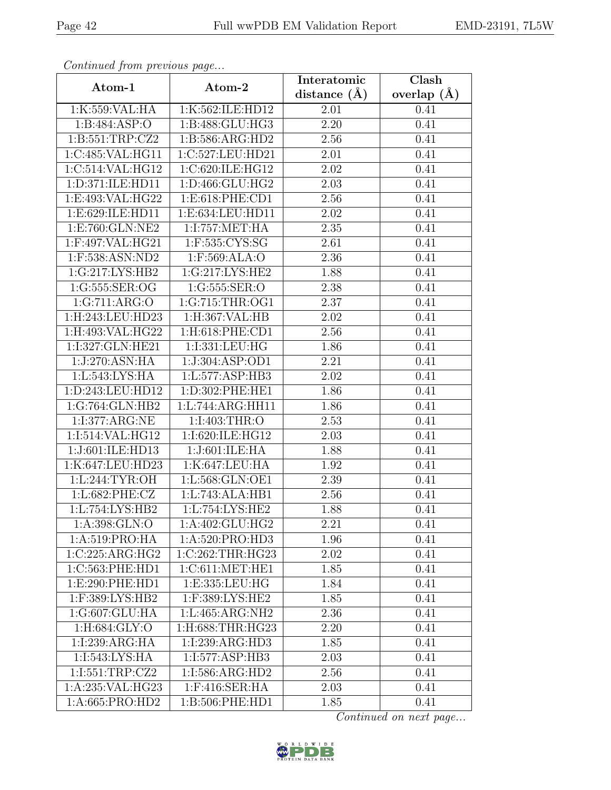| Continua from previous page |                     | Interatomic    | $\overline{\text{Clash}}$ |
|-----------------------------|---------------------|----------------|---------------------------|
| Atom-1                      | Atom-2              | distance $(A)$ | overlap $(A)$             |
| 1:K:559:VAL:HA              | 1:K:562:ILE:HD12    | 2.01           | 0.41                      |
| 1:B:484:ASP:O               | 1:B:488:GLU:HG3     | 2.20           | 0.41                      |
| 1: B:551:TRP: CZ2           | 1: B: 586: ARG: HD2 | 2.56           | 0.41                      |
| 1:C:485:VAL:HG11            | 1:C:527:LEU:HD21    | 2.01           | 0.41                      |
| 1:C:514:VAL:HG12            | 1:C:620:ILE: HG12   | 2.02           | 0.41                      |
| 1: D:371: ILE: HD11         | 1: D: 466: GLU: HG2 | 2.03           | 0.41                      |
| 1:E:493:VAL:HG22            | 1:E:618:PHE:CD1     | $2.56\,$       | 0.41                      |
| 1:E:629:ILE:HD11            | 1:E:634:LEU:HD11    | 2.02           | 0.41                      |
| 1:E:760:GLN:NE2             | 1:1:757:MET:HA      | 2.35           | 0.41                      |
| 1:F:497:VAL:HG21            | 1:F:535:CYS:SG      | 2.61           | 0.41                      |
| 1:F:538:ASN:ND2             | 1:F:569:ALA:O       | 2.36           | 0.41                      |
| 1:G:217:LYS:HB2             | 1:G:217:LYS:HE2     | 1.88           | 0.41                      |
| 1:G:555:SER:OG              | 1:G:555:SER:O       | 2.38           | 0.41                      |
| 1:G:711:ARG:O               | 1:G:715:THR:OG1     | 2.37           | 0.41                      |
| 1:H:243:LEU:HD23            | 1:H:367:VAL:HB      | 2.02           | 0.41                      |
| 1:H:493:VAL:HG22            | $1:$ H:618:PHE:CD1  | 2.56           | 0.41                      |
| 1:I:327:GLN:HE21            | 1:I:331:LEU:HG      | 1.86           | 0.41                      |
| 1:J:270:ASN:HA              | 1:J:304:ASP:OD1     | 2.21           | 0.41                      |
| 1:L:543:LYS:HA              | 1:L:577:ASP:HB3     | 2.02           | 0.41                      |
| 1:D:243:LEU:HD12            | 1:D:302:PHE:HE1     | 1.86           | 0.41                      |
| 1:G:764:GLN:HB2             | 1:L:744:ARG:HH11    | 1.86           | 0.41                      |
| 1:I:377:ARG:NE              | 1:I:403:THR:O       | 2.53           | 0.41                      |
| 1:I:514:VAL:HG12            | 1:I:620:ILE:HG12    | 2.03           | 0.41                      |
| 1:J:601:ILE:HD13            | 1:J:601:ILE:HA      | 1.88           | 0.41                      |
| 1:K:647:LEU:HD23            | 1:K:647:LEU:HA      | 1.92           | 0.41                      |
| 1:L:244:TYR:OH              | 1:L:568:GLN:OE1     | 2.39           | 0.41                      |
| 1:L:682:PHE:CZ              | 1:L:743:ALA:HB1     | 2.56           | 0.41                      |
| 1:L:754:LYS:HB2             | 1: L: 754: LYS: HE2 | 1.88           | 0.41                      |
| 1: A:398: GLN:O             | 1:A:402:GLU:HG2     | 2.21           | 0.41                      |
| 1: A:519: PRO:HA            | 1:A:520:PRO:HD3     | 1.96           | 0.41                      |
| 1:C:225:ARG:HG2             | 1:C:262:THR:HG23    | 2.02           | 0.41                      |
| 1:C:563:PHE:HD1             | 1:C:611:MET:HE1     | 1.85           | 0.41                      |
| 1: E:290: PHE: HD1          | 1:E:335:LEU:HG      | 1.84           | 0.41                      |
| 1:F:389:LYS:HB2             | 1:F:389:LYS:HE2     | 1.85           | 0.41                      |
| 1:G:607:GLU:HA              | 1: L:465: ARG: NH2  | 2.36           | 0.41                      |
| 1:H:684:GLY:O               | $1:$ H:688:THR:HG23 | 2.20           | 0.41                      |
| 1:I:239:ARG:HA              | 1:I:239:ARG:HD3     | 1.85           | 0.41                      |
| 1:I:543:LYS:HA              | 1:I:577:ASP:HB3     | 2.03           | 0.41                      |
| 1:1:551:TRP:CZ2             | 1:I:586:ARG:HD2     | 2.56           | 0.41                      |
| 1:A:235:VAL:HG23            | 1:F:416:SER:HA      | 2.03           | 0.41                      |
| 1:A:665:PRO:HD2             | 1:B:506:PHE:HD1     | 1.85           | 0.41                      |

![](_page_41_Picture_6.jpeg)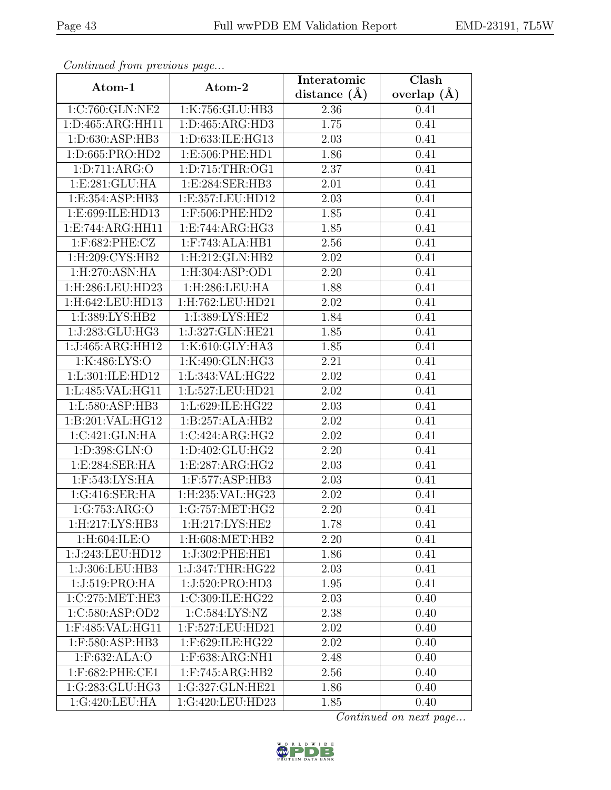| Continuati jibni protibus puga |                                       | Interatomic    | $\overline{\text{Clash}}$ |
|--------------------------------|---------------------------------------|----------------|---------------------------|
| Atom-1                         | Atom-2                                | distance $(A)$ | overlap $(A)$             |
| 1:C:760:GLN:NE2                | 1:K:756:GLU:HB3                       | 2.36           | 0.41                      |
| 1:D:465:ARG:HH11               | 1: D: 465: ARG: HD3                   | 1.75           | 0.41                      |
| 1:D:630:ASP:HB3                | 1:D:633:ILE:HG13                      | 2.03           | 0.41                      |
| 1:D:665:PRO:HD2                | 1:E:506:PHE:HD1                       | 1.86           | 0.41                      |
| 1: D: 711: ARG: O              | 1: D: 715: THR: OG1                   | 2.37           | 0.41                      |
| 1:E:281:GLU:HA                 | 1: E:284: SER: HB3                    | 2.01           | 0.41                      |
| 1:E:354:ASP:HB3                | 1:E:357:LEU:HD12                      | 2.03           | 0.41                      |
| 1:E:699:ILE:HD13               | 1:F:506:PHE:HD2                       | 1.85           | 0.41                      |
| 1:E:744:ARG:HH11               | 1:E:744:ARG:HG3                       | 1.85           | 0.41                      |
| 1:F:682:PHE:CZ                 | 1:F:743:ALA:HB1                       | 2.56           | 0.41                      |
| 1:H:209:CYS:HB2                | 1:H:212:GLN:HB2                       | 2.02           | 0.41                      |
| $1:$ H $:270:$ ASN $:$ HA      | 1:H:304:ASP:OD1                       | 2.20           | 0.41                      |
| 1:H:286:LEU:HD23               | $1:$ H:286:LEU:HA                     | 1.88           | 0.41                      |
| 1:H:642:LEU:HD13               | 1:H:762:LEU:HD21                      | 2.02           | 0.41                      |
| 1:I:389:LYS:HB2                | 1:I:389:LYS:HE2                       | 1.84           | 0.41                      |
| 1:J:283:GLU:HG3                | 1:J:327:GLN:HE21                      | 1.85           | 0.41                      |
| 1:J:465:ARG:HH12               | 1:K:610:GLY:HA3                       | 1.85           | 0.41                      |
| 1:K:486:LYS:O                  | 1:K:490:GLN:HG3                       | 2.21           | 0.41                      |
| 1:L:301:ILE:HD12               | 1:L:343:VAL:HG22                      | 2.02           | 0.41                      |
| 1:L:485:VAL:HG11               | 1:L:527:LEU:HD21                      | 2.02           | 0.41                      |
| 1:L:580:ASP:HB3                | 1:L:629:ILE:HG22                      | 2.03           | 0.41                      |
| 1:B:201:VAL:HG12               | 1:B:257:ALA:HB2                       | 2.02           | 0.41                      |
| 1:C:421:GLN:HA                 | 1:C:424:ARG:HG2                       | 2.02           | 0.41                      |
| 1:D:398:GLN:O                  | 1:D:402:GLU:HG2                       | 2.20           | 0.41                      |
| 1: E:284: SER: HA              | 1:E:287:ARG:HG2                       | 2.03           | 0.41                      |
| 1:F:543:LYS:HA                 | 1:F:577:ASP:HB3                       | 2.03           | 0.41                      |
| 1:G:416:SER:HA                 | 1:H:235:VAL:HG23                      | 2.02           | 0.41                      |
| 1:G:753:ARG:O                  | $1:G:757:\overline{\mathrm{MET:HG2}}$ | 2.20           | 0.41                      |
| 1:H:217:LYS:HB3                | $1:$ H $:217:LYS:$ HE2                | 1.78           | 0.41                      |
| $1:$ H:604:ILE:O               | 1:H:608:MET:HB2                       | 2.20           | 0.41                      |
| 1:J:243:LEU:HD12               | 1:J:302:PHE:HE1                       | 1.86           | 0.41                      |
| 1:J:306:LEU:HB3                | 1:J:347:THR:HG22                      | 2.03           | 0.41                      |
| 1:J:519:PRO:HA                 | 1:J:520:PRO:HD3                       | 1.95           | 0.41                      |
| 1:C:275:MET:HE3                | 1:C:309:ILE:HG22                      | 2.03           | 0.40                      |
| 1:C:580:ASP:OD2                | 1:C:584:LYS:NZ                        | 2.38           | 0.40                      |
| 1:F:485:VAL:HG11               | 1:F:527:LEU:HD21                      | 2.02           | 0.40                      |
| 1:F:580:ASP:HB3                | 1:F:629:ILE:HG22                      | 2.02           | 0.40                      |
| 1:F:632:ALA:O                  | 1:F:638:ARG:NH1                       | 2.48           | 0.40                      |
| $1:$ F:682:PHE:CE1             | $1:$ F:745:ARG:HB2                    | 2.56           | 0.40                      |
| 1:G:283:GLU:HG3                | 1:G:327:GLN:HE21                      | 1.86           | 0.40                      |
| 1:G:420:LEU:HA                 | 1:G:420:LEU:HD23                      | 1.85           | 0.40                      |

![](_page_42_Picture_6.jpeg)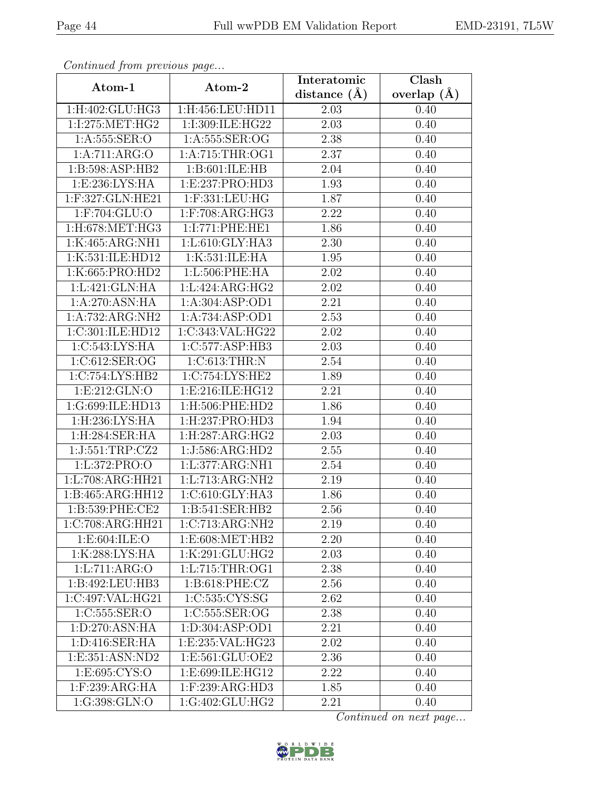| Continuea jiomi previous page          |                     | Interatomic       | Clash         |
|----------------------------------------|---------------------|-------------------|---------------|
| Atom-1                                 | Atom-2              | distance $(A)$    | overlap $(A)$ |
| $1:$ H:402:GLU:HG3                     | 1:H:456:LEU:HD11    | 2.03              | 0.40          |
| 1:I:275:MET:HG2                        | 1:I:309:ILE:HG22    | 2.03              | 0.40          |
| 1: A: 555: SER: O                      | 1: A: 555: SER: OG  | 2.38              | 0.40          |
| 1:A:711:ARG:O                          | 1: A:715:THR:OG1    | 2.37              | 0.40          |
| 1:B:598:ASP:HB2                        | 1: B:601: ILE: HB   | 2.04              | 0.40          |
| 1:E:236:LYS:HA                         | 1:E:237:PRO:HD3     | 1.93              | 0.40          |
| 1:F:327:GLN:HE21                       | 1:F:331:LEU:HG      | 1.87              | 0.40          |
| 1:F:704:GLU:O                          | $1:$ F:708:ARG:HG3  | 2.22              | 0.40          |
| $1:$ H:678:MET:HG3                     | 1:I:771:PHE:HE1     | 1.86              | 0.40          |
| 1:K:465:ARG:NH1                        | 1:L:610:GLY:HA3     | 2.30              | 0.40          |
| 1:K:531:ILE:HD12                       | 1:K:531:ILE:HA      | 1.95              | 0.40          |
| 1:K:665:PRO:HD2                        | 1: L:506: PHE: HA   | 2.02              | 0.40          |
| 1: L:421: GLN: HA                      | 1:L:424:ARG:HG2     | 2.02              | 0.40          |
| 1:A:270:ASN:HA                         | 1:A:304:ASP:OD1     | 2.21              | 0.40          |
| 1:A:732:ARG:NH2                        | 1:A:734:ASP:OD1     | 2.53              | 0.40          |
| 1:C:301:ILE:HD12                       | 1:C:343:VAL:HG22    | 2.02              | 0.40          |
| 1:C:543:LYS:HA                         | 1:C:577:ASP:HB3     | 2.03              | 0.40          |
| 1:C:612:SER:OG                         | 1:C:613:THR:N       | 2.54              | 0.40          |
| 1:C:754:LYS:HB2                        | 1:C:754:LYS:HE2     | 1.89              | 0.40          |
| 1:E:212:GLN:O                          | 1:E:216:ILE:HG12    | 2.21              | 0.40          |
| 1:G:699:ILE:HD13                       | 1:H:506:PHE:HD2     | 1.86              | 0.40          |
| 1:H:236:LYS:HA                         | 1: H: 237: PRO: HD3 | 1.94              | 0.40          |
| 1:H:284:SER:HA                         | 1:H:287:ARG:HG2     | 2.03              | 0.40          |
| 1:J:551:TRP:CZ2                        | 1:J:586:ARG:HD2     | 2.55              | 0.40          |
| 1:L:372:PRO:O                          | 1:L:377:ARG:NH1     | 2.54              | 0.40          |
| 1:L:708:ARG:HH21                       | 1:L:713:ARG:NH2     | $\overline{2.19}$ | 0.40          |
| 1:B:465:ARG:HH12                       | 1:C:610:GLY:HA3     | 1.86              | 0.40          |
| 1:B:539:PHE:CE2                        | 1:B:541:SER:HB2     | 2.56              | 0.40          |
| $1:C:708:A\overline{\mathrm{RG:HH}21}$ | 1:C:713:ARG:NH2     | 2.19              | 0.40          |
| 1: E: 604: ILE: O                      | 1:E:608:MET:HB2     | 2.20              | 0.40          |
| 1:K:288:LYS:HA                         | 1:K:291:GLU:HG2     | 2.03              | 0.40          |
| 1:L:711:ARG:O                          | 1:L:715:THR:OG1     | 2.38              | 0.40          |
| 1:B:492:LEU:HB3                        | 1:B:618:PHE:CZ      | 2.56              | 0.40          |
| 1:C:497:VAL:HG21                       | 1:C:535:CYS:SG      | 2.62              | 0.40          |
| 1:C:555:SER:O                          | 1:C:555:SER:OG      | 2.38              | 0.40          |
| 1:D:270:ASN:HA                         | 1:D:304:ASP:OD1     | 2.21              | 0.40          |
| 1: D:416: SER: HA                      | 1:E:235:VAL:HG23    | 2.02              | 0.40          |
| 1:E:351:ASN:ND2                        | 1:E:561:GLU:OE2     | 2.36              | 0.40          |
| 1: E: 695: CYS:O                       | 1:E:699:ILE:HG12    | 2.22              | 0.40          |
| 1:F:239:ARG:HA                         | 1:F:239:ARG:HD3     | 1.85              | 0.40          |
| 1:G:398:GLN:O                          | 1:G:402:GLU:HG2     | 2.21              | 0.40          |

![](_page_43_Picture_6.jpeg)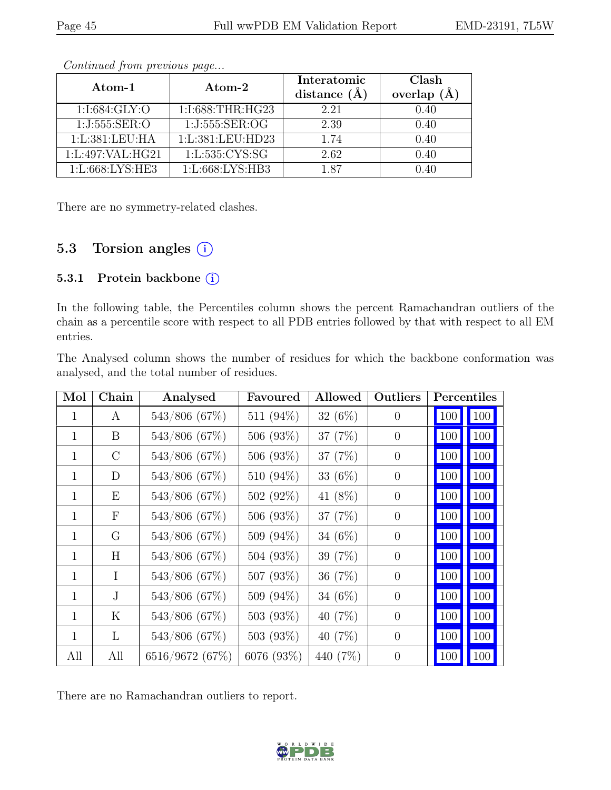| Atom-1           | Atom-2            | Interatomic<br>distance $(A)$ | Clash<br>overlap $(\AA)$ |
|------------------|-------------------|-------------------------------|--------------------------|
| 1:1:684:GLY:O    | 1:I:688:THR:HG23  | 2.21                          | 0.40                     |
| 1:J:555:SER:O    | 1:J:555:SER:OG    | 2.39                          | 0.40                     |
| 1:L:381:LEU:HA   | 1:L:381:LEU:HD23  | 1.74                          | 0.40                     |
| 1:L:497:VAL:HG21 | 1:L:535:CYS:SG    | 2.62                          | 0.40                     |
| 1:L:668:LYS:HE3  | 1: L:668: LYS:HB3 | 187                           | J 40                     |

There are no symmetry-related clashes.

### 5.3 Torsion angles  $(i)$

#### 5.3.1 Protein backbone (i)

In the following table, the Percentiles column shows the percent Ramachandran outliers of the chain as a percentile score with respect to all PDB entries followed by that with respect to all EM entries.

The Analysed column shows the number of residues for which the backbone conformation was analysed, and the total number of residues.

| Mol          | Chain        | Analysed        | Favoured     | <b>Allowed</b> | Outliers       |     | Percentiles |
|--------------|--------------|-----------------|--------------|----------------|----------------|-----|-------------|
| $\mathbf{1}$ | A            | 543/806 (67%)   | 511 (94%)    | $32(6\%)$      | $\overline{0}$ | 100 | 100         |
| $\mathbf{1}$ | B            | 543/806 (67%)   | 506 (93%)    | 37 (7%)        | $\theta$       | 100 | 100         |
| 1            | $\rm C$      | 543/806 (67%)   | 506(93%)     | 37 (7%)        | $\theta$       | 100 | 100         |
| $\mathbf{1}$ | D            | 543/806 (67%)   | 510 (94%)    | 33 (6%)        | $\overline{0}$ | 100 | 100         |
| $\mathbf{1}$ | Ε            | 543/806 (67%)   | 502 $(92\%)$ | 41 $(8\%)$     | $\theta$       | 100 | 100         |
| $\mathbf{1}$ | $\mathbf{F}$ | 543/806 (67%)   | 506 (93%)    | 37 $(7%)$      | $\overline{0}$ | 100 | 100         |
| $\mathbf{1}$ | G            | 543/806 (67%)   | 509 (94%)    | 34 $(6%)$      | $\theta$       | 100 | 100         |
| $\mathbf{1}$ | H            | 543/806 (67%)   | 504 (93%)    | 39 $(7%)$      | $\theta$       | 100 | 100         |
| $\mathbf{1}$ | Τ            | 543/806 (67%)   | 507 (93%)    | 36 $(7%)$      | $\theta$       | 100 | 100         |
| $\mathbf{1}$ | $\mathbf{J}$ | 543/806 (67%)   | 509 (94%)    | 34 $(6%)$      | $\theta$       | 100 | 100         |
| 1            | Κ            | 543/806 (67%)   | 503 $(93\%)$ | 40 $(7%)$      | $\overline{0}$ | 100 | 100         |
| $\mathbf{1}$ | L            | 543/806 (67%)   | 503 (93%)    | 40 $(7%)$      | $\theta$       | 100 | 100         |
| All          | All          | 6516/9672 (67%) | 6076 (93%)   | 440 (7\%)      | $\overline{0}$ | 100 | 100         |

There are no Ramachandran outliers to report.

![](_page_44_Picture_12.jpeg)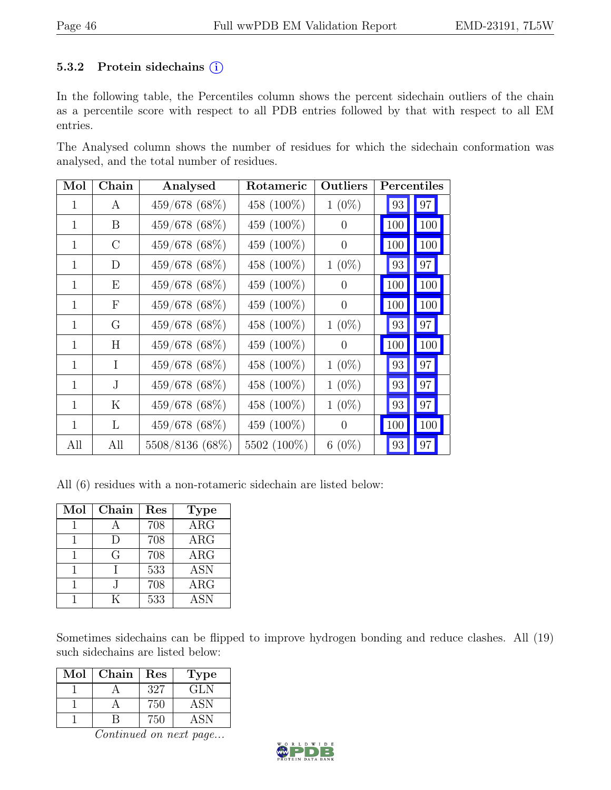#### 5.3.2 Protein sidechains  $(i)$

In the following table, the Percentiles column shows the percent sidechain outliers of the chain as a percentile score with respect to all PDB entries followed by that with respect to all EM entries.

The Analysed column shows the number of residues for which the sidechain conformation was analysed, and the total number of residues.

| Mol | Chain         | Analysed        | Rotameric   | Outliers       | Percentiles |                |
|-----|---------------|-----------------|-------------|----------------|-------------|----------------|
|     | А             | 459/678 (68%)   | 458 (100%)  | $1(0\%)$       | 93          | 97             |
| 1   | B             | 459/678 (68%)   | 459 (100%)  | $\theta$       | 100         | <b>100</b>     |
| 1   | $\mathcal{C}$ | 459/678 (68%)   | 459 (100%)  | $\theta$       | 100         | <b>100</b>     |
| 1   | D             | 459/678 (68%)   | 458 (100%)  | $1(0\%)$       | 93          | 97             |
| 1   | Ε             | 459/678 (68%)   | 459 (100%)  | $\overline{0}$ | 100         | 100            |
| 1   | $_{\rm F}$    | 459/678 (68%)   | 459 (100%)  | $\theta$       | 100         | <b>100</b>     |
| 1   | G             | 459/678 (68%)   | 458 (100%)  | $1(0\%)$       | 93          | 97             |
| 1   | Η             | 459/678 (68%)   | 459 (100%)  | $\Omega$       | 100         | <b>100</b>     |
| 1   | I             | 459/678 (68%)   | 458 (100%)  | $1(0\%)$       | 93          | 97             |
| 1   | J.            | 459/678 (68%)   | 458 (100%)  | $1(0\%)$       | 93          | 97             |
| 1   | K             | 459/678 (68%)   | 458 (100%)  | $1(0\%)$       | 93          | 97             |
| 1   | L             | 459/678 (68%)   | 459 (100%)  | $\Omega$       | 100         | <sup>100</sup> |
| All | All           | 5508/8136 (68%) | 5502 (100%) | $6(0\%)$       | 93          | 97             |

All (6) residues with a non-rotameric sidechain are listed below:

| Mol | Chain | Res | <b>Type</b>             |
|-----|-------|-----|-------------------------|
|     |       | 708 | $\overline{\text{ARG}}$ |
|     |       | 708 | $\rm{ARG}$              |
|     | G     | 708 | $\rm{ARG}$              |
|     |       | 533 | <b>ASN</b>              |
|     |       | 708 | $\rm{ARG}$              |
|     |       | 533 | <b>ASN</b>              |

Sometimes sidechains can be flipped to improve hydrogen bonding and reduce clashes. All (19) such sidechains are listed below:

| Mol | Chain | Res | <b>Type</b> |
|-----|-------|-----|-------------|
|     |       | 327 | GLN         |
|     |       | 750 | <b>ASN</b>  |
|     |       | '50 | ASN.        |

![](_page_45_Picture_12.jpeg)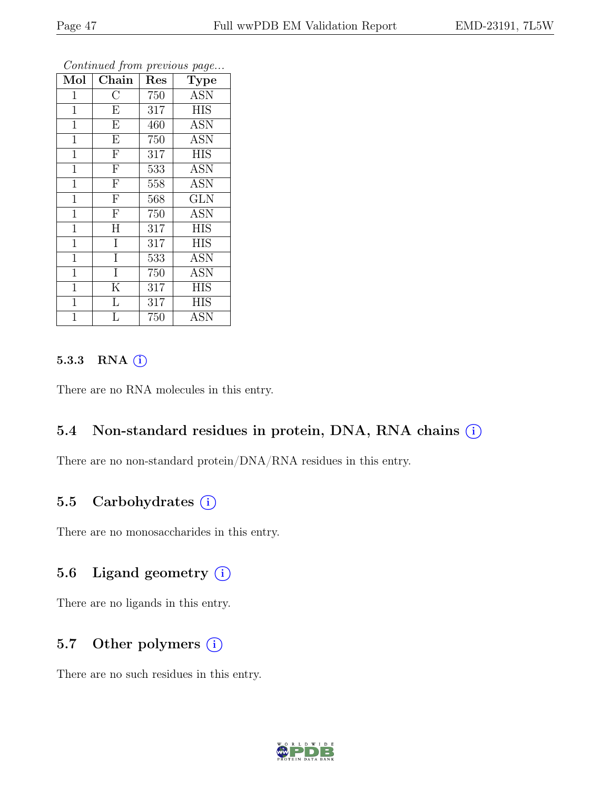|              |                         |                  | ÷.<br>ັ     |
|--------------|-------------------------|------------------|-------------|
| Mol          | Chain                   | Res              | <b>Type</b> |
| $\mathbf{1}$ | $\overline{\rm C}$      | 750              | <b>ASN</b>  |
| $\mathbf{1}$ | $\overline{E}$          | 317              | <b>HIS</b>  |
| $\mathbf{1}$ | $\overline{E}$          | 460              | <b>ASN</b>  |
| $\mathbf{1}$ | $\overline{\mathrm{E}}$ | 750              | <b>ASN</b>  |
| $\mathbf{1}$ | $\overline{\mathrm{F}}$ | $31\overline{7}$ | <b>HIS</b>  |
| $\mathbf{1}$ | $\overline{\mathrm{F}}$ | 533              | <b>ASN</b>  |
| $\mathbf{1}$ | $\overline{\mathrm{F}}$ | 558              | <b>ASN</b>  |
| $\mathbf{1}$ | $\overline{F}$          | 568              | <b>GLN</b>  |
| $\mathbf{1}$ | $\overline{\mathrm{F}}$ | 750              | <b>ASN</b>  |
| $\mathbf{1}$ | $\overline{\rm H}$      | 317              | HIS         |
| $\mathbf{1}$ | I                       | 317              | <b>HIS</b>  |
| $\mathbf{1}$ | $\overline{I}$          | 533              | ASN         |
| $\mathbf{1}$ | I                       | 750              | <b>ASN</b>  |
| $\mathbf{1}$ | $\rm K$                 | 317              | <b>HIS</b>  |
| $\mathbf{1}$ | $\overline{\mathrm{L}}$ | 317              | HIS         |
| 1            | L                       | 750              | ASN         |

#### 5.3.3 RNA  $(i)$

There are no RNA molecules in this entry.

#### 5.4 Non-standard residues in protein, DNA, RNA chains  $(i)$

There are no non-standard protein/DNA/RNA residues in this entry.

#### 5.5 Carbohydrates  $(i)$

There are no monosaccharides in this entry.

### 5.6 Ligand geometry  $(i)$

There are no ligands in this entry.

#### 5.7 Other polymers  $(i)$

There are no such residues in this entry.

![](_page_46_Picture_15.jpeg)